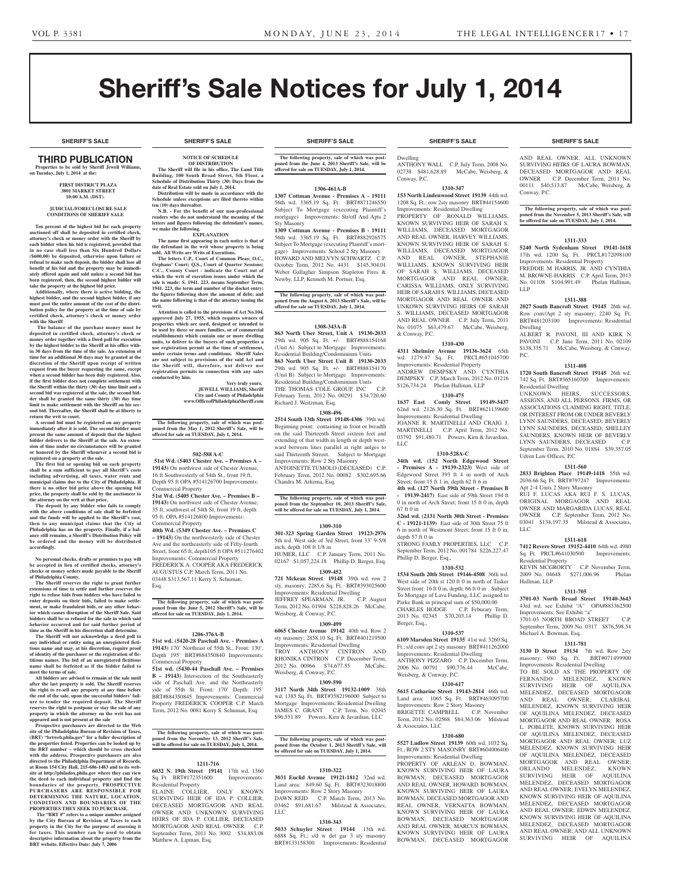**SHERIFF'S SALE SHERIFF'S SALE SHERIFF'S SALE SHERIFF'S SALE SHERIFF'S SALE**

# Sheriff's Sale Notices for July 1, 2014

#### **SHERIFF'S SALE SHERIFF'S SALE SHERIFF'S SALE SHERIFF'S SALE SHERIFF'S SALE**

## THIRD PUBLICATION

**Properties to be sold by Sheriff Jewell Williams, on Tuesday, July 1, 2014 at the:** 

#### **First District Plaza 3801 Market Street 10:00 A.M. (DST).**

#### **JUDICIAL/FORECLOSURE SALE CONDITIONS OF SHERIFF SALE**

**Ten percent of the highest bid for each property auctioned off shall be deposited in certified check, attorney's check or money order with the Sheriff by each bidder when his bid is registered, provided that in no case shall less than Six Hundred Dollars (\$600.00) be deposited, otherwise upon failure or**  refusal to make such deposit, the bidder shall lose all<br>benefit of his bid and the property may be immediately offered again and sold unless a second bid has<br>been registered, then, the second highest bidder will **take the property at the highest bid price.**

**Additionally, where there is active bidding, the highest bidder, and the second highest bidder, if any must post the entire amount of the cost of the distri-bution policy for the property at the time of sale by certified check, attorney's check or money order with the Sheriff**

 **The balance of the purchase money must be deposited in certified check, attorney's check or money order together with a Deed poll for execution by the highest bidder to the Sheriff at his office within 30 days from the time of the sale. An extension of time for an additional 30 days may be granted at the discretion of the Sheriff upon receipt of written request from the buyer requesting the same, except when a second bidder has been duly registered. Also, if the first bidder does not complete settlement with the Sheriff within the thirty (30) day time limit and a second bid was registered at the sale, the second bid-der shall be granted the same thirty (30) day time limit to make settlement with the Sheriff on his second bid. Thereafter, the Sheriff shall be at liberty to return the writ to court.**

**A second bid must be registered on any property immediately after it is sold. The second bidder must present the same amount of deposit that the highest bidder delivers to the Sheriff at the sale. An extension of time under no circumstances will be granted or honored by the Sheriff whenever a second bid is registered on a property at the sale.** 

**The first bid or opening bid on each property shall be a sum sufficient to pay all Sheriff's costs including advertising, all taxes, water rents and municipal claims due to the City of Philadelphia. If there is no other bid price above the opening bid price, the property shall be sold by the auctioneer to** 

**the attorney on the writ at that price. The deposit by any bidder who fails to comply with the above conditions of sale shall be forfeited and the funds will be applied to the Sheriff's cost, then to any municipal claims that the City of Philadelphia has on the property. Finally, if a bal-ance still remains, a Sheriff's Distribution Policy will be ordered and the money will be distributed accordingly.**

**No personal checks, drafts or promises to pay will be accepted in lieu of certified checks, attorney's checks or money orders made payable to the Sheriff of Philadelphia County.**

**The Sheriff reserves the right to grant further extensions of time to settle and further reserves the right to refuse bids from bidders who have failed to enter deposits on their bids, failed to make settle-ment, or make fraudulent bids, or any other behavior which causes disruption of the Sheriff Sale. Said**  bidders shall be so refused for the sale in which sa **behavior occurred and for said further period of** 

**time as the Sheriff in his discretion shall determine. The Sheriff will not acknowledge a deed poll to any individual or entity using an unregistered fictitious name and may, at his discretion, require proof of identity of the purchaser or the registration of fictitious names. The bid of an unregistered fictitious name shall be forfeited as if the bidder failed to meet the terms of sale.**

**All bidders are advised to remain at the sale until after the last property is sold. The Sheriff reserves the right to re-sell any property at any time before the end of the sale, upon the successful bidders' failure to tender the required deposit. The Sheriff reserves the right to postpone or stay the sale of any property in which the attorney on the writ has not** 

**appeared and is not present at the sale Prospective purchasers are directed to the Web site of the Philadelphia Bureau of Revision of Taxes, (BRT) "brtweb.phila.gov" for a fuller description of the properties listed. Properties can be looked up by the BRT number – which should be cross checked with the address. Prospective purchasers are also directed to the Philadelphia Department of Records, at Room 154 City Hall, 215-686-1483 and to its website at http://philadox.phila.gov where they can view the deed to each individual property and find the boundaries of the property. PROSPECTIVE PURCHASERS ARE RESPONSIBLE FOR DETERMINING THE NATURE, LOCATION, CONDITION AND BOUNDARIES OF THE PROPERTIES THEY SEEK TO PURCHASE.**

The "BRT #" refers to a unique number assigned **by the City Bureau of Revision of Taxes to each property in the City for the purpose of assessing it for taxes. This number can be used to obtain descriptive information about the property from the BRT website. Effective Date: July 7, 2006**

**Schedule of Distribution Thirty (30) Days from the date of Real Estate sold on July 1, 2014.**

**ten (10) days thereafter.**

**we make the following.**

**writ.**

**conducted by him.**

Commercial Property

Commercial Property

Commercial Property

Residential Property

Matthew A. Lipman, Esq.

Esq.

**Distribution will be made in accordance with the Schedule unless exceptions are filed thereto within** 

**N.B. - For the benefit of our non-professional readers who do not understand the meaning of the letters and figures following the defendant's names,** 

**EXPLANATION The name first appearing in each notice is that of the defendant in the writ whose property is being** 

**The letters C.P., Court of Common Pleas; O.C., Orphans' Court; Q.S., Court of Quarter Sessions; C.C., County Court - indicate the Court out of which the writ of execution issues under which the sale is made: S. 1941. 223. means September Term, 1941. 223, the term and number of the docket entry; the figures following show the amount of debt; and the name following is that of the attorney issuing the** 

**Attention is called to the provisions of Act No.104, approved July 27, 1955, which requires owners of properties which are used, designed or intended to be used by three or more families, or of commercial ents which contain one or more dwelling units, to deliver to the buyers of such properties a use registration permit at the time of settlement, under certain terms and conditions. Sheriff Sales are not subject to provisions of the said Act and the Sheriff will, therefore, not deliver use registration permits in connection with any sales** 

**The following property, sale of which was postponed from the May 1, 2012 Sheriff's Sale, will be offered for sale on TUESDAY, July 1, 2014.**

**502-588 A-C 51st Wd. (5403 Chester Ave. – Premises A – 19143)** On northwest side of Chester Avenue, 16 ft Southwesterly of 54th St., front 19 ft, Depth 95 ft OPA #514126700 Improvements:

**51st Wd. (5405 Chester Ave. – Premises B – 19143)** On northwest side of Chester Avenue, 35 ft, southwest of 54th St, front 19 ft, depth 95 ft. OPA #514126800 Improvements:

**40th Wd. (5349 Chester Ave. – Premises C**

Improvements: Commercial Property

AUGUSTUS C.P. March Term, 2011 No. 03448 \$313,567.11 Kerry S. Schuman,

**offered for sale on TUESDAY, July 1, 2014.**

**1206-376A-B 51st wd. (5420-28 Paschall Ave. - Premises A 19143)** 170' Northeast of 55th St., Front: 130', Depth 195' BRT#884350840 Improvements:

**51st wd. (5430-44 Paschall Ave. – Premises B – 19143)** Intersection of the Southeasterly side of Paschall Ave. and the Northeasterly

Term, 2012 No. 0081 Kerry S. Schuman, Esq.

**poned from the November 13, 2012 Sheriff's Sale, will be offered for sale on TUESDAY, July 1, 2014.**

**1211-716 6032 N. 19th Street 19141** 17th wd. 1360 Sq Ft BRT#172351600 Improvements:

ELAINE COLLIER, ONLY KNOWN SURVIVING HEIR OF IDA P. COLLIER, DECEASED MORTGAGOR AND REAL OWNER AND UNKNOWN SURVIVING HEIRS OF IDA P. COLLIER, DECEASED MORTGAGOR AND REAL OWNER C.P. September Term, 2011 No. 3002 \$34,883.08

**Very truly yours, JEWELL WILLIAMS, Sheriff City and County of Philadelphia www.OfficeofPhiladelphiaSheriff.com**

**sold. All Writs are Writs of Executions.**

**NOTICE OF SCHEDULE OF DISTRIBUTION The Sheriff will file in his office, The Land Title Building, 100 South Broad Street, 5th Floor, a The following property, sale of which was post-poned from the June 4, 2013 Sheriff's Sale, will be offered for sale on TUESDAY, July 1, 2014.**

#### **1306-461A-B**

**1307 Cottman Avenue - Premises A - 19111**  56th wd. 3365.19 Sq. Ft. BRT#871246550 Subject To Mortgage (executing Plaintiff's mortgage) Improvements: Str/off And Apts 2 Sty Masonry

**1309 Cottman Avenue - Premises B - 19111**  56th wd. 3365.19 Sq. Ft. BRT#882926575 Subject To Mortgage (executing Plaintiff's mortgage) Improvements: School 2 Sty Masonry HOWARD AND MELVYN SCHWARTZ C.P. October Term, 2012 No. 4431 \$145,304.01 Weber Gallagher Simpson Stapleton Fires & Newby, LLP, Kenneth M. Portner, Esq.

#### **The following property, sale of which was postponed from the August 6, 2013 Sheriff's Sale, will be offered for sale on TUESDAY, July 1, 2014.**

#### **1308-343A-B**

**863 North Uber Street, Unit A 19130-2033**  29th wd. 905 Sq. Ft. +/- BRT#888154168 (Unit A) Subject to Mortgage Improvements: Residential Building/Condominium Units **863 North Uber Street Unit B 19130-2033**  29th wd. 905 Sq. Ft. +/- BRT#888154170 (Unit B) Subject to Mortgage Improvements: Residential Building/Condominium Units THE THOMAS COLE GROUP, INC C.P. February Term, 2012 No. 00291 \$34,720.60 Richard J. Weitzman, Esq.

#### **1308-496**

**2514 South 13th Street 19148-4306** 39th wd. Beginning point: containing in front or breadth on the said Thirteenth Street sixteen feet and extending of that width in length or depth westward between lines parallel at right anlges to said Thirteenth Streeet. Subject to Mortgage Improvements: Row 2 Sty Masonry ANTOINETTE TUMOLO (DECEASED) C.P. February Term, 2012 No. 00082 \$302,695.66 Chandra M. Arkema, Esq.

## **The following property, sale of which was post-poned from the September 10, 2013 Sheriff's Sale, will be offered for sale on TUESDAY, July 1, 2014.**

#### **1309-310**

**301-323 Spring Garden Street 19123-2976**  5th wd. West side of 3rd Street, front 33' 9-5/8

02167 \$1,057,224.18 Phillip D. Berger, Esq.

**721 Mckean Street 19148** 39th wd. row 2 sty, masonry; 2285.6 Sq. Ft. BRT#393025600 Improvements: Residential Dwelling JEFFREY SPEARMAN, JR. C.P. August Term, 2012 No. 01904 \$228,828.26 McCabe,

**6065 Chester Avenue 19142** 40th wd. Row 2 sty masonry; 2858.10 Sq. Ft. BRT#401219500 TROY ANTHONY CINTRON AND RHONIKA CINTRON C.P. December Term, 2012 No. 00966 \$74,677.55 McCabe, Weisberg, & Conway, P.C.

#### **1309-590**

**3117 North 34th Street 19132-1009** 38th wd. 1385 Sq. Ft. BRT#3582196000 Subject to Mortgage Improvements: Residential Dwelling JAMES C. GRANT C.P. Term, No. 02045

# **The following property, sale of which was post-poned from the October 1, 2013 Sheriff's Sale, will**

#### **1310-322**

**3031 Euclid Avenue 19121-1812** 32nd wd. Land area: 849.60 Sq. Ft. BRT#323018800 Improvements: Row 2 Story Masonry DAWN REID C.P. March Term, 2013 No. 03462 \$91,681,67 Milstead & Associates, LLC

#### **1310-343**

**5033 Schuyler Street 19144** 13th wd. 6888 Sq. Ft.; s/d w det gar 3 sty masonry BRT#133158300 Improvements: Residential

Dwelling ANTHONY WALL C.P. July Term, 2008 No. 02738 \$481,628.89 McCabe, Weisberg, & Conway, P.C.

#### **1310-347**

**153 North Lindenwood Street 19139** 44th wd. 1208 Sq. Ft.; row 2sty masonry BRT#44154600 Improvements: Residential Dwelling PROPERTY OF RONALD WILLIAMS,

KNOWN SURVIVING HEIR OF SARAH S. WILLIAMS, DECEASED MORTGAGOR AND REAL OWNER, HARVEY WILLIAMS, KNOWN SURVIVING HEIR OF SARAH S. WILLIAMS, DECEASED MORTGAGOR AND REAL OWNER, STEPHANIE WILLIAMS, KNOWN SURVIVING HEIR OF SARAH S. WILLIAMS, DECEASED MORTGAGOR AND REAL OWNER, CARISSA WILLIAMS, ONLY SURVIVING HEIR OF SARAH S. WILLIAMS, DECEASED MORTGAGOR AND REAL OWNER AND UNKOWN SURVIVING HEIRS OF SARAH S. WILLIAMS, DECEASED MORTGAGOR AND REAL OWNER. C.P. July Term, 2011 No. 01075 \$63,479.67 McCabe, Weisberg, & Conway, P.C.

#### **1310-430**

**4311 Shelmire Avenue 19136-3624** 65th wd. 1279.47 Sq. Ft. PRCL#651045700 Improvements: Residential Property ANDREW DEMPSKY AND CYNTHIA DEMPSKY C.P. March Term, 2012 No. 01216 \$126,734.24 Phelan Hallinan, LLP

#### **1310-475**

**1637 East Comly Street 19149-3437**  62nd wd. 2126.30 Sq. Ft. BRT#621139600 Improvements: Residential Dwelling JOANNE R. MARTINELLI AND CRAIG J. MARTINELLI C.P. April Term, 2012 No. 03792 \$91,480.71 Powers, Kirn & Javardian, LLC

## **1310-528A-C**

**34th wd. (152 North Edgewood Street - Premises A - 19139-2323)** West side of Edgewood Street 393 ft 4 in north of Arch Street; front 15 ft 1 in, depth 62 ft 6 in **4th wd. (127 North 59th Street - Premises B - 19139-2417)** East side of 59th Street 194 ft

0 in north of Arch Street; front 15 ft 0 in, depth 67 ft 0 in **32nd wd. (2131 North 30th Street - Premises** 

**C - 19121-1139)** East side of 30th Street 75 ft 6 in north of Westmont Street; front 15 ft 0 in, depth 57 ft 0 in STRONG FAMLY PROPERTIES, LLC C.P.

September Term, 2012 No. 001784 \$226,227.47 Phillip D. Berger, Esq.,

#### **1310-532**

**1534 South 20th Street 19146-4508** 36th wd. West side of 20th st 120 ft 0 in north of Tasker Street front: 16 ft 0 in, depth: 66 ft 0 in Subject To Mortgage of Lava Funding, LLC assigned to Parke Bank in principal sum of \$50,000.00 CHARLES HODGE C.P. Feburary Term, 2013 No. 02345 \$70,203.14 Phillip D. Berger, Esq.,

## **1310-537**

**6109 Marsden Street 19135** 41st wd. 3260 Sq. Ft.; s/d conv apt 2 sty masonry BRT#411262000 Improvements: Residential Dwelling ANTHONY PIZZARO C.P. December Term, 2006 No. 00791 \$90,776.44 McCabe, Weisberg, & Conway, P.C.

#### **1310-617**

**5615 Catharine Street 19143-2814** 46th wd. Land area: 1065 Sq. Ft. BRT#463095700 Improvements: Row 2 Story Masonry BRIGETTE CAMPBELL C.P. November Term, 2012 No. 02568 \$84,363.06 Milstead & Associates, LLC

## **1310-680**

**5527 Ludlow Street 19139** 60th wd. 1032 Sq. Ft.; ROW 2 STY MASONRY BRT#604006400 Improvements: Residential Dwelling PROPERTY OF ARLEAN D. BOWMAN,

KNOWN SURVIVING HEIR OF LAURA BOWMAN, DECEASED MORTGAGOR AND REAL OWNER, HOWARD BOWMAN, KNOWN SURVIVING HEIR OF LAURA BOWMAN, DECEASED MORTGAGOR AND REAL OWNER, VERNATTA BOWMAN, KNOWN SURVIVING HEIR OF LAURA BOWMAN, DECEASED MORTGAGOR AND REAL OWNER, MARCUS BOWMAN, KNOWN SURVIVING HEIR OF LAURA BOWMAN, DECEASED MORTGAGOR

AND REAL OWNER, ALL UNKNOWN SURVIVING HEIRS OF LAURA BOWMAN, DECEASED MORTGAGOR AND REAL OWNER C.P. December Term, 2011 No. 00111 \$40,513.87 McCabe, Weisberg, & Conway, P.C.

**The following property, sale of which was postponed from the November 5, 2013 Sheriff's Sale, will be offered for sale on TUESDAY, July 1, 2014.**

#### **1311-333**

**5240 North Sydenham Street 19141-1618**  17th wd. 1200 Sq. Ft. PRCL#172098100 Improvements: Residential Property FREDDIE M HARRIS, JR. AND CYNTHIA M. BROWNE-HARRIS C.P. April Term, 2013 No. 01108 \$104,991.49 Phelan Hallinan, LLP

#### **1311-388**

**2027 South Bancroft Street 19145** 26th wd. Row conv/Apt 2 sty masonry; 2240 Sq. Ft. BRT#481203100 Improvements: Residential Dwelling

ALBERT R. PAVONI, III AND KIRK N PAVONI C.P. June Term, 2011 No. 02109 \$138,335.71 McCabe, Weisberg, & Conway, P.C.

### **1311-408**

**1720 South Bancroft Street 19145** 26th wd. 742 Sq. Ft. BRT#365160700 Improvements: Residential Dwelling

UNKNOWN HEIRS, SUCCESSORS, ASSIGNS, AND ALL PERSONS, FIRMS, OR ASSOCIATIONS CLAIMING RIGHT, TITLE,

OR INTEREST FROM OR UNDER BEVERLY LYNN SAUNDERS, DECEASED; BEVERLY LYNN SAUNDERS, DECEASED; SHELLEY SAUNDERS, KNOWN HEIR OF BEVERLY LYNN SAUNDERS, DECEASED C.P. September Term, 2010 No. 01884 \$39,357.05 Udren Law Offices, P.C.

#### **1311-560**

**2833 Brighton Place 19149-1418** 55th wd. 2036.66 Sq. Ft. BRT#797247 Improvements: Apt 2-4 Units 2 Story Masonry

RUI F. LUCAS AKA RUI F. S. LUCAS, ORIGINAL MORGAGOR AND REAL OWNER AND MARGARIDA LUCAS, REAL OWNER C.P. September Term, 2012 No. 03041 \$134,197.35 Milstead & Associates, LLC

#### **1311-618**

**7412 Revere Street 19152-4410** 64th wd. 4980 Sq. Ft. PRCL#641030500 Improvements: Residential Property KEVIN MCGRORTY C.P. November Term,

2009 No. 04648 \$271,006.96 Phelan Hallinan, LLP

#### **1311-705 3701-03 North Broad Street 19140-3643**  43rd wd. see Exhibit "A" OPA#883362500

Improvements: See Exhibit "a" 3701-03 NORTH BROAD STREET C.P. September Term, 2009 No. 0317 \$876,598.54 Michael A. Bowman, Esq.

#### **1311-781**

**3130 D Street 19134** 7th wd. Row 2sty masonry; 980 Sq. Ft. BRT#071499900 masonry; 980 Sq. Ft. Improvements: Residential Dwelling TO BE SOLD AS THE PROPERTY OF

FERNANDO MELENDEZ, KNOWN SURVIVING HEIR OF AQUILINA MELENDEZ, DECEASED MORTGAGOR AND REAL OWNER; CLARIBAL MELENDEZ, KNOWN SURVIVING HEIR OF AQUILINA MELENDEZ, DECEASED MORTGAGOR AND REAL OWNER; ROSA L. POBLETE, KNOWN SURVIVING HEIR OF AQUILINA MELENDEZ, DECEASED MORTGAGOR AND REAL OWNER: LUZ MELENDEZ, KNOWN SURVIVING HEIR OF AQUILINA MELENDEZ, DECEASED MORTGAGOR AND REAL OWNER; ORLANDO MELENDEZ, KNOWN SURVIVING HEIR OF AQUILINA MELENDEZ, DECEASED MORTGAGOR AND REAL OWNER; EVELYN MELENDEZ, KNOWN SURVIVING HEIR OF AQUILINA MELENDEZ, DECEASED MORTGAGOR AND REAL OWNER; EDWIN MELENDEZ, KNOWN SURVIVING HEIR OF AQUILINA MELENDEZ, DECEASED MORTGAGOR AND REAL OWNER; AND ALL UNKNOWN SURVIVING HEIR OF AQUILINA

## **– 19143)** On the northwesterly side of Chester Ave and the northeasterly side of Fifty-fourth Street, front 65 ft, depth105 ft OPA #511276402 FREDERICK A. COOPER AKA FREDERICK **The following property, sale of which was post-poned from the June 5, 2012 Sheriff's Sale, will be**  inch, depth 108 ft 1/8 in HUMER, LLC C.P. January Term, 2011 No. **1309-452** Weisberg, & Conway, P.C. **1309-499**

Improvements: Residential Dwelling

side of 55th St. Front: 170' Depth: 195' BRT#884350845 Improvements: Commercial Property FREDERICK COOPER C.P. March

**The following property, sale of which was post-**\$96,551.89 Powers, Kirn & Javardian, LLC

**be offered for sale on TUESDAY, July 1, 2014.**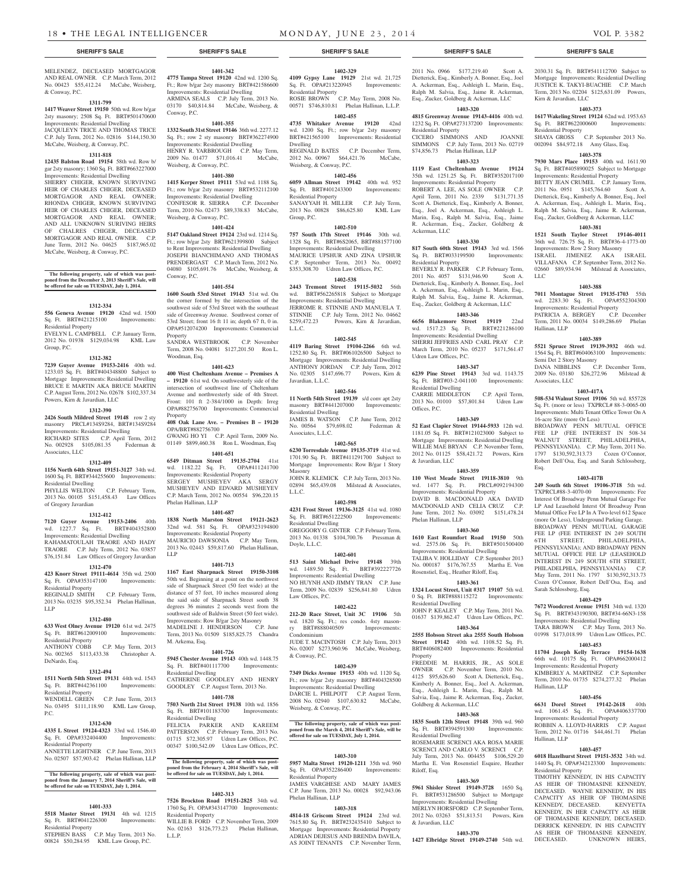#### MELENDEZ, DECEASED MORTGAGOR AND REAL OWNER. C.P. March Term, 2012 No. 00423 \$55,412.24 McCabe, Weisberg, & Conway, P.C.

## **1311-799**

**1417 Weaver Street 19150** 50th wd. Row b/gar 2sty masonry; 2508 Sq. Ft. BRT#501470600 Improvements: Residential Dwelling JACQULEYN TRICE AND THOMAS TRICE C.P. July Term, 2012 No. 02816 \$144,150.30 McCabe, Weisberg, & Conway, P.C.

#### **1311-818**

**12435 Balston Road 19154** 58th wd. Row b/ gar 2sty masonry; 1360 Sq. Ft. BRT#663227000 Improvements: Residential Dwelling SHERRY CHIGER, KNOWN SURVIVING HEIR OF CHARLES CHIGER, DECEASED MORTGAGOR AND REAL OWNER; RHONDA CHIGER, KNOWN SURVIVING HEIR OF CHARLES CHIGER, DECEASED MORTGAGOR AND REAL OWNER; AND ALL UNKNOWN SURIVING HEIRS OF CHALRES CHIGER, DECEASED MORTGAGOR AND REAL OWNER. C.P. June Term, 2012 No. 04625 \$187,965.02 McCabe, Weisberg, & Conway, P.C.

### **The following property, sale of which was post-poned from the December 3, 2013 Sheriff's Sale, will be offered for sale on TUESDAY, July 1, 2014.**

#### **1312-334**

**556 Geneva Avenue 19120** 42nd wd. 1500 Sq. Ft. BRT#421215100 Improvements: Residential Property EVELYN L. CAMPBELL C.P. January Term, 2012 No. 01938 \$129,034.98 KML Law

Group, P.C.

#### **1312-382**

**7239 Guyer Avenue 19153-2416** 40th wd. 1233.03 Sq. Ft. BRT#404348800 Subject to Mortgage Improvements: Residential Dwelling BRUCE E MARTIN AKA BRUCE MARTIN C.P. August Term, 2012 No. 02678 \$102,337.34 Powers, Kirn & Javardian, LLC

### **1312-390**

**2426 South Mildred Street 19148** row 2 sty masonry PRCL#134S9284, BRT#134S9284 Improvements: Residential Dwelling RICHARD SITES C.P. April Term, 2012<br>No. 002928 \$105,081.35 Federman & No. 002928 \$105,081.35 Associates, LLC

#### **1312-409**

**1156 North 64th Street 19151-3127** 34th wd. 1600 Sq. Ft. BRT#344255600 Improvements:

Residential Dwelling PHYLLIS WELTON C.P. February Term, 2013 No. 00105 \$151,458.43 Law Offices

## of Gregory Javardian

**1312-412**

#### **7120 Guyer Avenue 19153-2406** 40th wd. 1227.7 Sq. Ft. BRT#404352800 Improvements: Residential Dwelling RAHAMATOULAH TRAORE AND HADY TRAORE C.P. July Term, 2012 No. 03857

\$76,151.84 Law Offices of Gregory Javardian **1312-470 423 Knorr Street 19111-4614** 35th wd. 2500

Sq. Ft. OPA#353147100 Improvements: Residential Property

REGINALD SMITH C.P. February Term, 2013 No. 03235 \$95,352.34 Phelan Hallinan, LLP

#### **1312-480**

**633 West Olney Avenue 19120** 61st wd. 2475 Sq. Ft. BRT#612009100 Improvements: Residential Property

ANTHONY COBB C.P. May Term, 2013 No. 002365 \$113,433.38 Christopher A. DeNardo, Esq.

#### **1312-494**

**1511 North 54th Street 19131** 44th wd. 1543 Sq. Ft. BRT#442361100 Improvements: Residential Property WENDELL GREEN C.P. June Term, 2013 No. 03495 \$111,118.90 KML Law Group,

#### **1312-630**

P.C.

**4335 L Street 19124-4323** 33rd wd. 1546.40<br>
Sq. Ft. OPA#332404400 Improvements: Sq. Ft. OPA#332404400 Residential Property ANNETTE LIGHTNER C.P. June Term, 2013

No. 02507 \$57,903.42 Phelan Hallinan, LLP

## **The following property, sale of which was post-poned from the January 7, 2014 Sheriff's Sale, will be offered for sale on TUESDAY, July 1, 2014.**

#### **1401-333**

**5518 Master Street 19131** 4th wd. 1215<br>Sq. Ft. BRT#041226300 Improvements: Sq. Ft. BRT#041226300 Residential Property

STEPHEN BASS C.P. May Term, 2013 No. 00824 \$50,284.95 KML Law Group, P.C.

#### **1401-342 4775 Tampa Street 19120** 42nd wd. 1200 Sq. Ft.; Row b/gar 2sty masonry BRT#421586600 Improvements: Residential Dwelling ARMINA SEALS C.P. July Term, 2013 No. 03170 \$40,814.84 McCabe, Weisberg, &

Conway, P.C. **1401-355 1332 South 31st Street 19146** 36th wd. 2277.12 Sq. Ft.; row 2 sty masonry BRT#362274900 Improvements: Residential Dwelling

HENRY R. YARBROUGH C.P. May Term, 2009 No. 01477 \$71,016.41 McCabe, Weisberg, & Conway, P.C. **1401-380**

**1415 Kerper Street 19111** 53rd wd. 1188 Sq. Ft.; row b/gar 2sty masonry BRT#532112100 Improvements: Residential Dwelling CONFESOR R. SIERRA C.P. December Term, 2010 No. 02473 \$89,338.83 McCabe, Weisberg, & Conway, P.C.

#### **1401-424**

**5147 Oakland Street 19124** 23rd wd. 1214 Sq. Ft.; row b/gar 2sty BRT#621399800 Subject to Rent Improvements: Residential Dwelling JOSEPH BIANCHIMANO AND THOMAS PRENDERGAST C.P. March Term, 2012 No. 04080 \$105,691.76 McCabe, Weisberg, & Conway, P.C.

**1401-554**

**1600 South 53rd Street 19143** 51st wd. On the corner formed by the intersection of the southwest side of 53rd Street with the southeast side of Greenway Avenue. Southwest corner of 53rd Street; front 16 ft 11 in; depth 67 ft, 0 in. OPA#512074200 Improvements: Commercial Property SANDRA WESTBROOK C.P. November

Term, 2008 No. 04081 \$127,201.50 Ron L. Woodman, Esq.

#### **1401-623 400 West Cheltenham Avenue – Premises A**

**– 19120** 61st wd. On southwesterly side of the intersection of southwest line of Cheltenham Avenue and northwesterly side of 4th Street. Front: 101 ft 2-384/1000 in Depth: Irreg OPA#882756700 Improvements: Commercial Property

#### **408 Oak Lane Ave. – Premises B – 19120** OPA/BRT#882756700

GWANG HO YI C.P. April Term, 2009 No. 01149 \$899,460.38 Ron L. Woodman, Esq **1401-651**

**6549 Ditman Street 19135-2704** 41st wd. 1182.22 Sq. Ft. OPA#411241700 Improvements: Residential Property SERGEY MUSHEYEV AKA SERGY MUSHEYEV AND EDVARD MUSHEYEV C.P. March Term, 2012 No. 00554 \$96,220.15 Phelan Hallinan, LLP

**1401-687 1838 North Marston Street 19121-2623**  32nd wd. 581 Sq. Ft. OPA#323194800

Improvements: Residential Property MAURICIO DAWSONIA C.P. May Term, 2013 No. 02443 \$59,817.60 Phelan Hallinan, LLP

#### **1401-713**

**1167 East Sharpnack Street 19150-3108**  50th wd. Beginning at a point on the northwest side of Sharpnack Street (50 feet wide) at the distance of 57 feet, 10 inches measured along the said side of Sharpnack Street south 38 degrees 36 minutes 2 seconds west from the southwest side of Baldwin Street (50 feet wide). Improvements: Row B/gar 2sty Masonry MADELINE J. HENDERSON C.P. June Term, 2013 No. 01509 \$185,825.75 Chandra M. Arkema, Esq.

#### **1401-726**

**5945 Chester Avenue 19143** 40th wd. 1448.75 Sq. Ft. BRT#401117700 Improvements: Residential Dwelling CATHERINE GOODLEY AND HENRY GOODLEY C.P. August Term, 2013 No.

## **1401-738**

**7503 North 21st Street 19138** 10th wd. 1856 Sq. Ft. BRT#101183700 Improvements: Residential Dwelling FELICIA PARKER AND KAREEM PATTERSON C.P. February Term, 2013 No. 01715 \$72,305.97 Udren Law Offices, P.C. 00347 \$100,542.09 Udren Law Offices, P.C.

**The following property, sale of which was postponed from the February 4, 2014 Sheriff's Sale, will be offered for sale on TUESDAY, July 1, 2014.**

#### **1402-313**

**7526 Brockton Road 19151-2825** 34th wd. 1760 Sq. Ft. OPA#343147700 Improvements: Residential Property WILLIE B. FORD C.P. November Term, 2009 No. 02163 \$126,773.23 Phelan Hallinan, L.L.P.

**4109 Gypsy Lane 19129** 21st wd. 21,725 Sq. Ft. OPA#213220945 Improvements: Residential Property ROSIE BROWN C.P. May Term, 2008 No. 00571 \$746,810.81 Phelan Hallinan, L.L.P.

**1402-329**

## **1402-455**

**4735 Whitaker Avenue 19120** 42nd wd. 1200 Sq. Ft.; row b/gar 2sty masonry BRT#421565100 Improvements: Residential Dwelling REGINALD BATES C.P. December Term,

2012 No. 00967 \$64,421.76 McCabe, Weisberg, & Conway, P.C. **1402-456**

#### **6059 Allman Street 19142** 40th wd. 952 Sq. Ft. BRT#401243300 Improvements: Residential Property

SANAYYAH H. MILLER C.P. July Term, 2013 No. 00828 \$86,625.80 KML Law Group, P.C.

#### **1402-510**

**757 South 17th Street 19146** 30th wd. 1328 Sq. Ft. BRT#6S2065, BRT#881577100 Improvements: Residential Dwelling MAURICE UPSHUR AND ZINA UPSHUR C.P. September Term, 2013 No. 00492 \$353,308.70 Udren Law Offices, P.C.

#### **1402-538**

**2443 Tremont Street 19115-5032** 56th wd. BRT#562265818 Subject to Mortgage Improvements: Residential Dwelling JERROME R. STINNIE AND MANUELA T. STINNIE C.P. July Term, 2012 No. 04662<br>\$259,472.23 Powers, Kirn & Javardian, Powers, Kirn & Javardian, L.L.C.

#### **1402-545**

**4119 Baring Street 19104-2266** 6th wd. 1252.80 Sq. Ft. BRT#061026500 Subject to Mortgage Improvements: Residential Dwelling ANTHONY JORDAN C.P. July Term, 2012 No. 02305 \$147,696.77 Powers, Kirn & Javardian, L.L.C.

#### **1402-546**

**11 North 54th Street 19139** s/d conv apt 2sty masonry BRT#441207000 Improvements: Residential Dwelling JAMES B. WATSON C.P. June Term, 2012 No. 00564 \$79,698.02 Federman &

Associates, L.L.C. **1402-565**

**6230 Torresdale Avenue 19135-3719** 41st wd. 1701.90 Sq. Ft. BRT#411291700 Subject to Mortgage Improvements: Row B/gar 1 Story Masonry JOHN R. KLEMICK C.P. July Term, 2013 No. 02894 \$65,439.08 Milstead & Associates,

#### **1402-598**

L.L.C.

**4231 Frost Street 19136-3125** 41st wd. 1080 Sq. Ft. BRT#651222500 Residential Dwelling GREGGORY G. GINTER C.P. February Term, 2013 No. 01338 \$104,700.76 Pressman & Doyle, L.L.C.

#### **1402-601**

**513 Saint Michael Drive 19148** 39th wd. 1489.50 Sq. Ft. BRT#392227726 Improvements: Residential Dwelling NO HUYNH AND JIMMY TRAN C.P. June Term, 2009 No. 02839 \$256,841.80 Udren Law Offices, P.C.

## **1402-622**

**212-20 Race Street, Unit 3C 19106** 5th wd. 1820 Sq. Ft.; res condo. 4sty mason-<br>ry BRT#888040509 Improvements: ry BRT#888040509 Condominium JUDE T. MACINTOSH C.P. July Term, 2013 No. 02007 \$273,960.96 McCabe, Weisberg,

## & Conway, P.C.

**1402-639 7349 Dicks Avenue 19153** 40th wd. 1120 Sq. Ft.; row b/gar 2sty masonry BRT#404328500 Improvements: Residential Dwelling DARCIE L. PHILPOTT C.P. August Term, 2008 No. 02940 \$107,630.82 McCabe, Weisberg, & Conway, P.C.

## **The following property, sale of which was post-poned from the March 4, 2014 Sheriff's Sale, will be offered for sale on TUESDAY, July 1, 2014.**

#### **1403-310**

**5957 Malta Street 19120-1211** 35th wd. 960 Sq. Ft. OPA#352286400 Improvements: Residential Property JAMES VARGHESE AND MARY JAMES C.P. June Term, 2013 No. 00028 \$92,943.06 Phelan Hallinan, LLP

### **1403-318**

**4814-18 Griscom Street 19124** 23rd wd. 7615.80 Sq. Ft. BRT#232435410 Subject to Mortgage Improvements: Residential Property ADRIAN DEJESUS AND BRENDA DAVILA, AS JOINT TENANTS C.P. November Term,

2011 No. 0966 \$177,219.40 Scott A. Dietterick, Esq., Kimberly A. Bonner, Esq., Joel A. Ackerman, Esq., Ashleigh L. Marin, Esq., Ralph M. Salvia, Esq., Jaime R. Ackerman, Esq., Zucker, Goldberg & Ackerman, LLC

2030.31 Sq. Ft. BRT#541112700 Subject to Mortgage Improvements: Residential Dwelling JUSTICE K. TAKYI-BUACHIE C.P. March Term, 2013 No. 02204 \$125,631.09 Powers,

**1403-373 1617 Wakeling Street 19124** 62nd wd. 1953.63 Sq. Ft. BRT#622000600 Improvements:

SHAYA GROSS C.P. September 2013 No. 002094 \$84,972.18 Amy Glass, Esq. **1403-378 7930 Mars Place 19153** 40th wd. 1611.90 Sq. Ft. BRT#405890025 Subject to Mortgage Improvements: Residential Property BETTY JEAN CRUMEL C.P. January Term, 2011 No. 0951 \$145,764.60 Scott A. Dietterick, Esq., Kimberly A. Bonner, Esq., Joel A. Ackerman, Esq., Ashleigh L. Marin, Esq., Ralph M. Salvia, Esq., Jaime R. Ackerman, Esq., Zucker, Goldberg & Ackerman, LLC **1403-381 1521 South Taylor Street 19146-4011**  36th wd. 726.75 Sq. Ft. BRT#36-4-1773-00 Improvements: Row 2 Story Masonry ISRAEL JIMENEZ AKA ISRAEL VILLAFANA C.P. September Term, 2012 No. 02660 \$89,934.94 Milstead & Associates,

**1403-388 7011 Montague Street 19135-1703** 55th wd. 2283.30 Sq. Ft. OPA#552304300 Improvements: Residential Property<br>PATRICIA A. BERGEY C.P. December

Term, 2011 No. 00034 \$149,286.69 Phelan

**1403-389 5521 Spruce Street 19139-3932** 46th wd. 1564 Sq. Ft. BRT#604063100 Improvements:

DANA NIBBLINS C.P. December Term, 2009 No. 03180 \$26,272.96 Milstead &

**1403-417A 508-534 Walnut Street 19106** 5th wd. 855728 Sq. Ft. (more or less) TXPRCL# 88-3-0065-00 Improvements: Multi Tenant Office Tower On A

BROADWAY PENN MUTUAL OFFICE FEE LP (FEE INTEREST IN 508-34 WALNUT STREET, PHILADELPHIA, PENNSYLVANIA). C.P. May Term, 2011 No. 1797 \$130,592,313.73 Cozen O'Connor, Robert Dell'Osa, Esq. and Sarah Schlossberg,

**1403-417B 249 South 6th Street 19106-3718** 5th wd. TXPRCL#88-3-4070-00 Improvements: Fee Interest Of Broadway Penn Mutual Garage Fee LP And Leasehold Interst Of Broadway Penn Mutual Office Fee LP In A Two-level 612 Space (more Or Less), Underground Parking Garage. BROADWAY PENN MUTUAL GARAGE FEE LP (FEE INTEREST IN 249 SOUTH 6TH STREET, PHILADELPHIA, PENNSYLVANIA); AND BROADWAY PENN MUTUAL OFFICE FEE LP (LEASEHOLD INTEREST IN 249 SOUTH 6TH STREET, PHILADELPHIA, PENNSYLVANIA) C.P. May Term, 2011 No. 1797 \$130,592,313.73 Cozen O'Connor, Robert Dell'Osa, Esq. and

**1403-429 7672 Woodcrest Avenue 19151** 34th wd. 1320 Sq. Ft. BRT#343190300, BRT#34-66N3-158 Improvements: Residential Dwelling TARA BROWN C.P. May Term, 2013 No. 01998 \$173,018.99 Udren Law Offices, P.C. **1403-453 11704 Joseph Kelly Terrace 19154-1638**  66th wd. 10175 Sq. Ft. OPA#662000412 Improvements: Residential Property KIMBERLY A. MARTINEZ C.P. September Term, 2010 No. 01735 \$274,277.32 Phelan

**1403-456 6631 Dorel Street 19142-2618** 40th wd. 1061.45 Sq. Ft. OPA#406337700 Improvements: Residential Property ROBBIN A. LLOYD-HARRIS C.P. August Term, 2012 No. 01716 \$44,461.71 Phelan

**1403-457 6018 Hazelhurst Street 19151-3532** 34th wd. 1440 Sq. Ft. OPA#342123300 Improvements:

TIMOTHY KENNEDY, IN HIS CAPACITY AS HEIR OF THOMASINE KENNEDY, DECEASED. WAYNE KENNEDY, IN HIS CAPACITY AS HEIR OF THOMASINE<br>KENNEDY, DECEASED. KENYETTA

KENNEDY, IN HER CAPACITY AS HEIR OF THOMASINE KENNEDY, DECEASED. DERRICK KENNEDY, IN HIS CAPACITY AS HEIR OF THOMASINE KENNEDY,<br>DECEASED. UNKNOWN HEIRS,

UNKNOWN HEIRS,

PATRICIA A. BERGEY

Semi Det 2 Story Masonry

16-acre Site (more Or Less)

Sarah Schlossberg, Esq.

Hallinan, LLP

Hallinan, LLP

Residential Property

KENNEDY, DECEASED.

Hallinan, LLP

Associates, LLC

Esq.

Kirn & Javardian, LLC

Residential Property

LLC

#### **1403-320 4815 Greenway Avenue 19143-4416** 40th wd.

1232 Sq. Ft. OPA#273137200 Improvements: Residential Property CICERO SIMMONS AND JOANNE SIMMONS C.P. July Term, 2013 No. 02719 \$74,856.73 Phelan Hallinan, LLP

## **1403-323**

**1119 East Cheltenham Avenue 19124**  35th wd. 1251.25 Sq. Ft. BRT#352017100 Improvements: Residential Property

ROBERT A. LEE, AS SOLE OWNER C.P. April Term, 2011 No. 2339 \$131,771.35 Scott A. Dietterick, Esq., Kimberly A. Bonner, Esq., Joel A. Ackerman, Esq., Ashleigh L. Marin, Esq., Ralph M. Salvia, Esq., Jaime R. Ackerman, Esq., Zucker, Goldberg & Ackerman, LLC

#### **1403-330 817 South 60th Street 19143** 3rd wd. 1566

Residential Property

Udren Law Offices, P.C.

Residential Dwelling

Offices, P.C.

& Javardian, LLC

wd. 1477 Sq. Ft. Improvements: Residential Property DAVID B. MACDONALD AKA DAVID MACDONALD AND CELIA CRUZ C.P. June Term, 2012 No. 03092 \$151,478.24

Phelan Hallinan, LLP

Residential Dwelling

Goldberg & Ackerman, LLC

Residential Dwelling

Riloff, Esq.

& Javardian, LLC

Property

Sq. Ft. BRT#033199500 Improvements:

BEVERLY R. PARKER C.P. February Term, 2011 No. 4057 \$131,946.90 Scott A. Dietterick, Esq., Kimberly A. Bonner, Esq., Joel A. Ackerman, Esq., Ashleigh L. Marin, Esq., Ralph M. Salvia, Esq., Jaime R. Ackerman, Esq., Zucker, Goldberg & Ackerman, LLC **1403-346 6656 Blakemore Street 19119** 22nd wd. 1517.23 Sq. Ft. BRT#221286100 Improvements: Residential Dwelling SHERRI JEFFRIES AND CARL PRAY C.P. March Term, 2010 No. 05237 \$171,561.47

**1403-347 6239 Pine Street 19143** 3rd wd. 1143.75 Sq. Ft. BRT#03-2-041100 Improvements:

CARRIE MIDDLETON C.P. April Term, 2013 No. 01010 \$57,801.84 Udren Law

**1403-349 52 East Clapier Street 19144-5933** 12th wd. 1181.05 Sq. Ft. BRT#121023000 Subject to Mortgage Improvements: Residential Dwelling WILLIE MAE BRYAN C.P. November Term 2012 No. 01125 \$58,421.72 Powers, Kirn

**1403-359 110 West Meade Street 19118-3810** 9th

**1403-360 1610 East Roumfort Road 19150** 50th wd. 2575.06 Sq. Ft. BRT#501500400 Improvements: Residential Dwelling TALIBA V. HOLLIDAY C.P. September 2013 No. 000187 \$176,767.55 Martha E. Von Rosenstiel, Esq., Heather Riloff, Esq. **1403-361 1324 Locust Street, Unit #317 19107** 5th wd. 0 Sq. Ft. BRT#888115272 Improvements:

JOHN P. KEALEY C.P. May Term, 2011 No. 01637 \$139,862.47 Udren Law Offices, P.C. **1403-364 2555 Hobson Street aka 2555 South Hobson Street 19142** 40th wd. 1108.52 Sq. Ft. BRT#406082400 Improvements: Residential

FREDDIE M. HARRIS, JR., AS SOLE OWNER C.P. November Term, 2010 No. 4125 \$95,626.60 Scott A. Dietterick, Esq., Kimberly A. Bonner, Esq., Joel A. Ackerman, Esq., Ashleigh L. Marin, Esq., Ralph M. Salvia, Esq., Jaime R. Ackerman, Esq., Zucker,

**1403-368 1835 South 12th Street 19148** 39th wd. 960 Sq. Ft. BRT#394591300 Improvements:

ROSEMARIE SCRENCI AKA ROSA MARIE SCRENCI AND CARLO V. SCRENCI C.P. July Term, 2013 No. 004455 \$106,529.20 Martha E. Von Rosenstiel Esquire, Heather

**1403-369 5961 Shisler Street 19149-3728** 1650 Sq. Ft. BRT#531286500 Subject to Mortgage Improvements: Residential Dwelling MERLYN HORSFORD C.P. September Term, 2012 No. 03263 \$51,813.51 Powers, Kirn

**1403-370 1427 Elbridge Street 19149-2740** 54th wd.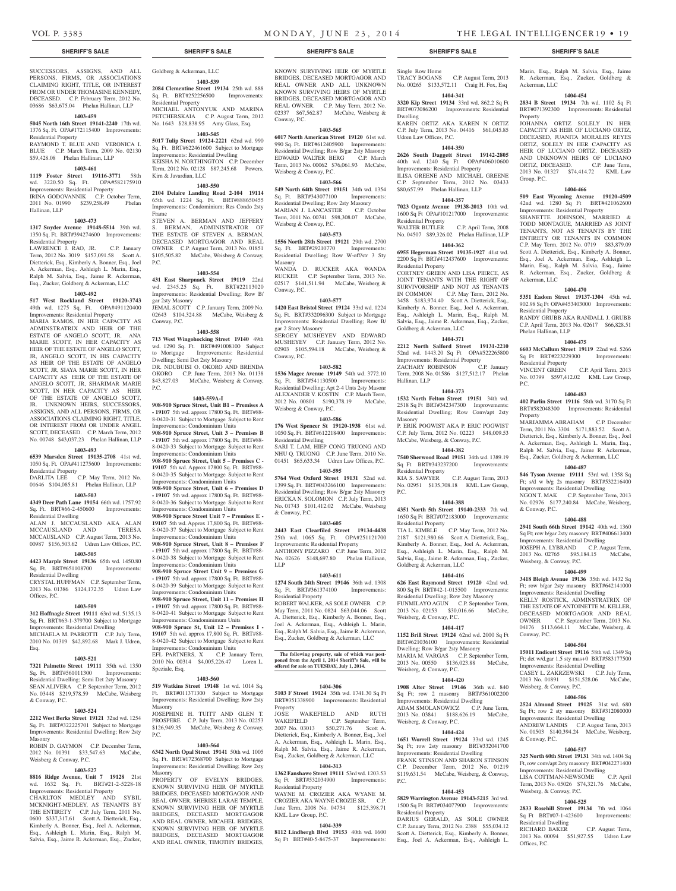Ackerman, LLC

Property

Group, P.C.

Ackerman, LLC

Residential Property

Phelan Hallinan, LLP

Residential Property

P.C.

Property

& Conway, P.C.

Conway, P.C.

& Conway, P.C.

Weisberg, & Conway, P.C.

Marin, Esq., Ralph M. Salvia, Esq., Jaime R. Ackerman, Esq., Zucker, Goldberg &

**1404-454 2834 B Street 19134** 7th wd. 1102 Sq Ft BRT#071392300 Improvements: Residential

JOHANNA ORTIZ SOLELY IN HER CAPACITY AS HEIR OF LUCIANO ORTIZ, DECEASED, JUANITA MORALES REYES ORTIZ, SOLELY IN HER CAPACITY AS HEIR OF LUCIANO ORTIZ, DECEASED AND UNKNOWN HEIRS OF LUCIANO ORTIZ, DECEASED. C.P. June Term, 2013 No. 01327 \$74,414.72 KML Law

**1404-466 509 East Wyoming Avenue 19120-4509**  42nd wd. 1280 Sq Ft BRT#421062600 Improvements: Residential Property SHANETTE JOHNSON, MARRIED & TODD MONTAGUE, MARRIED AS JOINT TENANTS, NOT AS TENANTS BY THE ENTIRETY OR TENANTS IN COMMON C.P. May Term, 2012 No. 0719 \$83,879.09 Scott A. Dietterick, Esq., Kimberly A. Bonner, Esq., Joel A. Ackerman, Esq., Ashleigh L. Marin, Esq., Ralph M. Salvia, Esq., Jaime R. Ackerman, Esq., Zucker, Goldberg &

**1404-470 5351 Eadom Street 19137-1304** 45th wd. 902.98 Sq Ft OPA#453403000 Improvements:

RANDY GRUBB AKA RANDALL J. GRUBB C.P. April Term, 2013 No. 02617 \$66,828.51

**1404-475 6603 McCallum Street 19119** 22nd wd. 5266 Sq Ft BRT#223229300 Improvements:

VINCENT GREEN C.P. April Term, 2013 No. 03799 \$597,412.02 KML Law Group,

**1404-483 402 Parlin Street 19116** 58th wd. 3170 Sq Ft BRT#582048300 Improvements: Residential

MARIAMMA ABRAHAM C.P. December Term, 2011 No. 3304 \$171,883.52 Scott A. Dietterick, Esq., Kimberly A. Bonner, Esq., Joel A. Ackerman, Esq., Ashleigh L. Marin, Esq., Ralph M. Salvia, Esq., Jaime R. Ackerman, Esq., Zucker, Goldberg & Ackerman, LLC **1404-487 846 Tyson Avenue 19111** 53rd wd. 1358 Sq Ft; s/d w b/g 2s masonry BRT#532216400 Improvements: Residential Dwelling NGON T. MAK C.P. September Term, 2013 No. 02976 \$177,240.84 McCabe, Weisberg,

**1404-488 2941 South 66th Street 19142** 40th wd. 1360 Sq Ft; row b/gar 2sty masonry BRT#406613400 Improvements: Residential Dwelling JOSEPH A. LYBRAND C.P. August Term,<br>2013 No. 02765 \$95.184.15 McCabe. 2013 No. 02765 \$95,184.15 Weisberg, & Conway, P.C.

**1404-499 3418 Bleigh Avenue 19136** 35th wd. 1432 Sq Ft; row b/gar 2sty masonry BRT#642141000 Improvements: Residential Dwelling KELLY ROSTICK, ADMINSTRATRIX OF THE ESTATE OF ANTOINETTE M. KELLER, DECEASED MORTGAGOR AND REAL OWNER C.P. September Term, 2013 No. 04176 \$113,664.11 McCabe, Weisberg, &

**1404-504 15011 Endicott Street 19116** 58th wd. 1349 Sq Ft; det w/d.gar 1.5 sty mas+0 BRT#583177500 Improvements: Residential Dwelling CASEY L. ZAKRZEWSKI C.P. July Term, 2013 No. 01891 \$151,528.06 McCabe,

**1404-506 2524 Almond Street 19125** 31st wd. 680 Sq Ft; row 2 sty masonry BRT#312080000 Improvements: Residential Dwelling ANDREW LANDIS C.P. August Term, 2013 No. 01503 \$140,394.24 McCabe, Weisberg,

**1404-517 325 North 60th Street 19131** 34th wd. 1404 Sq Ft, row conv/apt 2sty masonry BRT#042271400 Improvements: Residential Dwelling<br>
LISA COTTMAN-NEWSOME C.P. April

Term, 2013 No. 05026 \$74,321.76 McCabe,

**1404-525 2833 Rosehill Street 19134** 7th wd. 1064 Sq Ft BRT#07-1-423600 Improvements:

RICHARD BAKER C.P. August Term, 2013 No. 00094 \$51,927.55 Udren Law

LISA COTTMAN-NEWSOME

Weisberg, & Conway, P.C.

Residential Dwelling

Offices, P.C.

SUCCESSORS, ASSIGNS, AND ALL PERSONS, FIRMS, OR ASSOCIATIONS CLAIMING RIGHT, TITLE, OR INTEREST FROM OR UNDER THOMASINE KENNEDY, DECEASED. C.P. February Term, 2012 No. 03686 \$63,675.04 Phelan Hallinan, LLP

#### **1403-459**

**5045 North 16th Street 19141-2240** 17th wd. 1376 Sq. Ft. OPA#172115400 Improvements: Residential Property RAYMOND T. BLUE AND VERONICA I.

BLUE C.P. March Term, 2009 No. 02130 \$59,428.08 Phelan Hallinan, LLP

#### **1403-461**

**1119 Foster Street 19116-3771** 58th wd. 3220.50 Sq. Ft. OPA#582175910 Improvements: Residential Property IRINA GODOVANNIK C.P. October Term,

2011 No. 01990 \$239,258.49 Phelan Hallinan, LLP

#### **1403-473**

**1317 Snyder Avenue 19148-5514** 39th wd. 1350 Sq. Ft. BRT#394274600 Improvements:

Residential Property LAWRENCE J. RAO, JR. C.P. January Term, 2012 No. 3019 \$157,091.58 Scott A. Dietterick, Esq., Kimberly A. Bonner, Esq., Joel A. Ackerman, Esq., Ashleigh L. Marin, Esq., Ralph M. Salvia, Esq., Jaime R. Ackerman, Esq., Zucker, Goldberg & Ackerman, LLC

#### **1403-492**

**517 West Rockland Street 19120-3743**  49th wd. 1275 Sq. Ft. OPA#491120400

Improvements: Residential Property MARIA RAMOS, IN HER CAPACITY AS ADMINSTRATRIX AND HEIR OF THE ESTATE OF ANGELO SCOTT, JR. ANA MARIE SCOTT, IN HER CAPACITY AS HEIR OF THE ESTATE OF ANGELO SCOTT, JR, ANGELO SCOTT, IN HIS CAPACITY AS HEIR OF THE ESTATE OF ANGELO SCOTT, JR, SIAYA MARIE SCOTT, IN HER CAPACITY AS HEIR OF THE ESTATE OF ANGELO SCOTT, JR, SHARIMAR MARIE SCOTT, IN HER CAPACITY AS HEIR OF THE ESTATE OF ANGELO SCOTT, JR. UNKNOWN HEIRS, SUCCESSORS, ASSIGNS, AND ALL PERSONS, FIRMS, OR ASSOCIATIONS CLAIMING RIGHT, TITLE, OR INTEREST FROM OR UNDER ANGEL SCOTT, DECEASED. C.P. March Term, 2012 No. 00748 \$43,037.23 Phelan Hallinan, LLP

## **1403-493**

**6539 Marsden Street 19135-2708** 41st wd. 1050 Sq. Ft. OPA#411275600 Improvements: Residential Property DARLITA LEE C.P. May Term, 2012 No.

01646 \$104,085.81 Phelan Hallinan, LLP

## **1403-503**

**4349 Deer Path Lane 19154** 66th wd. 1757.92 Sq. Ft. BRT#66-2-450600 Improvements: Residential Dwelling ALAN J. MCCAUSLAND AKA ALAN<br>MCCAUSLAND AND TERESA

MCCAUSLAND AND TERESA MCCAUSLAND C.P. August Term, 2013 No. 00987 \$156,503.62 Udren Law Offices, P.C.

## **1403-505**

**4423 Marple Street 19136** 65th wd. 1450.80 Sq. Ft. BRT#651108700 Improvements: Residential Dwelling CRYSTAL HUFFMAN C.P. September Term, 2013 No. 01386 \$124,172.35 Udren Law

Offices, P.C.

## **1403-509**

**312 Hoffnagle Street 19111** 63rd wd. 5135.13 Sq. Ft. BRT#63-1-379700 Subject to Mortgage Improvements: Residential Dwelling MICHAELA M. PARROTTI C.P. July Term, 2010 No. 01319 \$42,892.68 Mark J. Udren, Esq.

#### **1403-521**

**7321 Palmetto Street 19111** 35th wd. 1350 Sq. Ft. BRT#561011300 Improvements: Residential Dwelling; Semi Det 2sty Masonry SEAN ALIVERA C.P. September Term, 2012 No. 03448 \$219,578.59 McCabe, Weisberg & Conway, P.C.

#### **1403-524**

**2212 West Berks Street 19121** 32nd wd. 1254 Sq. Ft. BRT#322225701 Subject to Mortgage Improvements: Residential Dwelling; Row 2sty Masonry ROBIN D. GAYMON C.P. December Term,

2012 No. 01391 \$33,547.63 McCabe, Weisberg & Conway, P.C.

## **1403-527**

**8816 Ridge Avenue, Unit 7 19128** 21st wd. 1632 Sq. Ft. BRT#21-2-5228-18 Improvements: Residential Property CHARLTON MEDLEY AND SYBIL MCKNIGHT-MEDLEY, AS TENANTS BY THE ENTIRETY C.P. July Term, 2011 No. 0600 \$337,317.61 Scott A. Dietterick, Esq., Kimberly A. Bonner, Esq., Joel A. Ackerman, Esq., Ashleigh L. Marin, Esq., Ralph M. Salvia, Esq., Jaime R. Ackerman, Esq., Zucker,

Goldberg & Ackerman, LLC **1403-539 2084 Clementine Street 19134** 25th wd. 888 Sq. Ft. BRT#252256500 Improvements:

Residential Property MICHAEL ANTONYUK AND MARINA PETCHERSKAIA C.P. August Term, 2012 No. 1643 \$28,838.95 Amy Glass, Esq.

## **1403-545**

**5017 Tulip Street 19124-2221** 62nd wd. 990 Sq. Ft. BRT#622461600 Subject to Mortgage Improvements: Residential Dwelling KEISHA N. NORTHINGTON C.P. December Term, 2012 No. 02128 \$87,245.68 Powers, Kirn & Javardian, LLC

#### **1403-550**

**2104 Delaire Landing Road 2-104 19114**  65th wd. 1224 Sq. Ft. BRT#888650455 Improvements: Condominium; Res Condo 2sty Frame

STEVEN A. BERMAN AND JEFFERY S. BERMAN, ADMINISTRATOR OF THE ESTATE OF STEVEN A. BERMAN, DECEASED MORTGAGOR AND REAL OWNER C.P. August Term, 2013 No. 01851 \$105,505.82 McCabe, Weisberg & Conway, P.C.

#### **1403-554**

**431 East Sharpnack Street 19119** 22nd wd. 2345.25 Sq. Ft. BRT#22113020 Improvements: Residential Dwelling; Row B/ gar 2sty Masonry JEMAL SCOTT C.P. January Term, 2009 No. 02643 \$104,324.88 McCabe, Weisberg &

#### **1403-558**

Conway, P.C.

**713 West Wingohocking Street 19140** 49th wd. 1290 Sq. Ft. BRT#491008100 Subject to Mortgage Improvements: Residential Dwelling; Semi Det 2sty Masonry DR. NDUBUISI O. OKORO AND BRENDA OKORO C.P. June Term, 2013 No. 01138 \$43,827.03 McCabe, Weisberg & Conway, P.C.

#### **1403-559A-I**

**908-910 Spruce Street, Unit B1 – Premises A - 19107** 5th wd. approx 17800 Sq. Ft. BRT#88- 8-0420-31 Subject to Mortgage Subject to Rent Improvements: Condominium Units

**908-910 Spruce Street, Unit 3 – Premises B - 19107** 5th wd. approx 17800 Sq. Ft. BRT#88- 8-0420-33 Subject to Mortgage Subject to Rent

Improvements: Condominium Units **908-910 Spruce Street, Unit 5 – Premises C - 19107** 5th wd. Approx 17800 Sq. Ft. BRT#88- 8-0420-35 Subject to Mortgage Subject to Rent

Improvements: Condominium Units **908-910 Spruce Street, Unit 6 – Premises D - 19107** 5th wd. approx 17800 Sq. Ft. BRT#88- 8-0420-36 Subject to Mortgage Subject to Rent Improvements: Condominium Units

**908-910 Spruce Street Unit 7 – Premises E - 19107** 5th wd. Approx 17,800 Sq. Ft. BRT#88- 8-0420-37 Subject to Mortgage Subject to Rent Improvements: Condominium Units

**908-910 Spruce Street, Unit 8 – Premises F - 19107** 5th wd. approx 17800 Sq. Ft. BRT#88- 8-0420-38 Subject to Mortgage Subject to Rent

Improvements: Condominium Units **908-910 Spruce Street Unit 9 – Premises G - 19107** 5th wd. approx 17800 Sq. Ft. BRT#88- 8-0420-39 Subject to Mortgage Subject to Rent

Improvements: Condominium Units **908-910 Spruce Street, Unit 11 – Premises H** 

#### **- 19107** 5th wd. approx 17800 Sq. Ft. BRT#88- 8-0420-41 Subject to Mortgage Subject to Rent Improvements: Condominimum Units

**908-910 Spruce St, Unit 12 – Premises I - 19107** 5th wd. approx 17,800 Sq. Ft. BRT#88- 8-0420-42 Subject to Mortgage Subject to Rent Improvements: Condominium Units

EFL PARTNERS, X C.P. January Term, 2010 No. 00314 \$4,005,226.47 Loren L. Speziale, Esq.

### **1403-560**

**519 Watkins Street 19148** 1st wd. 1014 Sq. Ft. BRT#011371300 Subject to Mortgage Improvements: Residential Dwelling; Row 2sty Masonry JOSEPHINE H. TUITT AND GLEN T. PROSPERE C.P. July Term, 2013 No. 02253

\$126,949.35 McCabe, Weisberg & Conway, P.C.

### **1403-564**

**6342 North Opal Street 19141** 50th wd. 1005 Sq. Ft. BRT#172368700 Subject to Mortgage Improvements: Residential Dwelling; Row 2sty Masonry

PROPERTY OF EVELYN BRIDGES. KNOWN SURVIVING HEIR OF MYRTLE BRIDGES, DECEASED MORTGAGOR AND REAL OWNER, SHERISE LARAE TEMPLE, KNOWN SURVIVING HEIR OF MYRTLE BRIDGES, DECEASED MORTGAGOR AND REAL OWNER, MICAHEL BRIDGES, KNOWN SURVIVING HEIR OF MYRTLE BRIDGES, DECEASED MORTGAGOR AND REAL OWNER, TIMOTHY BRIDGES,

KNOWN SURVIVING HEIR OF MYRTLE BRIDGES, DECEASED MORTGAGOR AND REAL OWNER AND ALL UNKNOWN KNOWN SURVIVING HEIRS OF MYRTLE BRIDGES, DECEASED MORTGAGOR AND REAL OWNER. C.P. May Term, 2012 No. 02337 \$67,562.87 McCabe, Weisberg & Conway, P.C.

## **1403-565**

**6017 North American Street 19120** 61st wd. 990 Sq. Ft. BRT#612405900 Improvements: Residential Dwelling; Row B/gar 2sty Masonry EDWARD WALTER BERG C.P. March Term, 2013 No. 00062 \$76,061.93 McCabe, Weisberg & Conway, P.C.

#### **1403-566**

**549 North 64th Street 19151** 34th wd. 1354 Sq. Ft. BRT#343077100 Improvements: Residential Dwelling; Row 2sty Masonry MARIAN J. LANCASTER C.P. October Term, 2011 No. 00741 \$98,308.07 McCabe, Weisberg & Conway, P.C.

#### **1403-573**

**1556 North 28th Street 19121** 29th wd. 2700 Sq. Ft. BRT#29210770 Improvements: Residential Dwelling; Row W-off/str 3 Sty Masonry WANDA D. RUCKER AKA WANDA RUCKER C.P. September Term, 2013 No.

02517 \$141,511.94 McCabe, Weisberg & Conway, P.C. **1403-577**

**1420 East Bristol Street 19124** 33rd wd. 1224 Sq. Ft. BRT#332096300 Subject to Mortgage Improvements: Residential Dwelling; Row B/ gar 2 Story Masonry SERGEY MUSHEYEV AND EDWARD MUSHEYEV C.P. January Term, 2012 No. 02903 \$105,594.18 McCabe, Weisberg & Conway, P.C.

### **1403-582**

**1536 Magee Avenue 19149** 54th wd. 3772.10 Sq. Ft. BRT#541130500 Improvements: Residential Dwelling; Apt 2-4 Unts 2sty Masonr ALEXANDER V. KOSTIN C.P. March Term, 2012 No. 00801 \$190,378.19 McCabe, Weisberg & Conway, P.C.

#### **1403-586**

**176 West Spencer St 19120-1938** 61st wd. 1050 Sq. Ft. BRT#612218400 Improvements: Residential Dwelling SARI T. LAM, HIEP CONG TRUONG AND NHU Q. TRUONG C.P. June Term, 2010 No. 01451 \$65,633.34 Udren Law Offices, P.C.

#### **1403-595**

**5764 West Oxford Street 19131** 52nd wd. 1399 Sq. Ft. BRT#043266100 Improvements: Residential Dwelling; Row B/gar 2sty Masonry ERICKA N. SOLOMON C.P. July Term, 2013 No. 01743 \$101,412.02 McCabe, Weisberg & Conway, P.C.

#### **1403-605**

**2443 East Clearfiled Street 19134-4438**  25th wd. 1065 Sq. Ft. OPA#251121700 Improvements: Residential Property ANTHONY PIZZARO C.P. June Term, 2012 No. 02626 \$148,697.80 Phelan Hallinan, LLP

#### **1403-611**

**1274 South 24th Street 19146** 36th wd. 1308<br>Sq. Ft. BRT#361374100 Improvements: Sq. Ft. BRT#361374100 Residential Property

ROBERT WALKER, AS SOLE OWNER C.P. May Term, 2011 No. 0824 \$63,044.06 Scott A. Dietterick, Esq., Kimberly A. Bonner, Esq., Joel A. Ackerman, Esq., Ashleigh L. Marin, Esq., Ralph M. Salvia, Esq., Jaime R. Ackerman, Esq., Zucker, Goldberg & Ackerman, LLC

## **The following property, sale of which was postponed from the April 1, 2014 Sheriff's Sale, will be offered for sale on TUESDAY, July 1, 2014.**

#### **1404-306**

**5103 F Street 19124** 35th wd. 1741.30 Sq Ft BRT#351338900 Improvements: Residential Property

JOSE WAKEFIELD AND RUTH WAKEFIELD C.P. September Term, 2007 No. 03013 \$50,271.76 Scott A. Dietterick, Esq., Kimberly A. Bonner, Esq., Joel Ackerman, Esq., Ashleigh L. Marin, Esq., Ralph M. Salvia, Esq., Jaime R. Ackerman, Esq., Zucker, Goldberg & Ackerman, LLC

#### **1404-313**

**1362 Fanshawe Street 19111** 53rd wd. 1203.53 Sq Ft BRT#532034900 Improvements: Residential Property WAYNE M. CROZIER AKA WYANE M. CROZIER AKA WAYNE CROZIE SR. C.P.

June Term, 2008 No. 04734 \$125,398.71 KML Law Group, P.C.

#### **1404-339**

**8112 Lindbergh Blvd 19153** 40th wd. 1600 Sq Ft BRT#40-5-8475-37 Improvements:

### **SHERIFF'S SALE SHERIFF'S SALE SHERIFF'S SALE SHERIFF'S SALE SHERIFF'S SALE**

Single Row Home TRACY BOGANS C.P. August Term, 2013 No. 00265 \$133,572.11 Craig H. Fox, Esq

#### **1404-341**

**3320 Kip Street 19134** 33rd wd. 862.2 Sq Ft BRT#073086200 Improvements: Residential Dwelling KAREN ORTIZ AKA KAREN N ORTIZ C.P. July Term, 2013 No. 04416 \$61,045.85 Udren Law Offices, P.C.

#### **1404-350**

**2626 South Daggett Street 19142-2805**  40th wd. 1240 Sq Ft OPA#406010600 Improvements: Residential Property ILISA GREENE AND MICHAEL GREENE C.P. September Term, 2012 No. 03433 \$80,657.99 Phelan Hallinan, LLP

**1404-357 7023 Ogontz Avenue 19138-2013** 10th wd. 1600 Sq Ft OPA#101217000 Improvements:

No. 04507 \$89,326.02 Phelan Hallinan, LLP **1404-362 6955 Hegerman Street 19135-1927** 41st wd. 2200 Sq Ft BRT#412437600 Improvements:

CORTNEY GREEN AND LISA PIERCE, AS JOINT TENANTS WITH THE RIGHT OF SURVIVORSHIP AND NOT AS TENANTS IN COMMON C.P. May Term, 2012 No. 3458 \$183,974.40 Scott A. Dietterick, Esq., Kimberly A. Bonner, Esq., Joel A. Ackerman, Esq., Ashleigh L. Marin, Esq., Ralph M. Salvia, Esq., Jaime R. Ackerman, Esq., Zucker,

**1404-371 2212 North Salford Street 19131-2210**  52nd wd. 1443.20 Sq Ft OPA#522265800 Improvements: Residential Property ZACHARY ROBINSON C.P. January Term, 2008 No. 01586 \$127,512.17 Phelan

**1404-373 1532 North Felton Street 19151** 34th wd. 2518 Sq Ft BRT#342347300 Improvements: Residential Dwelling; Row Conv/apt 2sty

P. ERIK POGWIST AKA P. ERIC POGWIST C.P. July Term, 2012 No. 02223 \$48,009.53 McCabe, Weisberg, & Conway, P.C. **1404-382 7540 Sherwood Road 19151** 34th wd. 1389.19 Sq Ft BRT#343237200 Improvements:

No. 02951 \$135,708.18 KML Law Group,

**1404-388 4351 North 5th Street 19140-2333** 7th wd. 1650 Sq Ft BRT#072183000 Improvements:

TIA L. KIMBLE C.P. May Term, 2012 No. 2187 \$121,980.66 Scott A. Dietterick, Esq., Kimberly A. Bonner, Esq., Joel A. Ackerman, Esq., Ashleigh L. Marin, Esq., Ralph M. Salvia, Esq., Jaime R. Ackerman, Esq., Zucker,

**1404-416 626 East Raymond Street 19120** 42nd wd. 800 Sq Ft BRT#42-1-015500 Improvements: Residential Dwelling; Row 2sty Masonry FUNMILAYO AGUN C.P. September Term, 2013 No. 02153 \$30,016.66 McCabe,

**1404-417 1152 Brill Street 19124** 62nd wd. 2000 Sq Ft BRT#621036100 Improvements: Residential Dwelling; Row B/gar 2sty Masonry MARIA M. VARGAS C.P. September Term, 2013 No. 00550 \$136,023.88 McCabe,

**1404-420 1908 Alter Street 19146** 36th wd. 840 Sq Ft; row 2 masonry BRT#361002200 Improvements: Residential Dwelling ADAM SMOLANOWICZ C.P. June Term, 2013 No. 03841 \$188,626.19 McCabe,

**1404-424 1651 Worrell Street 19124** 33rd wd. 1245 Sq Ft; row 2sty masonry BRT#332041700 Improvements: Residential Dwelling FRANK STINSON AND SHARON STINSON C.P. December Term, 2012 No. 01219 \$119,631.54 McCabe, Weisberg, & Conway,

**1404-453 5829 Warrington Avenue 19143-5215** 3rd wd. 1500 Sq Ft BRT#034077900 Improvements:

DARIUS GERALD, AS SOLE OWNER C.P. January Term, 2012 No. 2388 \$55,034.12 Scott A. Dietterick, Esq., Kimberly A. Bonner, Esq., Joel A. Ackerman, Esq., Ashleigh L.

C.P. August Term, 2013

C.P. April Term, 2008

Residential Property<br>WALTER BUTLER

Residential Property

Goldberg & Ackerman, LLC

Hallinan, LLP

Masonry

P.C.

Residential Property<br>KIA S. SAWYER

Residential Property

Goldberg & Ackerman, LLC

Weisberg, & Conway, P.C.

Weisberg, & Conway, P.C.

Weisberg, & Conway, P.C.

Residential Property

P.C.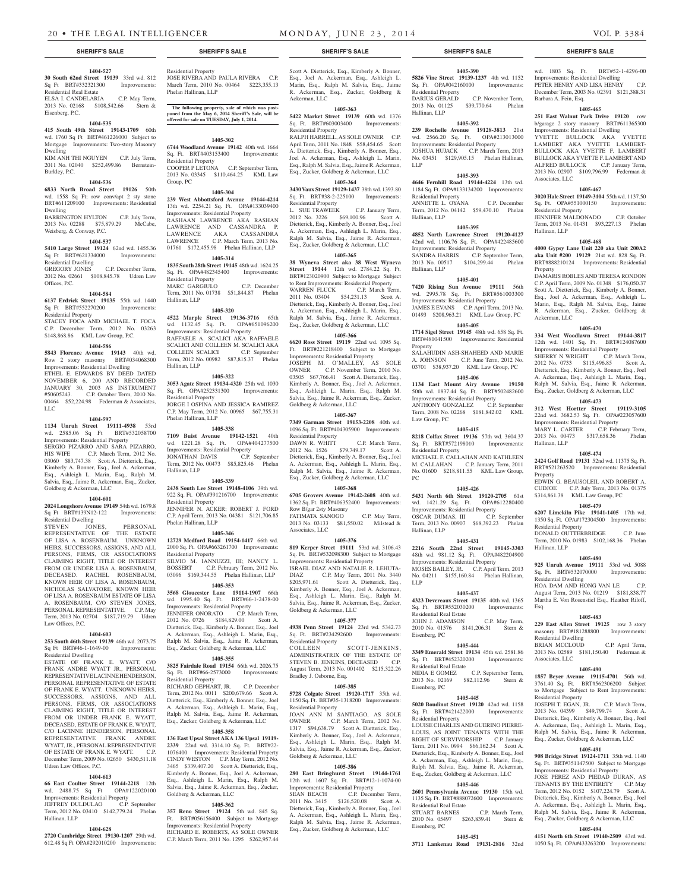#### **1404-527**

Eisenberg, P.C.

**30 South 62nd Street 19139** 33rd wd. 812 Sq Ft BRT#332321300 Improvements: Residential Real Estate ELSA I. CANDELARIA C.P. May Term, 2013 No. 02168 \$108,542.66 Stern &

### **1404-535**

**415 South 49th Street 19143-1709** 60th wd. 1760 Sq Ft BRT#461226000 Subject to Mortgage Improvements: Two-story Masonry Dwelling KIM ANH THI NGUYEN C.P. July Term,

2011 No. 02040 \$252,499.86 Bernstein-Burkley, P.C.

#### **1404-536**

**6833 North Broad Street 19126** 50th wd. 1558 Sq Ft; row conv/apt 2 sty stone BRT#611209100 Improvements: Residential Dwelling

#### BARRINGTON HYLTON C.P. July Term, 2013 No. 02288 \$75,879.29 McCabe, Weisberg, & Conway, P.C. **1404-537**

**5410 Large Street 19124** 62nd wd. 1455.36 Sq Ft BRT#621334000 Improvements: Residential Dwelling

C.P. December Term, 2012 No. 02661 \$108,845.78 Udren Law Offices, P.C.

#### **1404-584**

**6137 Erdrick Street 19135** 55th wd. 1440 Sq Ft BRT#552270200 Improvements: Residential Property STACEY FOCA AND MICHAEL T. FOCA

C.P. December Term, 2012 No. 03263 \$148,868.86 KML Law Group, P.C.

#### **1404-586**

**5843 Florence Avenue 19143** 40th wd. Row 2 story masonry BRT#034068300 Improvements: Residential Dwelling ETHEL E. EDWARDS BY DEED DATED NOVEMBER 6, 200 AND RECORDED JANUARY 30, 2003 AS INSTRUMENT #50605243. C.P. October Term, 2010 No. 00464 \$52,224.98 Federman & Associates, LLC

#### **1404-597**

**1134 Unruh Street 19111-4938** 53rd wd. 2585.06 Sq Ft BRT#532058700 Improvements: Residential Property SERGIO PIZARRO AND SARA PIZARRO, HIS WIFE C.P. March Term, 2012 No. 03060 \$83,747.38 Scott A. Dietterick, Esq., Kimberly A. Bonner, Esq., Joel A. Ackerman, Esq., Ashleigh L. Marin, Esq., Ralph M. Salvia, Esq., Jaime R. Ackerman, Esq., Zucker, Goldberg & Ackerman, LLC

#### **1404-601**

**2024 Longshore Avenue 19149** 54th wd. 1679.8 Sq Ft BRT#139N12-122 Improvements: Residential Dwelling<br>STEVEN JONES,

STEVEN JONES, PERSONAL REPRESENTATIVE OF THE ESTATE OF LISA A. ROSENBAUM. UNKNOWN HEIRS, SUCCESSORS, ASSIGNS, AND ALL PERSONS, FIRMS, OR ASSOCIATIONS CLAIMING RIGHT, TITLE OR INTEREST FROM OR UNDER LISA A. ROSENBAUM, DECEASED. RACHEL ROSENBAUM, KNOWN HEIR OF LISA A. ROSENBAUM, NICHOLAS SALVATORE, KNOWN HEIR OF LISA A. ROSENBAUM ESTATE OF LISA A. ROSENBAUM, C/O STEVEN JONES, PERSONAL REPRESENTATIVE. C.P. May Term, 2013 No. 02704 \$187,719.79 Udren Law Offices, P.C.

#### **1404-603**

**253 South 46th Street 19139** 46th wd. 2073.75 Sq Ft BRT#46-1-1649-00 Improvements: Residential Dwelling

ESTATE OF FRANK E. WYATT, C/O FRANK ANDRE WYATT JR., PERSONAL REPRESENTATIVE LACINNE HENDERSON, PERSONAL REPRESENTATIVE OF ESTATE OF FRANK E. WYATT. UNKNOWN HEIRS, SUCCESSORS, ASSIGNS, AND ALL PERSONS, FIRMS, OR ASSOCIATIONS CLAIMING RIGHT, TITLE OR INTEREST FROM OR UNDER FRANK E. WYATT, DECEASED, ESTATE OF FRANK E. WYATT C/O LACINNE HENDERSON, PERSONAL REPRESENTATIVE FRANK ANDRE WYATT, JR., PERSONAL REPRESENTATIVE OF ESTATE OF FRANK E. WYATT. C.P. December Term, 2009 No. 02650 \$430,511.18 Udren Law Offices, P.C.

## **1404-613**

## **66 East Coulter Street 19144-2218** 12th

wd. 2488.75 Sq Ft OPA#122020100 Improvements: Residential Property JEFFREY DULDULAO C.P. September Term, 2012 No. 03410 \$142,779.24 Phelan Hallinan, LLP

#### **1404-628**

**2720 Cambridge Street 19130-1207** 29th wd. 612.48 Sq Ft OPA#292010200 Improvements:

Residential Property JOSE RIVERA AND PAULA RIVERA C.P. March Term, 2010 No. 00464 \$223,355.13 Phelan Hallinan, LLP

**The following property, sale of which was post-poned from the May 6, 2014 Sheriff's Sale, will be offered for sale on TUESDAY, July 1, 2014.**

#### **1405-302**

**6744 Woodland Avenue 19142** 40th wd. 1664 Sq. Ft. BRT#403153400 Improvements: Residential Property COOPER P LETONA C.P. September Term, 2013 No. 03345 \$110,464.25 KML Law

Group, PC

Hallinan, LLP

**1405-304 239 West Abbottsford Avenue 19144-4214**  13th wd. 2254.21 Sq. Ft. OPA#133039400 Improvements: Residential Property RASHAAN LAWRENCE AKA RASHAN LAWRENCE AND CASSANDRA P. LAWRENCE AKA CASSANDRA LAWRENCE C.P. March Term, 2013 No. 01761 \$172,455.98 Phelan Hallinan, LLP

### **1405-314**

**1835 South 28th Street 19145** 48th wd. 1624.25<br> **Sq. Ft. OPA#482345400** Improvements: Sq. Ft. OPA#482345400 Residential Property MARC GARGIULO C.P. December Term, 2011 No. 01738 \$51,844.87 Phelan

**1405-320 4522 Marple Street 19136-3716** 65th wd.  $1132.45$  Sq. Ft. Improvements: Residential Property RAFFAELE A. SCALICI AKA RAFFAELE SCALICI AND COLLEEN M. SCALICI AKA<br>COLLEEN SCALICI C.P. September C.P. September Term, 2012 No. 00982 \$87,815.37 Phelan Hallinan, LLP

#### **1405-322**

**3053 Agate Street 19134-4320** 25th wd. 1030 Sq. Ft. OPA#252331300 Improvements: Residential Property JORGE I OSPINA AND JESSICA RAMIREZ C.P. May Term, 2012 No. 00965 \$67,755.31 Phelan Hallinan, LLP

## **1405-338**

**7109 Buist Avenue 19142-1521** 40th wd. 1221.28 Sq. Ft. OPA#404277500 Improvements: Residential Property<br>IONATHAN DAVIS C.P. September Term, 2012 No. 00473 \$85,825.46 Phelan Hallinan, LLP

## **1405-339**

**2438 South Lee Street 19148-4106** 39th wd. 922 Sq. Ft. OPA#391216700 Improvements: Residential Property JENNIFER N. ACKER; ROBERT J. FORD C.P. April Term, 2013 No. 04381 \$121,706.85 Phelan Hallinan, LLP

### **1405-346**

**12729 Medford Road 19154-1417** 66th wd. 2000 Sq. Ft. OPA#663261700 Improvements: Residential Property SILVIO M. IANNUZZI, III; NANCY L.

BOSSERT C.P. February Term, 2012 No. 03096 \$169,344.55 Phelan Hallinan, LLP **1405-353**

**3568 Gloucester Lane 19114-1907** 66th wd. 1995.40 Sq. Ft. BRT#66-1-2478-00 Improvements: Residential Property

JENNIFER ONORATO C.P. March Term, 2012 No. 0726 \$184,829.00 Scott A. Dietterick, Esq., Kimberly A. Bonner, Esq., Joel A. Ackerman, Esq., Ashleigh L. Marin, Esq., Ralph M. Salvia, Esq., Jaime R. Ackerman, Esq., Zucker, Goldberg & Ackerman, LLC

#### **1405-355**

**3825 Fairdale Road 19154** 66th wd. 2026.75 Sq. Ft. BRT#66-2573000 Improvements: Residential Property

RICHARD GEPHART, JR. C.P. December Term, 2012 No. 0011 \$200,679.66 Scott A. Dietterick, Esq., Kimberly A. Bonner, Esq., Joel A. Ackerman, Esq., Ashleigh L. Marin, Esq., Ralph M. Salvia, Esq., Jaime R. Ackerman, Esq., Zucker, Goldberg & Ackerman, LLC

#### **1405-358**

**136 East Upsal Street AKA 136 Upsal 19119- 2339** 22nd wd. 3314.10 Sq. Ft. BRT#22- 1076400 Improvements: Residential Property CINDY WESTON C.P. May Term, 2012 No. 3465 \$339,407.20 Scott A. Dietterick, Esq., Kimberly A. Bonner, Esq., Joel A. Ackerman, Esq., Ashleigh L. Marin, Esq., Ralph M. Salvia, Esq., Jaime R. Ackerman, Esq., Zucker, Goldberg & Ackerman, LLC

#### **1405-362**

**357 Reno Street 19124** 5th wd. 845 Sq. Ft. BRT#056156400 Subject to Mortgage Improvements: Residential Property

RICHARD E. ROBERTS, AS SOLE OWNER C.P. March Term, 2011 No. 1295 \$262,957.44

#### **SHERIFF'S SALE SHERIFF'S SALE SHERIFF'S SALE SHERIFF'S SALE SHERIFF'S SALE**

Scott A. Dietterick, Esq., Kimberly A. Bonner, Esq., Joel A. Ackerman, Esq., Ashleigh L. Marin, Esq., Ralph M. Salvia, Esq., Jaime R. Ackerman, Esq., Zucker, Goldberg & Ackerman, LLC

**1405-363 5422 Market Street 19139** 60th wd. 1376 Sq. Ft. BRT#603003400 Improvements: Residential Property

RALPH HARRELL, AS SOLE OWNER C.P. April Term, 2011 No. 1848 \$58,454.65 Scott A. Dietterick, Esq., Kimberly A. Bonner, Esq., Joel A. Ackerman, Esq., Ashleigh L. Marin, Esq., Ralph M. Salvia, Esq., Jaime R. Ackerman, Esq., Zucker, Goldberg & Ackerman, LLC

**1405-364 3430 Vaux Street 19129-1437** 38th wd. 1393.80 Sq. Ft. BRT#38-2-225100 Improvements:

Residential Property L. SUE TRAWEEK C.P. January Term, 2012 No. 3226 \$69,100.96 Scott A. Dietterick, Esq., Kimberly A. Bonner, Esq., Joel A. Ackerman, Esq., Ashleigh L. Marin, Esq., Ralph M. Salvia, Esq., Jaime R. Ackerman, Esq., Zucker, Goldberg & Ackerman, LLC

## **1405-365**

**38 Wyneva Street aka 38 West Wyneva Street 19144** 12th wd. 2784.22 Sq. Ft. BRT#123020900 Subject to Mortgage Subject to Rent Improvements: Residential Property WARREN FLUCK C.P. March Term, 2011 No. 03404 \$54,231.13 Scott A. Dietterick, Esq., Kimberly A. Bonner, Esq., Joel A. Ackerman, Esq., Ashleigh L. Marin, Esq., Ralph M. Salvia, Esq., Jaime R. Ackerman, Esq., Zucker, Goldberg & Ackerman, LLC

#### **1405-366**

**6620 Ross Street 19119** 22nd wd. 1095 Sq. Ft. BRT#221218400 Subject to Mortgage Improvements: Residential Property JOSEPH M. O'MALLEY, AS SOLE OWNER C.P. November Term, 2010 No. 03505 \$67,766.41 Scott A. Dietterick, Esq., Kimberly A. Bonner, Esq., Joel A. Ackerman, Esq., Ashleigh L. Marin, Esq., Ralph M. Salvia, Esq., Jaime R. Ackerman, Esq., Zucker, Goldberg & Ackerman, LLC

#### **1405-367**

**7349 Garman Street 19153-2208** 40th wd. 1096 Sq. Ft. BRT#404305900 Improvements: Residential Property<br>DAWN R. WHITT C.P. March Term, 2012 No. 1526 \$79,749.17 Scott A. Dietterick, Esq., Kimberly A. Bonner, Esq., Joel A. Ackerman, Esq., Ashleigh L. Marin, Esq., Ralph M. Salvia, Esq., Jaime R. Ackerman, Esq., Zucker, Goldberg & Ackerman, LLC

#### **1405-368**

**6705 Grovers Avenue 19142-2608** 40th wd. 1362 Sq. Ft. BRT#406352400 Improvements: Row B/gar 2sty Masonry FATIMATA SANOGO C.P. May Term,

2013 No. 03133 \$81,550.02 Milstead & Associates, LLC

#### **1405-376**

**819 Kerper Street 19111** 53rd wd. 3106.43 Sq. Ft. BRT#532098300 Subject to Mortgage Improvements: Residential Property

ISRAEL DIAZ AND NATALIE R. LEHUTA-DIAZ C.P. May Term, 2011 No. 3440 \$205,971.61 Scott A. Dietterick, Esq., Kimberly A. Bonner, Esq., Joel A. Ackerman, Esq., Ashleigh L. Marin, Esq., Ralph M. Salvia, Esq., Jaime R. Ackerman, Esq., Zucker, Goldberg & Ackerman, LLC

#### **1405-377**

**4938 Penn Street 19124** 23rd wd. 5342.73 Sq. Ft. BRT#234292600 Improvements: Residential Property<br>COLLEEN

SCOTT-JENKINS, ADMINISTRATRIX OF THE ESTATE OF STEVEN B. JENKINS, DECEASED C.P. August Term, 2013 No. 001402 \$215,322.26 Bradley J. Osborne, Esq.

## **1405-385**

**5728 Colgate Street 19120-1717** 35th wd. 1150 Sq. Ft. BRT#35-1318200 Improvements: Residential Property

JOAN ANN M SANTIAGO, AS SOLE OWNER C.P. March Term, 2012 No. 1317 \$94,638.79 Scott A. Dietterick, Esq., Kimberly A. Bonner, Esq., Joel A. Ackerman, Esq., Ashleigh L. Marin, Esq., Ralph M. Salvia, Esq., Jaime R. Ackerman, Esq., Zucker, Goldberg & Ackerman, LLC

#### **1405-386**

**280 East Bringhurst Street 19144-1761**  12th wd. 1607 Sq. Ft. BRT#12-1-1074-00 Improvements: Residential Property SEAN BEACH C.P. December Term, 2011 No. 3415 \$126,520.08 Scott A. Dietterick, Esq., Kimberly A. Bonner, Esq., Joel A. Ackerman, Esq., Ashleigh L. Marin, Esq., Ralph M. Salvia, Esq., Jaime R. Ackerman, Esq., Zucker, Goldberg & Ackerman, LLC

wd. 1803 Sq. Ft. BRT#52-1-4296-00 Improvements: Residential Dwelling PETER HENRY AND LISA HENRY C.P. December Term, 2003 No. 02391 \$121,388.31

**1405-465 251 East Walnut Park Drive 19120** row b/garage 2 story masonry BRT#611365300 Improvements: Residential Dwelling YVETTE BULLOCK AKA YVETTE LAMBERT AKA YVETTE LAMBERT-BULLOCK AKA YVETTE F. LAMBERT BULLOCK AKA YVETTE F. LAMBERT AND ALFRED BULLOCK C.P. January Term, 2013 No. 02907 \$109,796.99 Federman &

**1405-467 3020 Hale Street 19149-3104** 55th wd. 1137.50 Sq. Ft. OPA#551000150 Improvements:

JENNIFER MALDONADO C.P. October Term, 2013 No. 01431 \$93,227.13 Phelan

**1405-468 4000 Gypsy Lane Unit 220 aka Unit 200A2 aka Unit #200 19129** 21st wd. 828 Sq. Ft. BRT#888210124 Improvements: Residential

DAMARIS ROBLES AND TERESA RONDON C.P. April Term, 2009 No. 01348 \$176,050.37 Scott A. Dietterick, Esq., Kimberly A. Bonner, Esq., Joel A. Ackerman, Esq., Ashleigh L. Marin, Esq., Ralph M. Salvia, Esq., Jaime R. Ackerman, Esq., Zucker, Goldberg &

**1405-470 334 West Woodlawn Street 19144-3817**  12th wd. 1401 Sq. Ft. BRT#124087600 Improvements: Residential Property SHERRY N WRIGHT C.P. March Term, 2012 No. 0733 \$115,496.85 Scott A. Dietterick, Esq., Kimberly A. Bonner, Esq., Joel A. Ackerman, Esq., Ashleigh L. Marin, Esq., Ralph M. Salvia, Esq., Jaime R. Ackerman, Esq., Zucker, Goldberg & Ackerman, LLC **1405-473 312 West Hortter Street 19119-3105**  22nd wd. 3682.53 Sq. Ft. OPA#223057600 Improvements: Residential Property MARY L. CARTER C.P. February Term, 2013 No. 00473 \$317,658.36 Phelan

**1405-474 2424 Golf Road 19131** 52nd wd. 11375 Sq. Ft. BRT#521263520 Improvements: Residential

EDWIN G. BEAUSOLEIL AND ROBERT A. CUDJOE C.P. July Term, 2013 No. 01375 \$314,861.38 KML Law Group, PC **1405-479 6207 Limekiln Pike 19141-1405** 17th wd. 1350 Sq. Ft. OPA#172304500 Improvements:

DONALD OUTTERBRIDGE C.P. June Term, 2010 No. 01983 \$102,168.36 Phelan

**1405-480 925 Unruh Avenue 19111** 53rd wd. 5088 Sq. Ft. BRT#532070000 Improvements:

HOA DAM AND HONG VAN LE C.P. August Term, 2013 No. 01219 \$181,838.77 Martha E. Von Rosenstiel Esq., Heather Riloff,

**1405-483 229 East Allen Street 19125** row 3 story masonry BRT#181288800 Improvements:

BRIAN MCCLOUD C.P. April Term, 2013 No. 02589 \$181,150.40 Federman &

**1405-490 1857 Beyer Avenue 19115-4701** 56th wd. 3761.40 Sq. Ft. BRT#562306200 Subject to Mortgage Subject to Rent Improvements:

JOSEPH T. EGAN, JR. C.P. March Term, 2013 No. 04399 \$49,799.74 Scott A. Dietterick, Esq., Kimberly A. Bonner, Esq., Joel A. Ackerman, Esq., Ashleigh L. Marin, Esq., Ralph M. Salvia, Esq., Jaime R. Ackerman, Esq., Zucker, Goldberg & Ackerman, LLC **1405-491 908 Bridge Street 19124-1711** 35th wd. 1140 Sq. Ft. BRT#351147500 Subject to Mortgage Improvements: Residential Property JOSE PEREZ AND PIEDAD DURAN, AS TENANTS BY THE ENTIRETY C.P. May Term, 2012 No. 0152 \$107,224.79 Scott A. Dietterick, Esq., Kimberly A. Bonner, Esq., Joel A. Ackerman, Esq., Ashleigh L. Marin, Esq., Ralph M. Salvia, Esq., Jaime R. Ackerman, Esq., Zucker, Goldberg & Ackerman, LLC **1405-494 4151 North 6th Street 19140-2509** 43rd wd. 1050 Sq. Ft. OPA#433263200 Improvements:

Barbara A. Fein, Esq.

Associates, LLC

Residential Property

Hallinan, LLP

Property

Ackerman, LLC

Hallinan, LLP

Residential Property

Residential Dwelling

Residential Dwelling

Associates, LLC

Residential Property

Hallinan, LLP

Esq.

Property

## **1405-390**

**5826 Vine Street 19139-1237** 4th wd. 1152 Sq. Ft. OPA#042160100 Improvements: Residential Property<br>DARIUS GERALD C.P. November Term, 2013 No. 01125 \$39,770.64 Phelan Hallinan, LLP

#### **1405-392**

**239 Rochelle Avenue 19128-3813** 21st wd. 2566.20 Sq. Ft. OPA#213013000 Improvements: Residential Property JOSHUA HUJACK C.P. March Term, 2013 No. 03451 \$129,905.15 Phelan Hallinan, LLP

## **1405-393**

**4646 Fernhill Road 19144-4224** 13th wd. 1184 Sq. Ft. OPA#133134200 Improvements: Residential Property ANNETTE L. OYANA C.P. December Term, 2012 No. 04142 \$59,470.10 Phelan Hallinan, LLP

## **1405-395**

**4852 North Lawrence Street 19120-4127**  42nd wd. 1106.76 Sq. Ft. OPA#422485600 Improvements: Residential Property SANDRA HARRIS C.P. September Term, 2013 No. 00517 \$104,299.44 Phelan Hallinan, LLP

#### **1405-401**

**7420 Rising Sun Avenue 19111** 56th wd. 2995.78 Sq. Ft. BRT#561003300 Improvements: Residential Property JAMES E EVANS C.P. April Term, 2013 No. 01493 \$208,963.21 KML Law Group, PC

#### **1405-405 1714 Sigel Street 19145** 48th wd. 658 Sq. Ft. BRT#481041500 Improvements: Residential

Property SALAHUDIN ASH-SHAHEED AND MARIE A. JOHNSON C.P. June Term, 2012 No. 03701 \$38,937.20 KML Law Group, PC **1405-406**

#### **1134 East Mount Airy Avenue 19150**  50th wd. 1837.44 Sq. Ft. BRT#502482600

**1405-415 8218 Colfax Street 19136** 57th wd. 3604.37 Sq. Ft. BRT#572198010 Improvements:

MICHAEL F. CALLAHAN AND KATHLEEN M. CALLAHAN C.P. January Term, 2011 No. 01600 \$218,811.55 KML Law Group,

**1405-426 5431 North 6th Street 19120-2705** 61st

**1405-431 2216 South 22nd Street 19145-3303**  48th wd. 981.12 Sq. Ft. OPA#482204900 Improvements: Residential Property MOSES BAILEY, JR. C.P. April Term, 2013 No. 04211 \$155,160.84 Phelan Hallinan,

**1405-437 4323 Devereaux Street 19135** 40th wd. 1365 Sq. Ft. BRT#552030200 Improvements:

JOHN J. ADAMSON C.P. May Term, 2010 No. 01576 \$141,206.31 Stern &

**1405-444 3349 Emerald Street 19134** 45th wd. 2581.86 Sq. Ft. BRT#452320200 Improvements:

NIDIA E GOMEZ C.P. September Term, 2013 No. 02169 \$82,112.96 Stern &

**1405-445 5020 Boudinot Street 19120** 42nd wd. 1158 Sq. Ft. BRT#421422000 Improvements:

LOUISE CHARLES AND GUERINO PIERRE-LOUIS, AS JOINT TENANTS WITH THE RIGHT OF SURVIVORSHIP C.P. January Term, 2011 No. 0994 \$66,162.34 Scott A. Dietterick, Esq., Kimberly A. Bonner, Esq., Joel A. Ackerman, Esq., Ashleigh L. Marin, Esq., Ralph M. Salvia, Esq., Jaime R. Ackerman, Esq., Zucker, Goldberg & Ackerman, LLC **1405-446 2601 Pennsylvania Avenue 19130** 15th wd. 1135 Sq. Ft. BRT#888072600 Improvements:

2010 No. 05497 \$263,839.41 Stern &

**1405-451 3711 Lankenau Road 19131-2816** 32nd

C.P. March Term,

Improvements: Residential Property ANTHONY GONZALEZ C.P. September Term, 2008 No. 02268 \$181,842.02 KML

Law Group, PC

Residential Property

wd. 1421.29 Sq. Ft. Improvements: Residential Property OSCAR DUMAS, III C.P. September Term, 2013 No. 00907 \$68,392.23 Phelan

Residential Real Estate

Residential Real Estate

Eisenberg, PC

Eisenberg, PC

Residential Property

Residential Real Estate<br>STUART BARNES

Eisenberg, PC

Hallinan, LLP

LLP

PC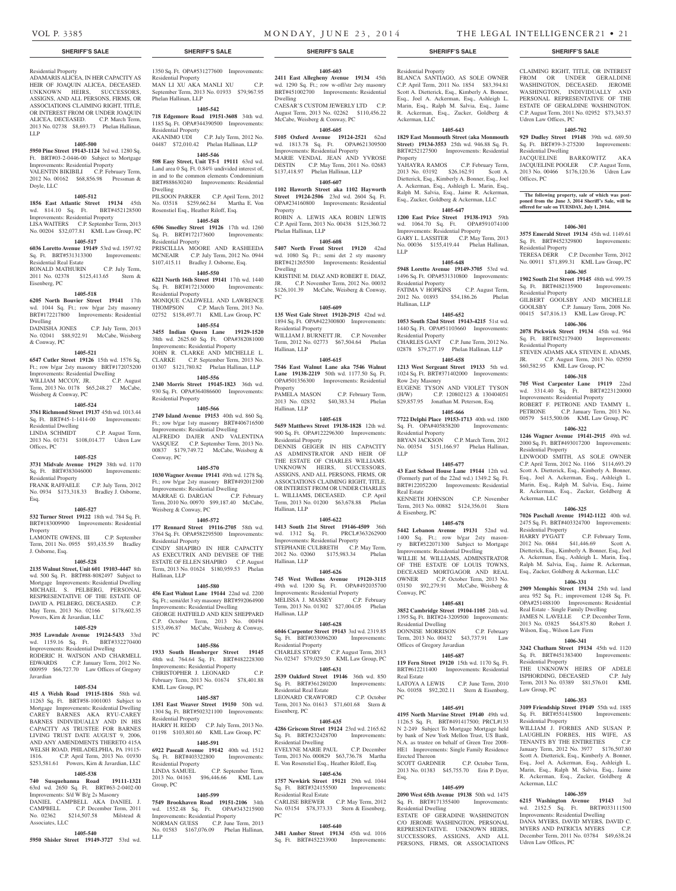Udren Law Offices, PC

Residential Dwelling

Residential Property

Residential Property

Residential Property

Residential Property

Ackerman, LLC

Residential Property

Wilson, Esq., Wilson Law Firm

Residential Property

Residential Property

Law Group, PC

Ackerman, LLC

Udren Law Offices, PC

**1406-341 3242 Chatham Street 19134** 45th wd. 1120 Sq. Ft. BRT#451383400 Improvements:

THE UNKNOWN HEIRS OF ADELE<br>ISPHORDING, DECEASED C.P. July ISPHORDING, DECEASED Term, 2013 No. 03389 \$81,576.01 KML

**1406-353 3109 Friendship Street 19149** 55th wd. 1885 Sq. Ft. BRT#551415800 Improvements:

WILLIAM J. FORBES AND SUSAN P. LAUGHLIN FORBES, HIS WIFE, AS TENANTS BY THE ENTIRETIES January Term, 2012 No. 3977 \$176,507.80 Scott A. Dietterick, Esq., Kimberly A. Bonner, Esq., Joel A. Ackerman, Esq., Ashleigh L. Marin, Esq., Ralph M. Salvia, Esq., Jaime R. Ackerman, Esq., Zucker, Goldberg &

**1406-359 6215 Washington Avenue 19143** 3rd wd. 2152.5 Sq. Ft. BRT#033111500 Improvements: Residential Dwelling DANA MYERS, DAVID MYERS, DAVID C. MYERS AND PATRICIA MYERS C.P. December Term, 2011 No. 03784 \$49,638.24

Offices, PC

CLAIMING RIGHT, TITLE, OR INTEREST FROM OR UNDER GERALDINE WASHINGTON, DECEASED. JEROME WASHINGTON, INDIVIDUALLY AND PERSONAL REPRESENTATIVE OF THE ESTATE OF GERALDINE WASHINGTON. C.P. August Term, 2011 No. 02952 \$73,343.57

**1405-702 929 Dudley Street 19148** 39th wd. 689.50 Sq. Ft. BRT#39-3-275200 Improvements:

JACQUELINE BARKOWITZ AKA JACQUELINE POOLER C.P. August Term, 2013 No. 00466 \$176,120.36 Udren Law

**The following property, sale of which was post-poned from the June 3, 2014 Sheriff's Sale, will be offered for sale on TUESDAY, July 1, 2014.**

**1406-301 3575 Emerald Street 19134** 45th wd. 1149.61 Sq. Ft. BRT#452329800 Improvements:

TERESA DERR C.P. December Term, 2012 No. 00911 \$71,899.31 KML Law Group, PC **1406-305 1902 South 21st Street 19145** 48th wd. 999.75 Sq. Ft. BRT#482135900 Improvements:

GILBERT GOOLSBY AND MICHELLE GOOLSBY C.P. January Term, 2008 No. 00415 \$47,816.13 KML Law Group, PC **1406-306 2078 Pickwick Street 19134** 45th wd. 964 Sq. Ft. BRT#452179400 Improvements:

STEVEN ADAMS AKA STEVEN E. ADAMS, JR. C.P. August Term, 2013 No. 02950 \$60,582.95 KML Law Group, PC **1406-318 705 West Carpenter Lane 19119** 22nd wd. 3314.40 Sq. Ft. BRT#223120000 Improvements: Residential Property ROBERT F. PETRONE AND TAMMY L.<br>PETRONE C.P. January Term. 2013 No.

00579 \$415,500.06 KML Law Group, PC **1406-322 1246 Wagner Avenue 19141-2915** 49th wd. 2000 Sq. Ft. BRT#493017200 Improvements:

LINWOOD SMITH, AS SOLE OWNER C.P. April Term, 2012 No. 1166 \$114,693.29 Scott A. Dietterick, Esq., Kimberly A. Bonner, Esq., Joel A. Ackerman, Esq., Ashleigh L. Marin, Esq., Ralph M. Salvia, Esq., Jaime R. Ackerman, Esq., Zucker, Goldberg &

**1406-325 7026 Paschall Avenue 19142-1122** 40th wd. 2475 Sq. Ft. BRT#403324700 Improvements:

HARRY PYGATT C.P. February Term, 2012 No. 0684 \$41,446.69 Scott A. Dietterick, Esq., Kimberly A. Bonner, Esq., Joel A. Ackerman, Esq., Ashleigh L. Marin, Esq., Ralph M. Salvia, Esq., Jaime R. Ackerman, Esq., Zucker, Goldberg & Ackerman, LLC **1406-331 2909 Memphis Street 19134** 25th wd. land area 952 Sq. Ft.; improvement 1248 Sq. Ft. OPA#251488100 Improvements: Residential Real Estate - Single Family Dwelling JAMES N. LAVELLE C.P. December Term, 2013 No. 03825 \$64,875.80 Robert J.

C.P. January Term, 2013 No.

## **SHERIFF'S SALE SHERIFF'S SALE SHERIFF'S SALE SHERIFF'S SALE SHERIFF'S SALE**

## Residential Property

ADAMARIS ALICEA, IN HER CAPACITY AS HEIR OF JOAQUIN ALICEA, DECEASED. UNKNOWN HEIRS, SUCCESSORS, ASSIGNS, AND ALL PERSONS, FIRMS, OR ASSOCIATIONS CLAIMING RIGHT, TITLE OR INTEREST FROM OR UNDER JOAQUIN ALICEA, DECEASED. C.P. March Term, 2013 No. 02738 \$8,693.73 Phelan Hallinan, LLP

#### **1405-500**

**5950 Pine Street 19143-1124** 3rd wd. 1280 Sq. Ft. BRT#03-2-0446-00 Subject to Mortgage Improvements: Residential Property VALENTIN BIKIBILI C.P. February Term, 2012 No. 00162 \$68,856.98 Pressman &

#### **1405-512**

**1856 East Atlantic Street 19134** 45th wd. 814.10 Sq. Ft. BRT#452128500 Improvements: Residential Property LISA WAITERS C.P. September Term, 2013 No. 00204 \$32,077.81 KML Law Group, PC

## **1405-517**

Doyle, LLC

**6036 Loretto Avenue 19149** 53rd wd. 1597.92 Sq. Ft. BRT#531313300 Improvements: Residential Real Estate RONALD MATHURIN C.P. July Term,

#### 2011 No. 02378 \$125,413.65 Stern & Eisenberg, PC **1405-518**

**6205 North Bouvier Street 19141** 17th wd. 1044 Sq. Ft.; row b/gar 2sty masonry BRT#172217800 Improvements: Residential Dwelling

DAINISHA JONES C.P. July Term, 2013 No. 02041 \$88,922.91 McCabe, Weisberg & Conway, PC

## **1405-521**

**6547 Cutler Street 19126** 15th wd. 1576 Sq. Ft.; row b/gar 2sty masonry BRT#172075200 Improvements: Residential Dwelling WILLIAM MCCOY, JR. C.P. August Term, 2013 No. 0178 \$65,248.27 McCabe, Weisberg & Conway, PC

#### **1405-524**

**3761 Richmond Street 19137** 45th wd. 1013.44 Sq. Ft. BRT#45-1-1414-00 Improvements: Residential Dwelling<br>LINDA SCHMIDT C.P. August Term,

2013 No. 01731 \$108,014.77 Udren Law Offices, PC

## **1405-525**

**3731 Midvale Avenue 19129** 38th wd. 1170 Sq. Ft. BRT#383046000 Improvements: Residential Property

FRANK RAFFAELE C.P. July Term, 2012 No. 0934 \$173,318.33 Bradley J. Osborne, Esq.

#### **1405-527**

**532 Turner Street 19122** 18th wd. 784 Sq. Ft. BRT#183009900 Improvements: Residential Property LAMONTE OWENS, III C.P. September

Term, 2011 No. 0955 \$93,435.59 Bradley J. Osborne, Esq.

#### **1405-528**

**2135 Walnut Street, Unit 601 19103-4447** 8th wd. 500 Sq. Ft. BRT#88-8082497 Subject to Mortgage Improvements: Residential Dwelling MICHAEL S. PELBERG, PERSONAL RESPRESENTATIVE OF THE ESTATE OF DAVID A. PELBERG, DECEASED. C.P. May Term, 2013 No. 02166 \$178,602.35 Powers, Kirn & Javardian, LLC

#### **1405-529**

**3935 Lawndale Avenue 19124-5433** 33rd wd. 1159.16 Sq. Ft. BRT#332270400 Improvements: Residential Dwelling RODERIC H. WATSON AND CHARMELL EDWARDS C.P. January Term, 2012 No. 000959 \$66,727.70 Law Offices of Gregory Javardian

#### **1405-534**

**415 A Welsh Road 19115-1816** 58th wd. 11263 Sq. Ft. BRT#58-1001003 Subject to Mortgage Improvements: Residential Dwelling CAREY BARNES AKA RYU-CAREY BARNES INDIVIDUALLY AND IN HIS CAPACITY AS TRUSTEE FOR BARNES LIVING TRUST DATE AUGUST 9, 2006, AND ANY AMENDMENTS THERETO 415A WELSH ROAD, PHILADELPHIA, PA 19115- 1816. C.P. April Term, 2013 No. 01930 \$253,581.61 Powers, Kirn & Javardian, LLC

## **1405-538**

**740 Susquehanna Road 19111-1321**  63rd wd. 2650 Sq. Ft. BRT#63-2-0402-00 Improvements: S/d W B/g 2s Masonry DANIEL CAMPBELL AKA DANIEL J. CAMPBELL C.P. December Term, 2011 No. 02362 \$214,507.58 Milstead & Associates, LLC

#### **1405-540**

**5950 Shisler Street 19149-3727** 53rd wd.

# 1350 Sq. Ft. OPA#531277600 Improvements:

Residential Property MAN LI XU AKA MANLI XU C.P. September Term, 2013 No. 01933 \$79,967.95 Phelan Hallinan, LLP

## **1405-542**

**718 Edgemore Road 19151-3608** 34th wd. 1185 Sq. Ft. OPA#344390500 Improvements: Residential Property AKANIMO UDI C.P. July Term, 2012 No.

#### 04487 \$72,010.42 Phelan Hallinan, LLP **1405-546**

**508 Easy Street, Unit T5-1 19111** 63rd wd. Land area 0 Sq. Ft. 0.84% undivided interest of, in and to the common elements Condominium BRT#888630240 Improvements: Residential Dwelling

PILSOON PARKER C.P. April Term, 2012 No. 03518 \$259,662.84 Martha E. Von Rosenstiel Esq., Heather Riloff, Esq.

#### **1405-548**

**6506 Smedley Street 19126** 17th wd. 1260 Sq. Ft. BRT#172173600 Improvements: Residential Property PRISCILLIA MOORE AND RASHEEDA MCNEAIR C.P. July Term, 2012 No. 0944

\$107,415.11 Bradley J. Osborne, Esq. **1405-550**

**6221 North 16th Street 19141** 17th wd. 1440 Sq. Ft. BRT#172130000 Improvements: Residential Property MONIQUE CALDWELL AND LAWRENCE THOMPSON C.P. March Term, 2013 No. 02752 \$158,497.71 KML Law Group, PC

#### **1405-554**

**3455 Indian Queen Lane 19129-1520**  38th wd. 2625.60 Sq. Ft. OPA#382081000 Improvements: Residential Property JOHN R. CLARKE AND MICHELLE L. CLARKE C.P. September Term, 2013 No. 01307 \$121,780.82 Phelan Hallinan, LLP

#### **1405-556**

**2340 Morris Street 19145-1823** 36th wd. 930 Sq. Ft. OPA#364086600 Improvements: Residential Property

#### **1405-566**

**2749 Island Avenue 19153** 40th wd. 860 Sq. Ft.; row b/gar 1sty masonry BRT#406716500 Improvements: Residential Dwelling ALFREDO DAJER AND VALENTINA VASQUEZ C.P. September Term, 2013 No. 00837 \$179,749.72 McCabe, Weisberg & Conway, PC

#### **1405-570**

**1030 Wagner Avenue 19141** 49th wd. 1278 Sq. Ft.; row b/gar 2sty masonry BRT#492012300 Improvements: Residential Dwelling MARRAE G. DARGAN C.P. February Term, 2010 No. 00970 \$99,187.40 McCabe, Weisberg & Conway, PC

#### **1405-572**

**177 Rennard Street 19116-2705** 58th wd. 3764 Sq. Ft. OPA#582295500 Improvements: Residential Property CINDY SHAPIRO IN HER CAPACITY AS EXECUTRIX AND DEVISEE OF THE ESTATE OF ELLEN SHAPIRO C.P. August Term, 2013 No. 01624 \$180,959.53 Phelan Hallinan, LLP

#### **1405-580**

**456 East Walnut Lane 19144** 22nd wd. 2200 Sq. Ft.; semi/det 3 sty masonry BRT#592064900 Improvements: Residential Dwelling GEORGE HATFIELD AND KEN SHEPPARD C.P. October Term, 2013 No. 00494 \$153,496.87 McCabe, Weisberg & Conway, PC

#### **1405-586**

**1933 South Hemberger Street 19145**  48th wd. 764.64 Sq. Ft. BRT#482228300 Improvements: Residential Property CHRISTOPHER J. LEONARD C.P. February Term, 2013 No. 01674 \$78,401.88

KML Law Group, PC **1405-587**

## **1351 East Weaver Street 19150** 50th wd.

1304 Sq. Ft. BRT#502321100 Improvements: Residential Property HARRY H. REDD C.P. July Term, 2013 No. 01198 \$103,801.60 KML Law Group, PC

## **1405-591**

**6922 Pascall Avenue 19142** 40th wd. 1512 Sq. Ft. BRT#403322800 Improvements: Residential Property LINDA SAMUEL C.P. September Term, 2013 No. 04163 \$96,446.66 KML Law

#### **1405-599**

Group, PC

LLP

**7549 Brookhaven Road 19151-2106** 34th wd. 1552.48 Sq. Ft. OPA#343215900 Improvements: Residential Property NORMAN GUESS C.P. June Term, 2013 No. 01583 \$167,076.09 Phelan Hallinan, **1405-603**

**2411 East Allegheny Avenue 19134** 45th wd. 1290 Sq. Ft.; row w-off/str 2sty masonry BRT#451002700 Improvements: Residential Dwelling CAESAR'S CUSTOM JEWERLY LTD C.P.

Residential Property

Ackerman, LLC

Property

LLP

Residential Property

Residential Property

Row 2sty Masonry

Residential Property

LLP

Real Estate

& Eisenberg, PC

Conway, PC

Real Estate

Erected Thereon

Residential Dwelling

PC

Esq.

Residential Dwelling

Offices of Gregory Javardian

Hallinan, LLP

BLANCA SANTIAGO, AS SOLE OWNER C.P. April Term, 2011 No. 1854 \$83,394.81 Scott A. Dietterick, Esq., Kimberly A. Bonner, Esq., Joel A. Ackerman, Esq., Ashleigh L. Marin, Esq., Ralph M. Salvia, Esq., Jaime R. Ackerman, Esq., Zucker, Goldberg &

**1405-643 1829 East Monmouth Street (aka Monmouth Street) 19134-3553** 25th wd. 946.88 Sq. Ft. BRT#252127500 Improvements: Residential

YAHAYRA RAMOS C.P. February Term, 2013 No. 03192 \$26,162.91 Scott A. Dietterick, Esq., Kimberly A. Bonner, Esq., Joel A. Ackerman, Esq., Ashleigh L. Marin, Esq., Ralph M. Salvia, Esq., Jaime R. Ackerman, Esq., Zucker, Goldberg & Ackerman, LLC **1405-647 1200 East Price Street 19138-1913** 59th wd. 1064.70 Sq. Ft. OPA#591074100 Improvements: Residential Property GARY L. LASSITER C.P. May Term, 2013 No. 00036 \$155,419.44 Phelan Hallinan,

**1405-648 5948 Loretto Avenue 19149-3705** 53rd wd. 1496 Sq. Ft. OPA#531310800 Improvements:

FATIMA V HOPKINS C.P. August Term,<br>2012 No. 01893 \$54.186.26 Phelan 2012 No. 01893 \$54,186.26

**1405-652 1053 South 52nd Street 19143-4215** 51st wd. 1440 Sq. Ft. OPA#51103660 Improvements:

CHARLES GANT C.P. June Term, 2012 No. 02878 \$79,277.19 Phelan Hallinan, LLP **1405-658 1213 West Sergeant Street 19133** 5th wd. 1024 Sq. Ft. BRT#371402000 Improvements:

EUGENE TYSON AND VIOLET TYSON (H/W) C.P. 120802123 & 130404051 \$29,857.95 Jonathan M. Peterson, Esq. **1405-666 7722 Delphi Place 19153-1713** 40th wd. 1800 Sq. Ft. OPA#405858200 Improvements:

BRYAN JACKSON C.P. March Term, 2012 No. 00354 \$151,166.97 Phelan Hallinan,

**1405-677 43 East School House Lane 19144** 12th wd. (Formerly part of the 22nd wd.) 1349.2 Sq. Ft. BRT#122052200 Improvements: Residential

KENNETH JOHNSON C.P. November Term, 2013 No. 00882 \$124,356.01 Stern

**1405-678 5442 Lebanon Avenue 19131** 52nd wd. 1400 Sq. Ft.; row b/gar 2sty masonry BRT#522071300 Subject to Mortgage Improvements: Residential Dwelling WILLIE M. WILLIAMS, ADMINSTRATOR OF THE ESTATE OF LOUIS TOWNS, DECEASED MORTGAGOR AND REAL OWNER C.P. October Term, 2013 No. 03150 \$92,279.91 McCabe, Weisberg &

**1405-681 3852 Cambridge Street 19104-1105** 24th wd. 1395 Sq. Ft. BRT#24-3209500 Improvements:

DONNISE MORRISON C.P. February Term, 2013 No. 00432 \$43,737.91 Law

**1405-687 119 Fern Street 19120** 15th wd. 1170 Sq. Ft. BRT#612211400 Improvements: Residential

LATOYA A LEWIS C.P. June Term, 2010 No. 01058 \$92,202.11 Stern & Eisenberg,

**1405-691 4195 North Marvine Street 19140** 49th wd. 1126.5 Sq. Ft. BRT#491417500; PRCL#133 N 2-249 Subject To Mortgage Mortgage held by bank of New York Mellon Trust, US Bank, A. as trustee on behalf of Green Tree 2008 HE1 Improvements: Single Family Residence

SCOTT GARDNER C.P. October Term, 2013 No. 01383 \$45,755.70 Erin P. Dyer,

**1405-699 2090 West 65th Avenue 19138** 50th wd. 1475 Sq. Ft. BRT#171355400 Improvements:

ESTATE OF GERADINE WASHINGTON C/O JEROME WASHINGTON, PERSONAL REPRESENTATIVE. UNKNOWN HEIRS, SUCCESSORS, ASSIGNS, AND ALL PERSONS, FIRMS, OR ASSOCIATIONS

August Term, 2013 No. 02262 \$110,456.22 McCabe, Weisberg & Conway, PC

## **1405-605**

**5105 Oxford Avenue 19124-2521** 62nd wd. 1813.78 Sq. Ft. Improvements: Residential Property MARIE VENDAL JEAN AND YVROSE DESTIN C.P. May Term, 2011 No. 02683 \$137,418.97 Phelan Hallinan, LLP

#### **1405-607**

**1102 Haworth Street aka 1102 Hayworth Street 19124-2506** 23rd wd. 2604 Sq. Ft. OPA#234160800 Improvements: Residential Property

ROBIN A. LEWIS AKA ROBIN LEWIS C.P. April Term, 2013 No. 00438 \$125,360.72 Phelan Hallinan, LLP

#### **1405-608**

**5407 North Front Street 19120** 42nd wd. 1080 Sq. Ft.; semi det 2 sty masonry BRT#421265500 Improvements: Residential Dwelling

KRISTINE M. DIAZ AND ROBERT E. DIAZ, JR. C.P. November Term, 2012 No. 00032 \$126,101.39 McCabe, Weisberg & Conway, PC

#### **1405-609**

**135 West Gale Street 19120-2915** 42nd wd. 1894 Sq. Ft. OPA#422300800 Improvements: Residential Property WILLIAM J. BURNETT JR. C.P. November Term, 2012 No. 02773 \$67,504.64 Phelan

## Hallinan, LLP

**1405-615 7546 East Walnut Lane aka 7546 Walnut Lane 19138-2219** 50th wd. 1177.50 Sq. Ft. OPA#501356300 Improvements: Residential Property<br>PAMELA MASON C.P. February Term,<br>0.383.34 Phelan

2013 No. 02832 \$40,383.34 Hallinan, LLP

## **1405-618**

**5659 Matthews Street 19138-1828** 12th wd. 900 Sq. Ft. OPA#122296300 Improvements: Residential Property DENNIS GEIGER IN HIS CAPACITY AS ADMINSTRATOR AND HEIR OF THE ESTATE OF CHARLES WILLIAMS. UNKNOWN HEIRS, SUCCESSORS, ASSIGNS, AND ALL PERSONS, FIRMS, OR ASSOCIATIONS CLAIMING RIGHT, TITLE, OR INTEREST FROM OR UNDER CHARLES

## **1405-622**

Hallinan, LLP

L. WILLIAMS, DECEASED. C.P. April Term, 2013 No. 01200 \$63,678.88 Phelan

**1413 South 21st Street 19146-4509** 36th wd. 1312 Sq. Ft. PRCL#363262900 Improvements: Residential Property STEPHANIE CULBRETH C.P. May Term, 2012 No. 02060 \$175,983.34 Phelan Hallinan, LLP

#### **1405-626**

**745 West Wellens Avenue 19120-3115**  49th wd. 1200 Sq. Ft. OPA#492035700 Improvements: Residential Property<br>MELISSA J. MASSEY C.P. February MELISSA J. MASSEY Term, 2013 No. 01302 \$27,004.05 Phelan Hallinan, LLP

#### **1405-628**

**6046 Carpenter Street 19143** 3rd wd. 2319.85 Sq. Ft. BRT#033096200 Improvements: Residential Property CHARLES STORY C.P. August Term, 2013 No. 02347 \$79,029.50 KML Law Group, PC

**1405-631 2539 Oakford Street 19146** 36th wd. 850 Sq. Ft. BRT#361280200 Improvements: Residential Real Estate LEONARD CRAWFORD C.P. October Term, 2013 No. 01613 \$71,601.68 Stern & Eisenberg, PC

#### **1405-635**

**4286 Griscom Street 19124** 23rd wd. 2165.62 Sq. Ft. BRT#232428700 Improvements: ial Dwelling EVELYNE MARIE PAUL C.P. December

Term, 2013 No. 000829 \$63,736.78 Martha E. Von Rosenstiel Esq., Heather Riloff, Esq. **1405-636**

**1757 Newkirk Street 19121** 29th wd. 1044 Sq. Ft. BRT#324155500 Improvements: Residential Real Estate CARLISE BREWER C.P. May Term, 2012 No. 03154 \$78,373.33 Stern & Eisenberg,

### **1405-640 3481 Amber Street 19134** 45th wd. 1016

Sq. Ft. BRT#452233900 Improvements:

 $PC$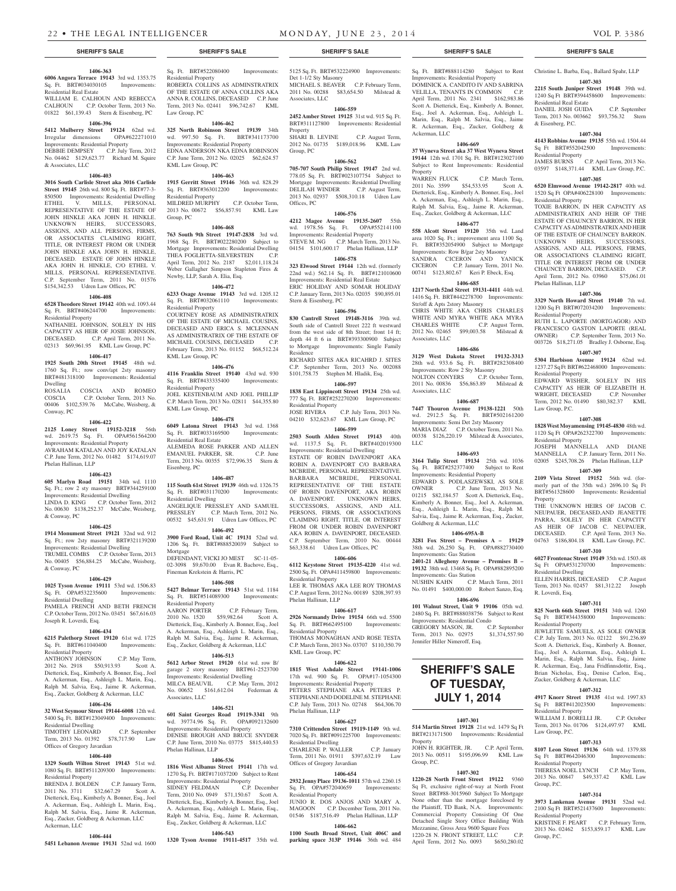### **1406-363**

**6006 Angora Terrace 19143** 3rd wd. 1353.75 Sq. Ft. BRT#034030105 Improvements: Residential Real Estate WILLIAM E. CALHOUN AND REBECCA

CALHOUN C.P. October Term, 2013 No. 01822 \$61,139.43 Stern & Eisenberg, PC

#### **1406-396**

**5412 Mulberry Street 19124** 62nd wd.<br>Irregular dimensions OPA#622271010 Irregular dimensions Improvements: Residential Property DEBBIE DEMPSEY C.P. July Term, 2012 No. 04462 \$129,623.77 Richard M. Squire & Associates, LLC

#### **1406-403**

**3016 South Carlisle Street aka 3016 Carlisle Street 19145** 26th wd. 800 Sq. Ft. BRT#77-3- 850500 Improvements: Residential Dwelling<br>ETHEL V. MILLS. PERSONAL MILLS, PERSONAL REPRESENTATIVE OF THE ESTATE OF JOHN HINKLE AKA JOHN H. HINKLE. UNKNOWN HEIRS, SUCCESSORS, ASSIGNS, AND ALL PERSONS, FIRMS, OR ASSOCIATES CLAIMING RIGHT, TITLE, OR INTEREST FROM OR UNDER JOHN HINKLE AKA JOHN H. HINKLE, DECEASED. ESTATE OF JOHN HINKLE AKA JOHN H. HINKLE, C/O ETHEL V. MILLS, PERSONAL REPRESENTATIVE. C.P. September Term, 2011 No. 01576 \$154,342.53 Udren Law Offices, PC

#### **1406-408**

**6528 Theodore Street 19142** 40th wd. 1093.44 Sq. Ft. BRT#406244700 Improvements: Residential Property NATHANIEL JOHNSON, SOLELY IN HIS

CAPACITY AS HEIR OF JOSIE JOHNSON, DECEASED. C.P. April Term, 2011 No. 02313 \$69,961.95 KML Law Group, PC

#### **1406-417**

**1925 South 20th Street 19145** 48th wd. 1760 Sq. Ft.; row conv/apt 2sty masonry BRT#481318100 Improvements: Residential Dwelling ROSALIA COSCIA AND ROMEO

COSCIA C.P. October Term, 2013 No. 00406 \$102,539.76 McCabe, Weisberg, & Conway, PC

#### **1406-422**

**2125 Loney Street 19152-3218** 56th wd. 2619.75 Sq. Ft. Improvements: Residential Property AVRAHAM KATALAN AND JOY KATALAN C.P. June Term, 2012 No. 01482 \$174,619.07 Phelan Hallinan, LLP

#### **1406-423**

**605 Marlyn Road 19151** 34th wd. 1110 Sq. Ft.; row 2 sty masonry BRT#344259100 Improvements: Residential Dwelling LINDA D. KING C.P. October Term, 2012 No. 00630 \$138,252.37 McCabe, Weisberg, & Conway, PC

### **1406-425**

**1914 Monument Street 19121** 32nd wd. 912 Sq. Ft.; row 2sty masonry BRT#321139200 Improvements: Residential Dwelling TRUMEL COMBS C.P. October Term, 2013 No. 00405 \$56,884.25 McCabe, Weisberg, & Conway, PC

#### **1406-429**

**1025 Tyson Avenue 19111** 53rd wd. 1506.83 Sq. Ft. OPA#532235600 Improvements: Residential Dwelling PAMELA FRENCH AND BETH FRENCH C.P. October Term, 2012 No. 03451 \$67,616.03 Joseph R. Loverdi, Esq.

## **1406-434**

**6215 Palethorp Street 19120** 61st wd. 1725 Sq. Ft. BRT#611040400 Improvements: Residential Property ANTHONY JOHNSON C.P. May Term, 2012 No. 2918 \$50,913.93 Scott A.

Dietterick, Esq., Kimberly A. Bonner, Esq., Joel A. Ackerman, Esq., Ashleigh L. Marin, Esq., Ralph M. Salvia, Esq., Jaime R. Ackerman, Esq., Zucker, Goldberg & Ackerman, LLC

## **1406-436**

**32 West Seymour Street 19144-6008** 12th wd. 5400 Sq. Ft. BRT#123049400 Improvements: Residential Dwelling TIMOTHY LEONARD C.P. September Term, 2013 No. 01392 \$78,717.90 Law Offices of Gregory Javardian

#### **1406-440**

**1329 South Wilton Street 19143** 51st wd. 1080 Sq. Ft. BRT#511209300 Improvements: Residential Property

BRENDA J. BOLDEN C.P. January Term, 2011 No. 3711 \$32,667.29 Scott A. Dietterick, Esq., Kimberly A. Bonner, Esq., Joel A. Ackerman, Esq., Ashleigh L. Marin, Esq., Ralph M. Salvia, Esq., Jaime R. Ackerman, Esq., Zucker, Goldberg & Ackerman, LLC Ackerman, LLC

#### **1406-444**

**5451 Lebanon Avenue 19131** 52nd wd. 1600

Sq. Ft. BRT#522080400 Improvements: Residential Property ROBERTA COLLINS AS ADMINSTRATRIX OF THE ESTATE OF ANNA COLLINS AKA ANNA R. COLLINS, DECEASED C.P. June

**1406-462 325 North Robinson Street 19139** 34th wd. 997.50 Sq. Ft. BRT#341173700 Improvements: Residential Property EDNA ANDERSON NKA EDNA ROBINSON C.P. June Term, 2012 No. 02025 \$62,624.57 KML Law Group, PC

Term, 2013 No. 02441 \$96,742.67 KML

Law Group, PC

## **1406-463**

**1915 Gerritt Street 19146** 36th wd. 828.29<br>Sq. Ft. BRT#363012200 Improvements: Sq. Ft. BRT#363012200 Residential Property MILDRED MURPHY C.P. October Term, 2013 No. 00672 \$56,857.91 KML Law Group, PC

#### **1406-468**

**763 South 9th Street 19147-2838** 3rd wd. 1968 Sq. Ft. BRT#022280200 Subject to Mortgage Improvements: Residential Dwelling THEA FOGLIETTA-SILVERSTEIN C.P. April Term, 2012 No. 2187 \$2,011,118.24 Weber Gallagher Simpson Stapleton Fires & Newby, LLP, Sarah A. Elia, Esq.

#### **1406-472**

**6233 Osage Avenue 19143** 3rd wd. 1205.12 Sq. Ft. BRT#032061110 Improvements: Residential Property COURTNEY ROSE AS ADMINISTRATRIX OF THE ESTATE OF MICHAEL COUSINS, DECEASED AND ERICA S. MCLENNAN AS ADMINISTRATRIX OF THE ESTATE OF MICHAEL COUSINS, DECEASED C.P. February Term, 2013 No. 01152 \$68,512.24 KML Law Group, PC

#### **1406-476**

**4116 Franklin Street 19140** 43rd wd. 930 Sq. Ft. BRT#433335400 Improvements: Residential Property JOEL KESTENBAUM AND JOEL PHILLIP C.P. March Term, 2013 No. 02811 \$44,355.80 KML Law Group, PC

**1406-478**

**6049 Latona Street 19143** 3rd wd. 1368 Sq. Ft. BRT#033169500 Improvements: Residential Real Estate ALEMEDA ROSE PARKER AND ALLEN EMANUEL PARKER, SR. C.P. June Term, 2013 No. 00355 \$72,996.35 Stern & Eisenberg, PC

#### **1406-487**

**115 South 61st Street 19139** 46th wd. 1326.75 Sq. Ft. BRT#031170200 Improvements: Residential Dwelling ANGELIQUE PRESSLEY AND SAMUEL PRESSLEY C.P. March Term, 2012 No. 00532 \$45,631.91 Udren Law Offices, PC

**1406-492 3900 Ford Road, Unit 4C 19131** 52nd wd. 1206 Sq. Ft. BRT#888520039 Subject to Mortgage DEFENDANT, VICKI JO MEST SC-11-05-

02-3098 \$9,670.00 Evan R. Bachove, Esq., Fineman Krekstein & Harris, PC **1406-508**

#### **5427 Belmar Terrace 19143** 51st wd. 1184 Sq. Ft. BRT#514089300 Improvements:

Residential Property<br>AARON PORTER C.P. February Term, 2010 No. 1520 \$59,982.64 Scott A. Dietterick, Esq., Kimberly A. Bonner, Esq., Joel A. Ackerman, Esq., Ashleigh L. Marin, Esq., Ralph M. Salvia, Esq., Jaime R. Ackerman, Esq., Zucker, Goldberg & Ackerman, LLC

#### **1406-513**

**5612 Arbor Street 19120** 61st wd. row B/ garage 2 story masonry BRT#61-2523700 Improvements: Residential Dwelling<br>MILCA BEAUVIL C.P. May T C.P. May Term, 2012 No. 00652 \$161,612.04 Federman & Associates, LLC

#### **1406-521**

**601 Saint Georges Road 19119-3341** 9th wd. 39774.96 Sq. Ft. OPA#092132600 Improvements: Residential Property DENISE BROUGH AND BRUCE SNYDER Term, 2010 No. 03775 Phelan Hallinan, LLP

#### **1406-536**

**1816 West Albanus Street 19141** 17th wd. 1270 Sq. Ft. BRT#171037200 Subject to Rent Improvements: Residential Property SIDNEY FELDMAN C.P. December Term, 2010 No. 0949 \$71,150.67 Scott A. Dietterick, Esq., Kimberly A. Bonner, Esq., Joel A. Ackerman, Esq., Ashleigh L. Marin, Esq., Ralph M. Salvia, Esq., Jaime R. Ackerman, Esq., Zucker, Goldberg & Ackerman, LLC

## **1406-543**

**1320 Tyson Avenue 19111-4517** 35th wd.

### **SHERIFF'S SALE SHERIFF'S SALE SHERIFF'S SALE SHERIFF'S SALE SHERIFF'S SALE**

5125 Sq. Ft. BRT#532224900 Improvements: Det 1-1/2 Sty Masonry MICHAEL S. BEAVER C.P. February Term, 2011 No. 00288 \$83,654.50 Milstead & Associates, LLC

#### **1406-559 2452 Amber Street 19125** 31st wd. 915 Sq. Ft.

BRT#311127800 Improvements: Residential Property SHARI B. LEVINE C.P. August Term,

2012 No. 01735 \$189,018.96 KML Law Group, PC

#### **1406-562**

**705-707 South Philip Street 19147** 2nd wd. 778.05 Sq. Ft. BRT#023107754 Subject to Mortgage Improvements: Residential Dwelling DELILAH WINDER C.P. August Term, 2013 No. 02937 \$508,310.18 Udren Law Offices, PC

#### **1406-576**

**4212 Magee Avenue 19135-2607** 55th wd. 1978.56 Sq. Ft. OPA#552141100 Improvements: Residential Property STEVE M. NG C.P. March Term, 2013 No. 04154 \$101,600.17 Phelan Hallinan, LLP

## **1406-578**

**323 Elwood Street 19144** 12th wd. (formerly 22nd wd.) 562.14 Sq. Ft. BRT#121010600 Improvements: Residential Real Estate ERIC HOLIDAY AND SOMAR HOLIDAY C.P. January Term, 2013 No. 02035 \$90,895.01 Stern & Eisenberg, PC

## **1406-596**

**830 Cantrell Street 19148-3116** 39th wd. South side of Cantrell Street 222 ft westward from the west side of 8th Street; front 14 ft; depth 44 ft 6 in BRT#393300900 Subject to Mortgage Improvements: Single Family Residence

RICHARD SITES AKA RICAHRD J. SITES C.P. September Term, 2013 No. 002088 \$101,758.75 Stephen M. Hladik, Esq. **1406-597**

**1838 East Lippincott Street 19134** 25th wd. 777 Sq. Ft. BRT#252270200 Improvements: Residential Property<br>IOSE RIVER A  $CP$  July Term, 2013 No. 04210 \$32,623.67 KML Law Group, PC

#### **1406-599**

**2503 South Alden Street 19143** 40th wd. 1137.5 Sq. Ft. BRT#402019300

Improvements: Residential Dwelling ESTATE OF ROBIN DAVENPORT AKA ROBIN A. DAVENPORT C/O BARBARA MCBRIDE, PERSONAL REPRESENTATIVE. BARBARA MCBRIDE, PERSONAL REPRESENTATIVE OF THE ESTATE OF ROBIN DAVENPORT, AKA ROBIN A. DAVENPORT. UNKNOWN HEIRS, SUCCESSORS, ASSIGNS, AND ALL PERSONS, FIRMS, OR ASSOCIATIONS CLAIMING RIGHT, TITLE, OR INTEREST FROM OR UNDER ROBIN DAVENPORT AKA ROBIN A. DAVENPORT, DECEASED. C.P. September Term, 2010 No. 00444 \$63,338.61 Udren Law Offices, PC

#### **1406-606**

**6112 Keystone Street 19135-4220** 41st wd. 2500 Sq. Ft. OPA#411459800 Improvements: Residential Property LEE R. THOMAS AKA LEE ROY THOMAS C.P. August Term, 2012 No. 00189 \$208,397.93 Phelan Hallinan, LLP

#### **1406-617**

**2926 Normandy Drive 19154** 66th wd. 5500 Sq. Ft. BRT#662495100 Improvements: Residential Property THOMAS MONAGHAN AND ROSE TESTA

C.P. March Term, 2013 No. 03707 \$110,350.79 KML Law Group, PC **1406-622**

**1815 West Ashdale Street 19141-1006**  17th wd. 900 Sq. Ft. OPA#17-1054300 Improvements: Residential Property PETERS STEPHANE AKA PETERS P. STEPHANE AND DODELINE M. STEPHANE C.P. July Term, 2013 No. 02748 \$64,306.70 Phelan Hallinan, LLP

## **1406-627**

**7310 Crittenden Street 19119-1149** 9th wd. 7020 Sq. Ft. BRT#091225700 Improvements: Residential Dwelling CHARLENE P. WALLER C.P. January

Term, 2011 No. 01911 \$397,632.19 Law Offices of Gregory Javardian

#### **1406-654 2932 Jenny Place 19136-1011** 57th wd. 2260.15 Sq. Ft. OPA#572040659 Improvements:

Residential Property JUNIO R. DOS ANJOS AND MARY A. MAGOON C.P. December Term, 2011 No. 01546 \$187,516.49 Phelan Hallinan, LLP

## **1406-662**

**1100 South Broad Street, Unit 406C and parking space 313P 19146** 36th wd. 484

Christine L. Barba, Esq., Ballard Spahr, LLP **1407-303 2215 South Juniper Street 19148** 39th wd. 1240 Sq Ft BRT#394458600 Improvements:

DANIEL JOSH GUIDA C.P. September Term, 2013 No. 003662 \$93,756.32 Stern

**1407-304 4143 Robbins Avenue 19135** 55th wd. 1504.44 Sq Ft BRT#552042500 Improvements:

JAMES BURNS C.P. April Term, 2013 No. 03597 \$148,371.44 KML Law Group, P.C. **1407-305 6520 Elmwood Avenue 19142-2817** 40th wd. 1520 Sq Ft OPA#406228100 Improvements:

TOXIE BARRON, IN HER CAPACITY AS ADMINISTRATRIX AND HEIR OF THE ESTATE OF CHAUNCEY BARRON, IN HER CAPACITY AS ADMINSTRATRIX AND HEIR OF THE ESTATE OF CHAUNCEY BARRON. UNKNOWN HEIRS, SUCCESSORS, ASSIGNS, AND ALL PERSONS, FIRMS, OR ASSOCIATIONS CLAIMING RIGHT, TITLE OR INTEREST FROM OR UNDER CHAUNCEY BARRON, DECEASED. C.P. April Term, 2012 No. 03960 \$75,061.01

**1407-306 3329 North Howard Street 19140** 7th wd. 1200 Sq Ft BRT#072034200 Improvements:

RUTH L. LAPORTE (MORTGAGOR) AND FRANCESCO GASTON LAPORTE (REAL OWNER) C.P. September Term, 2013 No. 003726 \$18,271.05 Bradley J. Osborne, Esq. **1407-307 5304 Harbison Avenue 19124** 62nd wd. 1237.27 Sq Ft BRT#622468000 Improvements:

EDWARD WISHER, SOLELY IN HIS CAPACITY AS HEIR OF ELIZABETH H. WRIGHT, DECEASED C.P. November Term, 2012 No. 01490 \$80,382.37 KML

**1407-308 1828 West Moyamensing 19145-4830** 48th wd. 1120 Sq Ft OPA#262322700 Improvements:

JOSEPH MANNELLA AND DIANE MANNELLA C.P. January Term, 2011 No. 02005 \$245,708.26 Phelan Hallinan, LLP **1407-309 2109 Vista Street 19152** 56th wd. (formerly part of the 35th wd.) 2696.10 Sq Ft BRT#561328600 Improvements: Residential

THE UNKNOWN HEIRS OF JACOB C. NEUPAUER, DECEASED,AND JEANETTE PARRA, SOLELY IN HER CAPACITY AS HEIR OF JACOB C. NEUPAUER, DECEASED. C.P. April Term, 2013 No. 04763 \$186,804.18 KML Law Group, P.C. **1407-310 6027 Frontenac Street 19149** 35th wd. 1503.48 Sq Ft OPA#531270700 Improvements:

ELLEN HARRIS, DECEASED C.P. August Term, 2013 No. 02457 \$81,312.22 Joseph

**1407-311 825 North 66th Street 19151** 34th wd. 1260 Sq Ft BRT#344358000 Improvements:

JEWLETTE SAMUELS, AS SOLE OWNER C.P. July Term, 2013 No. 02122 \$91,236.89 Scott A. Dietterick, Esq., Kimberly A. Bonner, Esq., Joel A. Ackerman, Esq., Ashleigh L. Marin, Esq., Ralph M. Salvia, Esq., Jaime R. Ackerman, Esq., Jana Fridfinnsdottir, Esq., Brian Nicholas, Esq., Denise Carlon, Esq., Zucker, Goldberg & Ackerman, LLC **1407-312 4917 Knorr Street 19135** 41st wd. 1997.83 Sq Ft BRT#412023500 Improvements:

WILLIAM J. BORELLI JR. C.P. October Term, 2013 No. 01706 \$124,497.97 KML

**1407-313 8107 Leon Street 19136** 64th wd. 1379.88 Sq Ft BRT#642046300 Improvements:

THERESA NOEL LYNCH C.P. May Term, 2013 No. 00847 \$49,337.42 KML Law

**1407-314 3973 Lankenau Avenue 19131** 52nd wd. 2100 Sq Ft BRT#521437600 Improvements:

KRISTINE F. PEART C.P. February Term, 2013 No. 02462 \$153,859.17 KML Law

Residential Real Estate

& Eisenberg, P.C.

Residential Property

Residential Property

Phelan Hallinan, LLP

Residential Property

Residential Property

Law Group, P.C.

Residential Property

Residential Dwelling

R. Loverdi, Esq.

Residential Property

Residential Property

Law Group, P.C.

Residential Property

Residential Property

Group, P.C.

Group, P.C.

Property

Sq. Ft. BRT#888114280 Subject to Rent Improvements: Residential Property DOMINICK A. CANDITO IV AND SABRINA VELILLA, TENANTS IN COMMON C.P. April Term, 2011 No. 2341 \$162,983.86 Scott A. Dietterick, Esq., Kimberly A. Bonner, Esq., Joel A. Ackerman, Esq., Ashleigh L. Marin, Esq., Ralph M. Salvia, Esq., Jaime R. Ackerman, Esq., Zucker, Goldberg & Ackerman, LLC

## **1406-669**

**37 Wyneva Street aka 37 West Wyneva Street 19144** 12th wd. 1701 Sq. Ft. BRT#123027100 Subject to Rent Improvements: Residential Property

WARREN FLUCK C.P. March Term, 2011 No. 3599 \$54,533.95 Scott A. Dietterick, Esq., Kimberly A. Bonner, Esq., Joel A. Ackerman, Esq., Ashleigh L. Marin, Esq., Ralph M. Salvia, Esq., Jaime R. Ackerman, Esq., Zucker, Goldberg & Ackerman, LLC

#### **1406-677**

Str/off & Apts 2story Masonry

Associates, LLC

Associates, LLC

LLC

**558 Alcott Street 19120** 35th wd. Land area 1020 Sq. Ft.; improvement area 1100 Sq. BRT#352054900 Subject to Mortgage Improvements: Row B/gar 2sty Masonry SANDRA CICERON AND YANICK CICERON C.P. January Term, 2011 No. 00741 \$123,802.67 Keri P. Ebeck, Esq. **1406-685**

**1217 North 52nd Street 19131-4411** 44th wd. 1416 Sq. Ft. BRT#442278700 Improvements:

CHRIS WHITE AKA CHRIS CHARLES WHITE AND MYRA WHITE AKA MYRA CHARLES WHITE C.P. August Term, 2012 No. 02465 \$99,003.58 Milstead &

**1406-686 3129 West Dakota Street 19132-3313**  28th wd. 933.6 Sq. Ft. BRT#282308400 Improvements: Row 2 Sty Masonry NOLTON CONYERS C.P. October Term, 2011 No. 00836 \$56,863.89 Milstead &

**1406-687 7447 Thouron Avenue 19138-1221** 50th wd. 2912.5 Sq. Ft. BRT#502161200 Improvements: Semi Det 2sty Masonry MARIA DIAZ C.P. October Term, 2011 No. 00338 \$126,220.19 Milstead & Associates,

**1406-693 3164 Tulip Street 19134** 25th wd. 1036 Sq. Ft. BRT#252377400 Subject to Rent Improvements: Residential Property

EDWARD S. PODLASZEWSKI, AS SOLE<br>OWNER C.P. June Term, 2013 No.

01215 \$82,184.57 Scott A. Dietterick, Esq., Kimberly A. Bonner, Esq., Joel A. Ackerman, Esq., Ashleigh L. Marin, Esq., Ralph M. Salvia, Esq., Jaime R. Ackerman, Esq., Zucker,

**1406-695A-B 3281 Fox Street – Premises A – 19129**  38th wd. 26,250 Sq. Ft. OPA#882730400

**2401-21 Allegheny Avenue – Premises B – 19132** 38th wd. 13468 Sq. Ft. OPA#882895200

NUSHIN KAHN C.P. March Term, 2011 No. 01491 \$400,000.00 Robert Sanzo, Esq. **1406-696 101 Walnut Street, Unit 9 19106** 05th wd. 2480 Sq. Ft. BRT#888038756 Subject to Rent

GREGORY MASON, JR. C.P. September<br>Term, 2013 No. 02975 \$1,374,557.90

**SHERIFF'S SALE OF TUESDAY, JULY 1, 2014**

**1407-301 514 Martin Street 19128** 21st wd. 1479 Sq Ft BRT#213171500 Improvements: Residential

JOHN H. RIGHTER, JR. C.P. April Term, 2013 No. 00511 \$195,096.99 KML Law

**1407-302 1220-28 North Front Street 19122** 9360 Sq Ft, exclusive right-of-way at North Front Street BRT#88-3015960 Subject To Mortgage None other than the mortgage foreclosed by the Plaintiff, TD Bank, N.A. Improvements: Commercial Property Consisting Of One Detached Single Story Office Building With Mezzanine, Gross Area 9600 Square Fees 1220-28 N. FRONT STREET, LLC C.P.<br>April Term. 2012 No. 0093 \$650.280.02

April Term, 2012 No. 0093

Goldberg & Ackerman, LLC

Improvements: Gas Station

Improvements: Gas Station

Improvements: Residential Condo

Term, 2013 No. 02975. Jennifer Hiller Nimeroff, Esq.

**Property** 

Group, P.C.

C.P. June Term, 2013 No.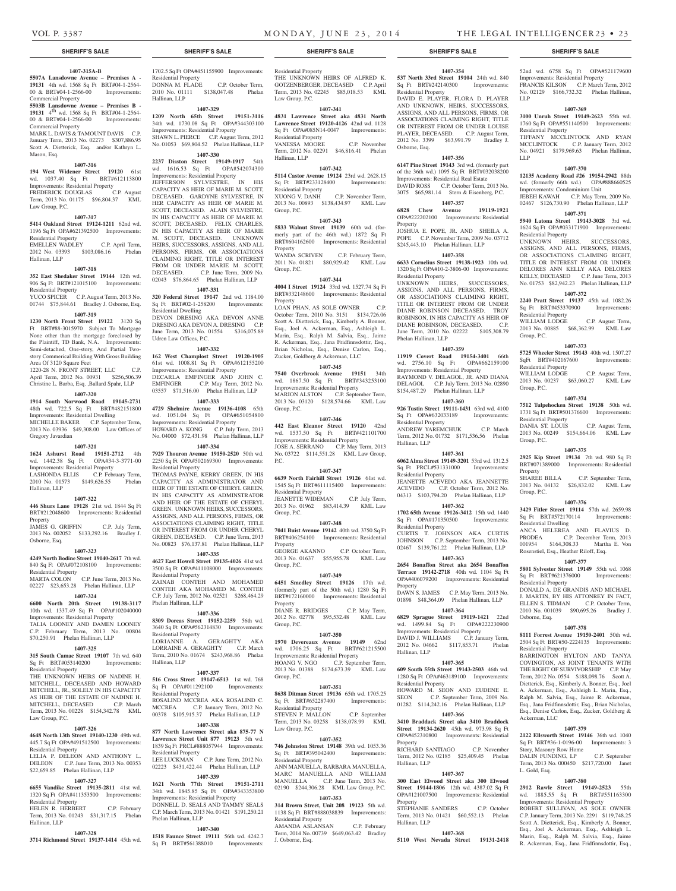Residential Property

Residential Property

Residential Property<br>WILLIAM LODGE

Residential Property

Property<br>SHAREE BILLA

Residential Dwelling

Residential Property

Osborne, Esq.

Residential Property

Ackerman, LLC

L. Gold, Esq.

Story, Masonry Row Home

Group, P.C.

Group, P.C.

Group, P.C.

Group, P.C.

LLP

LLP

52nd wd. 6758 Sq Ft OPA#521179600 Improvements: Residential Property FRANCIS KILSON C.P. March Term, 2012 No. 02129 \$166,732.32 Phelan Hallinan,

**1407-369 3100 Unruh Street 19149-2623** 55th wd. 1760 Sq Ft OPA#551140500 Improvements:

TIFFANY MCCLINTOCK AND RYAN MCCLINTOCK C.P. January Term, 2012 No. 04921 \$179,969.63 Phelan Hallinan,

**1407-370 12135 Academy Road #26 19154-2942** 88th wd. (formerly 66th wd.) OPA#888660525 Improvements: Condominium Unit JEBEH KAWAH C.P. May Term, 2009 No. 02467 \$126,730.90 Phelan Hallinan, LLP **1407-371 5940 Latona Street 19143-3028** 3rd wd. 1624 Sq Ft OPA#033171900 Improvements:

UNKNOWN HEIRS, SUCCESSORS, ASSIGNS, AND ALL PERSONS, FIRMS, OR ASSOCIATIONS CLAIMING RIGHT, TITLE OR INTEREST FROM OR UNDER DELORES ANN KELLY AKA DELORES KELLY, DECEASED C.P. June Term, 2013 No. 01753 \$82,942.23 Phelan Hallinan, LLP **1407-372 2240 Pratt Street 19137** 45th wd. 1082.26 Sq Ft BRT#453370900 Improvements:

WILLIAM LODGE C.P. August Term, 2013 No. 00885 \$68,362.99 KML Law

**1407-373 5725 Wheeler Street 19143** 40th wd. 1507.27 SqFt BRT#402167600 Improvements:

2013 No. 00237 \$63,060.27 KML Law

**1407-374 7512 Tulpehocken Street 19138** 50th wd. 1731 Sq Ft BRT#501376600 Improvements:

DANIA ST. LOUIS C.P. August Term, 2013 No. 00249 \$154,664.06 KML Law

**1407-375 2925 Kip Street 19134** 7th wd. 980 Sq Ft BRT#071389000 Improvements: Residential

2013 No. 04132 \$26,832.02 KML Law

**1407-376 3429 Fitler Street 19114** 57th wd. 2659.98 Sq Ft BRT#572170114 Improvements:

ANCA HELEREA AND FLAVIUS D. PRODEA C.P. December Term, 2013 001954 \$164,308.33 Martha E. Von Rosenstiel, Esq., Heather Riloff, Esq. **1407-377 5801 Sylvester Street 19149** 55th wd. 1068 Sq Ft BRT#621376000 Improvements:

DONALD A. DE GRANDIS AND MICHAEL J. MARTIN, BY HIS ATTONREY IN FACT, ELLEN S. TIDMAN C.P. October Term, 2010 No. 001039 \$90,695.26 Bradley J.

**1407-378 8111 Forrest Avenue 19150-2401** 50th wd. 2504 Sq Ft BRT#50-2224135 Improvements:

BARRINGTON HYLTON AND TANYA COVINGTON, AS JOINT TENANTS WITH THE RIGHT OF SURVIVORSHIP C.P. May Term, 2012 No. 0554 \$188,098.76 Scott A. Dietterick, Esq., Kimberly A. Bonner, Esq., Joel A. Ackerman, Esq., Ashleigh L. Marin, Esq., Ralph M. Salvia, Esq., Jaime R. Ackerman, Esq., Jana Fridfinnsdottir, Esq., Brian Nicholas, Esq., Denise Carlon, Esq., Zucker, Goldberg &

**1407-379 2122 Ellsworth Street 19146** 36th wd. 1040 Sq Ft BRT#36-1-0196-00 Improvements: 3

DALIN FUNDING, LP C.P. September Term, 2013 No. 000450 \$217,720.00 Janet

**1407-380 2912 Rawle Street 19149-2523** 55th wd. 1885.55 Sq Ft BRT#551163300 Improvements: Residential Property ROBERT SULLIVAN, AS SOLE OWNER C.P. January Term, 2013 No. 2291 \$119,748.25 Scott A. Dietterick, Esq., Kimberly A. Bonner, Esq., Joel A. Ackerman, Esq., Ashleigh L. Marin, Esq., Ralph M. Salvia, Esq., Jaime R. Ackerman, Esq., Jana Fridfinnsdottir, Esq.,

C.P. August Term,

C.P. September Term,

**1407-354 537 North 33rd Street 19104** 24th wd. 840 Sq Ft BRT#242140300 Improvements:

DAVID E. PLAYER, FLORA D. PLAYER AND UNKNOWN, HEIRS, SUCCESSORS, ASSIGNS, AND ALL PERSONS, FIRMS, OR ASSOCIATIONS CLAIMING RIGHT, TITLE OR INTEREST FROM OR UNDER LOUISE PLAYER, DECEASED. C.P. August Term, 2012 No. 3399 \$63,991.79 Bradley J.

**1407-356 6147 Pine Street 19143** 3rd wd. (formerly part of the 36th wd.) 1095 Sq Ft BRT#032038200 Improvements: Residential Real Estate DAVID ROSS C.P. October Term, 2013 No. 3075 \$65,981.14 Stern & Eisenberg, P.C. **1407-357 6828 Chew Avenue 19119-1921**  OPA#222202100 Improvements: Residential

JOSHUA E. POPE, JR. AND SHEILA A. POPE C.P. November Term, 2009 No. 03712 \$245,443.10 Phelan Hallinan, LLP **1407-358 6633 Cornelius Street 19138-1923** 10th wd. 1320 Sq Ft OPA#10-2-3806-00 Improvements:

UNKNOWN HEIRS, SUCCESSORS, ASSIGNS, AND ALL PERSONS, FIRMS, OR ASSOCIATIONS CLAIMING RIGHT, TITLE OR INTEREST FROM OR UNDER DIANE ROBINSON DECEASED. TROY ROBINSON, IN HIS CAPACITY AS HEIR OF DIANE ROBINSON, DECEASED. C.P. June Term, 2010 No. 02222 \$105,308.79

**1407-359 11919 Covert Road 19154-3401** 66th wd. 2756.10 Sq Ft OPA#662159100 Improvements: Residential Property RAYMOND V. DELAGOL, JR. AND DIANA DELAGOL C.P. July Term, 2013 No. 02890 \$154,487.29 Phelan Hallinan, LLP **1407-360 926 Tustin Street 19111-1431** 63rd wd. 4100 Sq Ft OPA#632033189 Improvements:

ANDREW YAREMCHUK C.P. March Term, 2012 No. 01732 \$171,536.56 Phelan

**1407-361 6062 Alma Street 19149-3201** 53rd wd. 1312.5 Sq Ft PRCL#531331000 Improvements:

JEANETTE ACEVEDO AKA JEANNETTE ACEVEDO C.P. October Term, 2012 No. 04313 \$103,794.20 Phelan Hallinan, LLP **1407-362 1702 65th Avenue 19126-3412** 15th wd. 1440 Sq Ft OPA#171350500 Improvements:

CURTIS T. JOHNSON AKA CURTIS JOHNSON C.P. September Term, 2013 No. 02467 \$139,761.22 Phelan Hallinan, LLP **1407-363 2654 Bonaffon Street aka 2654 Bonaffon Terrace 19142-2718** 40th wd. 1104 Sq Ft OPA#406079200 Improvements: Residential

DAWN S. JAMES C.P. May Term, 2013 No. 01898 \$48,364.09 Phelan Hallinan, LLP **1407-364 6829 Sprague Street 19119-1421** 22nd wd. 1499.84 Sq Ft OPA#222230900 Improvements: Residential Property DAVID J. WILLIAMS C.P. January Term, 2012 No. 04662 \$117,853.71 Phelan

**1407-365 609 South 55th Street 19143-2503** 46th wd. 1280 Sq Ft OPA#463189100 Improvements:

HOWARD M. SEON AND EUDENE E. SEON C.P. September Term, 2009 No. 01282 \$114,242.16 Phelan Hallinan, LLP **1407-366 3410 Braddack Street aka 3410 Braddock Street 19134-2620** 45th wd. 973.98 Sq Ft OPA#452310800 Improvements: Residential

RICHARD SANTIAGO C.P. November Term, 2012 No. 02185 \$25,409.45 Phelan

**1407-367 300 East Elwood Street aka 300 Elwood Street 19144-1806** 12th wd. 4387.02 Sq Ft OPA#121007500 Improvements: Residential

STEPHANIE SANDERS C.P. October Term, 2013 No. 01421 \$60,552.13 Phelan

**1407-368 5110 West Nevada Street 19131-2418** 

Residential Property

Osborne, Esq.

**Property** 

Residential Property

Phelan Hallinan, LLP

Residential Property

Residential Property

Residential Property

Property

Hallinan, LLP

Property

Property

Hallinan, LLP

Hallinan, LLP

Residential Property

Hallinan, LLP

#### **SHERIFF'S SALE SHERIFF'S SALE SHERIFF'S SALE SHERIFF'S SALE SHERIFF'S SALE**

#### **1407-315A-B**

**5507A Lansdowne Avenue – Premises A - 19131** 4th wd. 1568 Sq Ft BRT#04-1-2564- 00 & BRT#04-1-2566-00 Improvements:

Commercial Property **5503B Lansdowne Avenue – Premises B -**  19131 4<sup>th</sup> wd. 1568 Sq Ft BRT#04-1-2564-00 & BRT#04-1-2566-00 Improvements:

Commercial Property MARK L. DAVIS & TAMOUNT DAVIS C.P. January Term, 2013 No. 02273 \$307,886.95 Scott A. Dietterick, Esq. and/or Kathryn L. Mason, Esq.

#### **1407-316**

**194 West Widener Street 19120** 61st wd. 1037.40 Sq Ft BRT#612113800 Improvements: Residential Property FREDERICK DOUGLAS C.P. August

Term, 2013 No. 01175 \$96,804.37 KML Law Group, P.C.

## **1407-317**

**5414 Oakland Street 19124-1211** 62nd wd. 1196 Sq Ft OPA#621392500 Improvements:

Residential Property EMELLEN WADLEY C.P. April Term, 2012 No. 03393 \$103,086.16 Phelan

Hallinan, LLP

## **1407-318**

**352 East Shedaker Street 19144** 12th wd. 906 Sq Ft BRT#121015100 Improvements: Residential Property

YUCO SPICER C.P. August Term, 2013 No. 01744 \$75,844.61 Bradley J. Osborne, Esq.

#### **1407-319**

**1230 North Front Street 19122** 3120 Sq Ft BRT#88-3015970 Subject To Mortgage None other than the mortgage foreclosed by the Plaintiff, TD Bank, N.A. Improvements: Semi-detached, One-story, And Partial Twostory Commerical Building With Gross Building Area Of 3120 Square Feet 1220-28 N. FRONT STREET, LLC C.P.

April Term, 2012 No. 00931 \$256,506.39 Christine L. Barba, Esq. ,Ballard Spahr, LLP

## **1407-320**

**1914 South Norwood Road 19145-2731**  48th wd. 722.5 Sq Ft BRT#482151800 Improvements: Residential Dwelling MICHELLE BAKER C.P. September Term, 2013 No. 03936 \$49,308.00 Law Offices of Gregory Javardian

#### **1407-321**

**1624 Ashurst Road 19151-2712** 4th wd. 1442.38 Sq Ft OPA#34-3-3771-00 Improvements: Residential Property LASHONDA ELLIS C.P. February Term, 2010 No. 01573 \$149,626.55 Phelan Hallinan, LLP

#### **1407-322**

**446 Shurs Lane 19128** 21st wd. 1844 Sq Ft BRT#212048600 Improvements: Residential

Property JAMES G. GRIFFIN C.P. July Term, 2013 No. 002052 \$133,292.16 Bradley J. Osborne, Esq.

#### **1407-323**

**4249 North Bodine Street 19140-2617** 7th wd. 840 Sq Ft OPA#072108100 Improvements:

Residential Property MARTA COLON C.P. June Term, 2013 No. 02227 \$23,653.28 Phelan Hallinan, LLP

#### **1407-324**

**6600 North 20th Street 19138-3117**  10th wd. 1337.49 Sq Ft OPA#102040000 Improvements: Residential Property TALIA LOONEY AND DAMEN LOONEY

C.P. February Term, 2013 No. 00804 \$70,250.91 Phelan Hallinan, LLP

#### **1407-325**

**315 South Camac Street 19107** 7th wd. 640 Sq Ft BRT#053140200 Improvements:

Residential Property THE UNKNOWN HEIRS OF NADINE H. MITCHELL, DECEASED AND HOWARD MITCHELL, JR., SOLELY IN HIS CAPACITY AS HEIR OF THE ESTATE OF NADINE H. MITCHELL, DECEASED C.P. March Term, 2013 No. 00228 \$154,342.78 KML Law Group, P.C.

#### **1407-326**

**4648 North 13th Street 19140-1230** 49th wd. 445.7 Sq Ft OPA#491512500 Improvements:

### Residential Property LELIA P. DELEON AND ANTHONY L.

DELEON C.P. June Term, 2013 No. 00353 \$22,659.85 Phelan Hallinan, LLP **1407-327**

## **6655 Vandike Street 19135-2811** 41st wd.

1320 Sq Ft OPA#411353500 Improvements: Residential Property HELEN R. HERBERT C.P. February

Term, 2013 No. 01243 \$31,317.15 Phelan Hallinan, LLP

#### **1407-328**

**3714 Richmond Street 19137-1414** 45th wd.

1702.5 Sq Ft OPA#451155900 Improvements: Residential Property

#### DONNA M. FLADE C.P. October Term, 2010 No. 01111 \$138,047.48 Phelan Hallinan, LLP **1407-329**

**1209 North 65th Street 19151-3116**  34th wd. 1730.08 Sq Ft OPA#344303100 Improvements: Residential Property SHAWN L. PIERCE C.P. August Term, 2012 No. 01053 \$69,804.52 Phelan Hallinan, LLP

## **1407-330**

**2237 Disston Street 19149-1917** 54th wd. 1616.53 Sq Ft OPA#542074300 Improvements: Residential Property JEFFERSON SYLVESTRE, IN HIS CAPACITY AS HEIR OF MARIE M. SCOTT, DECEASED. GARDYNE SYLVESTRE, IN HER CAPACITY AS HEIR OF MARIE M. SCOTT, DECEASED. ALAIN SYLVESTRE, IN HIS CAPACITY AS HEIR OF MARIE M. SCOTT, DECEASED. FELIX CHARLES, IN HIS CAPACITY AS HEIR OF MARIE M. SCOTT, DECEASED. UNKNOWN HEIRS, SUCCESSORS, ASSIGNS, AND ALL PERSONS, FIRMS, OR ASSOCIATIONS CLAIMING RIGHT, TITLE OR INTEREST FROM OR UNDER MARIE M. SCOTT, DECEASED. C.P. June Term, 2009 No. 02043 \$76,864.65 Phelan Hallinan, LLP

#### **1407-331**

**320 Federal Street 19147** 2nd wd. 1184.00 Sq Ft BRT#02-1-258200 Improvements: Residential Dwelling DEVON DRESING AKA DEVON ANNE DRESING AKA DEVON A. DRESING C.P. June Term, 2013 No. 01554 \$316,075.89 Udren Law Offices, P.C.

## **1407-332**

**162 West Champlost Street 19120-1905**  61st wd. 1008.81 Sq Ft OPA#612155200 Improvements: Residential Property DECARLA EMFINGER AND JOHN C. EMFINGER C.P. May Term, 2012 No. 03557 \$71,516.00 Phelan Hallinan, LLP

#### **1407-333**

**4729 Shelmire Avenue 19136-4108** 65th wd. 1051.04 Sq Ft OPA#651054800 Improvements: Residential Property HOWARD A. KONG C.P. July Term, 2013 No. 04000 \$72,431.98 Phelan Hallinan, LLP

#### **1407-334**

**7929 Thouron Avenue 19150-2520** 50th wd. 2250 Sq Ft OPA#502169300 Improvements: Residential Property THOMAS PAYNE, KERRY GREEN, IN HIS CAPACITY AS ADMINISTRATOR AND HEIR OF THE ESTATE OF CHERYL GREEN, IN HIS CAPACITY AS ADMINSTRATOR AND HEIR OF THE ESTATE OF CHERYL GREEN. UNKNOWN HEIRS, SUCCESSORS, ASSIGNS, AND ALL PERSONS, FIRMS, OR ASSOCIATIONS CLAIMING RIGHT, TITLE OR INTEREST FROM OR UNDER CHERYL GREEN, DECEASED. C.P. June Term, 2013 No. 00823 \$76,137.81 Phelan Hallinan, LLP

### **1407-335**

**4627 East Howell Street 19135-4026** 41st wd. 3500 Sq Ft OPA#411108000 Improvements: Residential Property ZAINAB CONTEH AND MOHAMED CONTEH AKA MOHAMED M. CONTEH C.P. July Term, 2012 No. 02521 \$268,464.29 Phelan Hallinan, LLP

#### **1407-336**

**8309 Dorcas Street 19152-2259** 56th wd. 3640 Sq Ft OPA#562314830 Improvements: Residential Property LORIANNE A. GERAGHTY AKA LORRAINE A. GERAGHTY C.P. March Term, 2010 No. 01674 \$243,968.86 Phelan Hallinan, LLP

#### **1407-337**

**516 Cross Street 19147-6513** 1st wd. 768 Sq Ft OPA#011292100 Improvements: Residential Property ROSALIND MCCREA AKA ROSALIND C. MCCREA C.P. January Term, 2012 No. 00378 \$105,915.37 Phelan Hallinan, LLP

## **1407-338**

**877 North Lawrence Street aka 875-77 N Lawrence Street Unit 877 19123** 5th wd. 1839 Sq Ft PRCL#888057944 Improvements: Residential Property LEE LUCKMAN C.P. June Term, 2012 No. 02223 \$431,422.44 Phelan Hallinan, LLP

#### **1407-339**

**1621 North 77th Street 19151-2711**  34th wd. 1845.85 Sq Ft OPA#343353800 Improvements: Residential Property DONNELL D. SEALS AND TAMMY SEALS C.P. March Term, 2013 No. 01421 \$191,250.21 Phelan Hallinan, LLP

#### **1407-340**

**1518 Faunce Street 19111** 56th wd. 4242.7 Sq Ft BRT#561388010 Improvements:

## Residential Property

THE UNKNOWN HEIRS OF ALFRED K. GOTZENBERGER, DECEASED C.P. April Term, 2013 No. 02245 \$85,018.53 KML Law Group, P.C.

## **1407-341**

**4831 Lawrence Street aka 4831 North Lawrence Street 19120-4126** 42nd wd. 1128 Sq Ft OPA#085N14-0047 Improvements: Residential Property VANESSA MOORE C.P. November Term, 2012 No. 02291 \$46,816.41 Phelan

## Hallinan, LLP **1407-342**

**5114 Castor Avenue 19124** 23rd wd. 2628.15 Sq Ft BRT#233128400 Improvements: Residential Property<br>XUONG V. DANH C.P. November Term, 2013 No. 00893 \$138,434.97 KML Law Group, P.C.

### **1407-343**

**5833 Walnut Street 19139** 60th wd. (formerly part of the 46th wd.) 1872 Sq Ft BRT#604162600 Improvements: Residential Property<br>WANDA SCRIVEN

C.P. February Term, 2011 No. 01821 \$80,929.42 KML Law Group, P.C.

#### **1407-344**

**4004 I Street 19124** 33rd wd. 1527.74 Sq Ft BRT#332148600 Improvements: Residential **Property** 

LOAN PHAN, AS SOLE OWNER C.P. October Term, 2010 No. 3151 \$134,726.06 Scott A. Dietterick, Esq., Kimberly A. Bonner, Esq., Joel A. Ackerman, Esq., Ashleigh L. Marin, Esq., Ralph M. Salvia, Esq., Jaime R. Ackerman, Esq., Jana Fridfinnsdottir, Esq., Brian Nicholas, Esq., Denise Carlon, Esq., Zucker, Goldberg & Ackerman, LLC

#### **1407-345**

**7540 Overbrook Avenue 19151** 34th wd. 1867.50 Sq Ft BRT#343253100 Improvements: Residential Property MARION ALSTON C.P. September Term, 2013 No. 03120 \$128,574.66 KML Law Group, P.C.

#### **1407-346**

**442 East Eleanor Street 19120** 42nd wd. 1537.50 Sq Ft BRT#421101700 Improvements: Residential Property JOSE A. SERRANO C.P. May Term, 2013 No. 03722 \$114,551.28 KML Law Group, P.C.

#### **1407-347**

**6639 North Fairhill Street 19126** 61st wd. 1545 Sq Ft BRT#611115400 Improvements: Residential Property JEANETTE WIDEMAN C.P. July Term, 2013 No. 01962 \$83,414.39 KML Law

## **1407-348**

**7041 Buist Avenue 19142** 40th wd. 3750 Sq Ft BRT#406254100 Improvements: Residential Property GEORGE AKANNO C.P. October Term,

## 2013 No. 01637 \$55,955.78 KML Law

Group, P.C.

Group, P.C. **1407-349 6451 Smedley Street 19126** 17th wd. (formerly part of the 50th wd.) 1280 Sq Ft

BRT#172160000 Improvements: Residential Property DIANE R. BRIDGES C.P. May Term,

2012 No. 02778 \$95,532.48 KML Law Group, P.C. **1407-350**

**1970 Devereaux Avenue 19149** 62nd wd. 1706.25 Sq Ft BRT#621215500 Improvements: Residential Property HOANG V. NGO C.P. September Term, 2013 No. 01388 \$174,673.39 KML Law Group, P.C.

#### **1407-351**

Residential Property

Residential Property

J. Osborne, Esq.

**8638 Ditman Street 19136** 65th wd. 1705.25 Sq Ft BRT#652287400 Improvements: Residential Property STEVEN P. MALLON C.P. September Term, 2013 No. 03258 \$138,078.99 KML Law Group, P.C.

**1407-352 746 Johnston Street 19148** 39th wd. 1053.36 Sq Ft BRT#395042400 Improvements:

ANN MANUELLA, BARBARA MANUELLA, MARC MANUELLA AND WILLIAM MANUELLA C.P. June Term, 2013 No. 02190 \$244,306.28 KML Law Group, P.C. **1407-353 314 Brown Street, Unit 208 19123** 5th wd. 1138 Sq Ft BRT#888038839 Improvements:

AMANDA ASLANSAN C.P. February Term, 2014 No. 00739 \$649,063.42 Bradley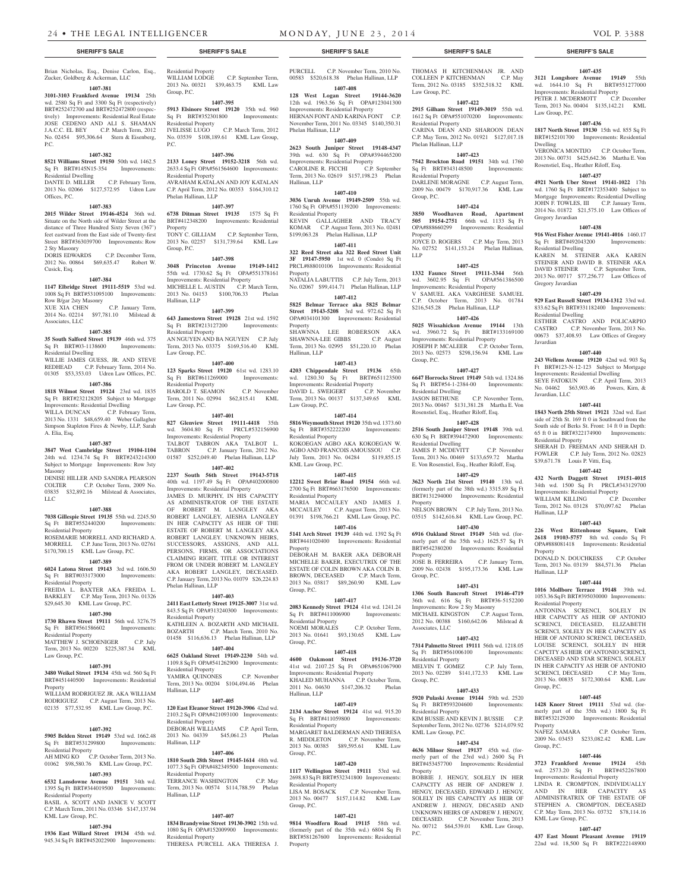Brian Nicholas, Esq., Denise Carlon, Esq., Zucker, Goldberg & Ackerman, LLC

## **1407-381**

**3101-3103 Frankford Avenue 19134** 25th wd. 2580 Sq Ft and 3300 Sq Ft (respectively) BRT#252472700 and BRT#252472800 (respectively) Improvements: Residential Real Estate JOSE CEDENO AND ALI S. SHAMAN J.A.C.C. EL BEY C.P. March Term, 2012 No. 02454 \$95,306.64 Stern & Eisenberg, P.C.

#### **1407-382**

**8521 Williams Street 19150** 50th wd. 1462.5 Sq Ft BRT#145N15-354 Improvements: Residential Dwelling

DANTE D. MILLER C.P. February Term, 2013 No. 02066 \$127,572.95 Udren Law Offices, P.C.

#### **1407-383**

**2015 Wilder Street 19146-4524** 36th wd. Situate on the North side of Wilder Street at the distance of Three Hundred Sixty Seven (367') feet eastward from the East side of Twenty-first Street BRT#363039700 Improvements: Row 2 Sty Masonry DORIS EDWARDS C.P. December Term,

2012 No. 00864 \$69,635.47 Robert W. Cusick, Esq.

#### **1407-384**

**1147 Elbridge Street 19111-5519** 53rd wd. 1008 Sq Ft BRT#531095100 Improvements: Row B/gar 2sty Masonry XUE XIA CHEN C.P. January Term,

2014 No. 02214 \$97,781.10 Milstead & Associates, LLC **1407-385**

**35 South Salford Street 19139** 46th wd. 375 Sq Ft BRT#03-1138600 Improvements: Residential Dwelling WILLIE JAMES GUESS, JR. AND STEVE

REDHEAD C.P. February Term, 2014 No. 01305 \$53,353.03 Udren Law Offices, P.C.

#### **1407-386**

**1818 Wilmot Street 19124** 23rd wd. 1835 Sq Ft BRT#232128205 Subject to Mortgage Improvements: Residential Dwelling WILLA DUNCAN C.P. February Term 2013 No. 1331 \$48,659.40 Weber Gallagher Simpson Stapleton Fires & Newby, LLP, Sarah A. Elia, Esq.

#### **1407-387**

**3847 West Cambridge Street 19104-1104**  24th wd. 1234.74 Sq Ft BRT#243214300 Subject to Mortgage Improvements: Row 3sty Masonry DENISE HILLER AND SANDRA PEARSON

COLTER C.P. October Term, 2009 No. 03835 \$32,892.16 Milstead & Associates, LLC

#### **1407-388**

**7038 Gillespie Street 19135** 55th wd. 2245.50 Sq Ft BRT#552440200 Improvements: Residential Property ROSEMARIE MORRELL AND RICHARD A.

MORRELL C.P. June Term, 2013 No. 02761 \$170,700.15 KML Law Group, P.C.

#### **1407-389**

**6024 Latona Street 19143** 3rd wd. 1606.50 Sq Ft BRT#033173000 Improvements: Residential Property FREIDA L. BAXTER AKA FREIDA L. BARKLEY C.P. May Term, 2013 No. 01326

### \$29,645.30 KML Law Group, P.C. **1407-390**

**1730 Rhawn Street 19111** 56th wd. 3276.75 Sq Ft BRT#561586602 Improvements: Residential Property

MATTHEW J. SCHOENIGER C.P. July Term, 2013 No. 00220 \$225,387.34 KML Law Group, P.C.

## **1407-391**

**3480 Weikel Street 19134** 45th wd. 560 Sq Ft BRT#451440500 Improvements: Residential Property WILLIAM RODRIGUEZ JR. AKA WILLIAM RODRIGUEZ C.P. August Term, 2013 No. 02135 \$77,532.95 KML Law Group, P.C.

#### **1407-392**

**5905 Belden Street 19149** 53rd wd. 1662.48 Sq Ft BRT#531299800 Improvements: Residential Property

## AH MING KO C.P. October Term, 2013 No. 01062 \$98,580.76 KML Law Group, P.C.

## **1407-393**

**6532 Lansdowne Avenue 19151** 34th wd. 1395 Sq Ft BRT#344019500 Improvements: Residential Property BASIL A. SCOTT AND JANICE V. SCOTT C.P. March Term, 2011 No. 03346 \$147,137.94

### **1407-394**

KML Law Group, P.C.

**1936 East Willard Street 19134** 45th wd. 945.34 Sq Ft BRT#452022900 Improvements: Residential Property WILLIAM LODGE C.P. September Term,

### 2013 No. 00321 \$39,463.75 KML Law Group, P.C.

**1407-395 5913 Elsinore Street 19120** 35th wd. 960<br>
Sq Ft BRT#352301800 Improvements: Sq Ft BRT#352301800 Improvements: Residential Property

#### IVELISSE LUGO C.P. March Term, 2012 No. 03539 \$108,189.61 KML Law Group, P.C. **1407-396**

**2133 Loney Street 19152-3218** 56th wd. 2633.4 Sq Ft OPA#561564600 Improvements: Residential Property AVRAHAM KATALAN AND JOY KATALAN C.P. April Term, 2012 No. 00353 \$164,310.12 Phelan Hallinan, LLP

#### **1407-397**

**6738 Ditman Street 19135** 1575 Sq Ft BRT#412348200 Improvements: Residential Property TONY C. GILLIAM C.P. September Term, 2013 No. 02257 \$131,739.64 KML Law Group, P.C.

#### **1407-398**

**3048 Princeton Avenue 19149-1412**  55th wd. 1730.62 Sq Ft OPA#551378161 Improvements: Residential Property MICHELLE L. AUSTIN C.P. March Term, 2013 No. 04153 \$100,706.33 Phelan Hallinan, LLP

### **1407-399**

**643 Jamestown Street 19128** 21st wd. 1592 Sq Ft BRT#213127200 Improvements: Residential Property AN NGUYEN AND BA NGUYEN C.P. July Term, 2013 No. 03375 \$169,516.40 KML Law Group, P.C.

#### **1407-400**

**123 Sparks Street 19120** 61st wd. 1283.10 Sq Ft BRT#611269000 Improvements: Residential Property HAROLD T. SEAMON C.P. November Term, 2011 No. 02994 \$62,815.41 KML Law Group, P.C.

**1407-401**

**827 Glenview Street 19111-4418** 35th wd. 3604.80 Sq Ft PRCL#532156900 Improvements: Residential Property

TALBOT TABRON AKA TALBOT L. TABRON C.P. January Term, 2012 No. 01587 \$252,049.40 Phelan Hallinan, LLP **1407-402**

**2237 South 56th Street 19143-5718**  40th wd. 1197.49 Sq Ft OPA#402000800 Improvements: Residential Property JAMES D. MURPHY, IN HIS CAPACITY

AS ADMINISTRATOR OF THE ESTATE OF ROBERT M. LANGLEY AKA ROBERT LANGLEY, AIESHA LANGLEY IN HER CAPACITY AS HEIR OF THE ESTATE OF ROBERT M. LANGLEY AKA ROBERT LANGLEY. UNKNOWN HEIRS, SUCCESSORS, ASSIGNS, AND ALL PERSONS, FIRMS, OR ASSOCIATIONS CLAIMING RIGHT, TITLE OR INTEREST FROM OR UNDER ROBERT M. LANGLEY AKA ROBERT LANGLEY, DECEASED. C.P. January Term, 2013 No. 01079 \$26,224.83 Phelan Hallinan, LLP

### **1407-403**

**2411 East Letterly Street 19125-3007** 31st wd. 843.5 Sq Ft OPA#313240300 Improvements: Residential Property KATHLEEN A. BOZARTH AND MICHAEL<br>BOZARTH C.P. March Term, 2010 No. C.P. March Term, 2010 No. 01458 \$116,636.13 Phelan Hallinan, LLP

#### **1407-404**

**6625 Oakland Street 19149-2230** 54th wd. 1109.8 Sq Ft OPA#541262900 Improvements: Residential Property YAMIRA QUINONES C.P. November Term, 2013 No. 00204 \$104,494.46 Phelan Hallinan, LLP

### **1407-405**

**120 East Eleanor Street 19120-3906** 42nd wd. 2103.2 Sq Ft OPA#421093100 Improvements: Residential Property DEBORAH WILLIAMS C.P. April Term, 2013 No. 04339 \$45,061.23 Phelan Hallinan, LLP

#### **1407-406**

**1810 South 28th Street 19145-1614** 48th wd. 1077.3 Sq Ft OPA#482349500 Improvements: Residential Property TERRANCE WASHINGTON C.P. May Term, 2013 No. 00574 \$114,788.59 Phelan Hallinan, LLP

#### **1407-407**

**1834 Brandywine Street 19130-3902** 15th wd. 1080 Sq Ft OPA#152009900 Improvements: Residential Property THERESA PURCELL AKA THERESA J.

# PURCELL C.P. November Term, 2010 No.

00583 \$520,618.38 Phelan Hallinan, LLP **1407-408 128 West Logan Street 19144-3620**  12th wd. 1963.56 Sq Ft OPA#123041300

Improvements: Residential Property HERNAN FONT AND KARINA FONT C.P. November Term, 2011 No. 03345 \$140,350.31 Phelan Hallinan, LLP

#### **1407-409 2623 South Juniper Street 19148-4347**

39th wd. 630 Sq Ft OPA#394465200 Improvements: Residential Property<br>CAROLINE R. FICCHI C.P. September CAROLINE R. FICCHI Term, 2013 No. 02619 \$157,198.23 Phelan Hallinan, LLP

#### **1407-410**

**3036 Unruh Avenue 19149-2509** 55th wd. 1760 Sq Ft OPA#551139200 Improvements: Residential Property KEVIN GALLAGHER AND TRACY KOMAR C.P. August Term, 2013 No. 02481 \$199,063.28 Phelan Hallinan, LLP

#### **1407-411**

**322 Reed Street aka 322 Reed Street Unit 3F 19147-5950** 1st wd. 0 (Condo) Sq Ft PRCL#888010106 Improvements: Residential Property NATALIA LABUTTIS C.P. July Term, 2013 No. 02067 \$99,414.71 Phelan Hallinan, LLP

#### **1407-412**

**5825 Belmar Terrace aka 5825 Belmar Street 19143-5208** 3rd wd. 972.62 Sq Ft OPA#034101300 Improvements: Residential Property SHAWNNA LEE ROBERSON AKA

SHAWNNA-LEE GIBBS C.P. August Term, 2013 No. 02995 \$51,220.10 Phelan Hallinan, LLP

## **1407-413**

**4203 Chippendale Street 19136** 65th wd. 1280.30 Sq Ft BRT#651123500 Improvements: Residential Property<br>DAVID L. SWEIGERT C.P. November DAVID L. SWEIGERT Term, 2013 No. 00137 \$137,349.65 KML Law Group, P.C.

### **1407-414**

**5816 Weymouth Street 19120** 35th wd. 1373.60 Sq Ft BRT#352222200 Improvements: Residential Property KOKOEGAN AGBO AKA KOKOEGAN W. AGBO AND FRANCOIS AMOUSSOU C.P. July Term, 2013 No. 04284 \$119,855.15 KML Law Group, P.C.

#### **1407-415**

**12212 Sweet Briar Road 19154** 66th wd. 2700 Sq Ft BRT#663176500 Improvements: Residential Property

MARIA MCCAULEY AND JAMES J. MCCAULEY C.P. August Term, 2013 No. 01391 \$198,766.21 KML Law Group, P.C. **1407-416**

**5141 Arch Street 19139** 44th wd. 1392 Sq Ft BRT#441020400 Improvements: Residential Property

DEBORAH M. BAKER AKA DEBORAH MICHELLE BAKER, EXECUTRIX OF THE ESTATE OF COLIN BROWN AKA COLIN B. BROWN, DECEASED C.P. March Term, 2013 No. 03817 \$89,260.90 KML Law Group, P.C.

#### **1407-417**

**2083 Kennedy Street 19124** 41st wd. 1241.24 Sq Ft BRT#411006900 Improvements: Residential Property NOEMI MORALES C.P. October Term, 2013 No. 01641 \$93,130.65 KML Law

#### **1407-418**

Group, P.C.

Group, P.C.

**4600 Oakmont Street 19136-3720**  41st wd. 2107.25 Sq Ft OPA#651067900 Improvements: Residential Property KHALED MUHANNA C.P. October Term, 2011 No. 04630 \$147,206.32 Phelan Hallinan, LLP

#### **1407-419**

**2134 Anchor Street 19124** 41st wd. 915.20 Sq Ft BRT#411059800 Improvements: Residential Property MARGARET BALDERMAN AND THERESA R. MIDDLETON C.P. November Term, 2013 No. 00385 \$89,595.61 KML Law Group, P.C.

#### **1407-420**

**1117 Wellington Street 19111** 53rd wd. 2698.83 Sq Ft BRT#532341800 Improvements: Residential Property C.P. November Term, 2013 No. 00477 \$157,114.82 KML Law

#### **1407-421**

**9814 Woodfern Road 19115** 58th wd. (formerly part of the 35th wd.) 6804 Sq Ft BRT#581267600 Improvements: Residential Property

#### **SHERIFF'S SALE SHERIFF'S SALE SHERIFF'S SALE SHERIFF'S SALE SHERIFF'S SALE**

THOMAS H KITCHENMAN JR. AND COLLEEN P KITCHENMAN C.P. May Term, 2012 No. 03185 \$352,518.32 KML

**1407-435 3121 Longshore Avenue 19149** 55th wd. 1644.10 Sq Ft BRT#551277000 Improvements: Residential Property PETER J. MCDERMOTT C.P. December Term, 2013 No. 00404 \$135,142.21 KML

**1407-436 1817 North Street 19130** 15th wd. 855 Sq Ft BRT#152101700 Improvements: Residential

VERONICA MONTIJO C.P. October Term, 2013 No. 00731 \$425,642.36 Martha E. Von Rosenstiel, Esq., Heather Riloff, Esq. **1407-437 4921 North Uber Street 19141-1022** 17th wd. 1760 Sq Ft BRT#172353400 Subject to Mortgage Improvements: Residential Dwelling JOHN F. TOWLES, III C.P. January Term, 2014 No. 01872 \$21,575.10 Law Offices of

**1407-438 916 West Fisher Avenue 19141-4016** 1460.17 Sq Ft BRT#492043200 Improvements:

KAREN M. STEINER AKA KAREN STEINER AND DAVID B. STEINER AKA DAVID STEINER C.P. September Term, 2013 No. 00717 \$77,256.77 Law Offices of

**1407-439 929 East Russell Street 19134-1312** 33rd wd. 833.62 Sq Ft BRT#331182400 Improvements:

ESTHER CASTRO AND POLICARPIO CASTRO C.P. November Term, 2013 No. 00673 \$37,408.93 Law Offices of Gregory

**1407-440 243 Wellens Avenue 19120** 42nd wd. 903 Sq Ft BRT#123-N-12-123 Subject to Mortgage Improvements: Residential Dwelling SEYE FATOKUN C.P. April Term, 2013 No. 04462 \$63,903.46 Powers, Kirn, &

**1407-441 1843 North 25th Street 19121** 32nd wd. East side of 25th St. 169 ft 0 in Southward from the South side of Berks St. Front: 14 ft 0 in Depth: 65 ft 0 in BRT#322174900 Improvements:

SHERAH D. FREEMAN AND SHERAH D. FOWLER C.P. July Term, 2012 No. 02823

**1407-442 432 North Daggett Street 19151-4015**  34th wd. 1500 Sq Ft PRCL#343129700 Improvements: Residential Property WILLIAM KILLING C.P. December Term, 2012 No. 03128 \$70,097.62 Phelan

**1407-443 226 West Rittenhouse Square, Unit 2618 19103-5757** 8th wd. condo Sq Ft OPA#888081418 Improvements: Residential

DONALD N. DOUCHKESS C.P. October Term, 2013 No. 03139 \$84,571.36 Phelan

**1407-444 1016 Mollbore Terrace 19148** 39th wd. 1053.36 Sq Ft BRT#395030000 Improvements:

ANTONINA SCRENCI, SOLELY IN HER CAPACITY AS HEIR OF ANTONIO SCRENCI, DECEASED, ELIZABETH SCRENCI, SOLELY IN HER CAPACITY AS HEIR OF ANTONIO SCRENCI, DECEASED, LOUISE SCRENCI, SOLELY IN HER CAPCITY AS HEIR OF ANTONIO SCRENCI, DECEASED AND STAR SCRENCI, SOLELY IN HER CAPACITY AS HEIR OF ANTONIO SCRENCI, DECEASED C.P. May Term, 2013 No. 00835 \$172,300.64 KML Law

**1407-445 1428 Knorr Street 19111** 53rd wd. (formerly part of the 35th wd.) 1800 Sq Ft BRT#532129200 Improvements: Residential

NAFEZ SAMARA C.P. October Term, 2009 No. 03453 \$233,082.42 KML Law

**1407-446 3723 Frankford Avenue 19124** 45th wd. 2573.20 Sq Ft BRT#452267800 Improvements: Residential Property LINDA R. CROMPTON, INDIVIDUALLY AND IN HER CAPACITY AS ADMINISTRATRIX OF THE ESTATE OF STEPHEN A. CROMPTON, DECEASED C.P. May Term, 2013 No. 03732 \$78,114.16

**1407-447 437 East Mount Pleasant Avenue 19119**  22nd wd. 18,500 Sq Ft BRT#222148900

Law Group, P.C.

Gregory Javardian

Residential Dwelling

Gregory Javardian

Residential Dwelling

Javardian

Javardian, LLC

Residential Property

Hallinan, LLP

Property

Hallinan, LLP

Group, P.C.

Property

Group, P.C.

KML Law Group, P.C.

Residential Property

\$39,671.78 Louis P. Vitti, Esq.

Dwelling

**1407-422 2915 Gilham Street 19149-3019** 55th wd. 1612 Sq Ft OPA#551070200 Improvements:

CARINA DEAN AND SHAROON DEAN C.P. May Term, 2012 No. 01921 \$127,017.18

**1407-423 7542 Brockton Road 19151** 34th wd. 1760 Sq Ft BRT#343148500 Improvements:

DARLENE MORAGNE C.P. August Term, 2009 No. 00479 \$170,917.36 KML Law

**1407-424 3850 Woodhaven Road, Apartment 505 19154-2751** 66th wd. 1133 Sq Ft OPA#888660299 Improvements: Residential

JOYCE D. ROGERS C.P. May Term, 2013 No. 02752 \$141,153.24 Phelan Hallinan,

**1407-425 1332 Faunce Street 19111-3344** 56th wd. 3602.95 Sq Ft OPA#561386500 Improvements: Residential Property V SAMUEL AKA VARGHESE SAMUEL C.P. October Term, 2013 No. 01784 \$216,545.28 Phelan Hallinan, LLP **1407-426 5025 Wissahickon Avenue 19144** 13th wd. 3960.72 Sq Ft BRT#133169100 Improvements: Residential Property JOSEPH P. MCALEER C.P. October Term, 2013 No. 02573 \$298,156.94 KML Law

**1407-427 6647 Horrocks Street 19149** 54th wd. 1324.86 Sq Ft BRT#54-1-2384-00 Improvements:

2013 No. 00467 \$131,381.28 Martha E. Von Rosenstiel, Esq., Heather Riloff, Esq. **1407-428 2516 South Juniper Street 19148** 39th wd. 630 Sq Ft BRT#394472900 Improvements:

JAMES P. MCDEVITT C.P. November Term, 2013 No. 00469 \$133,659.72 Martha E. Von Rosenstiel, Esq., Heather Riloff, Esq. **1407-429 3623 North 21st Street 19140** 13th wd. (formerly part of the 38th wd.) 3315.89 Sq Ft BRT#131294000 Improvements: Residential

NELSON BROWN C.P. July Term, 2013 No. 03515 \$142,616.84 KML Law Group, P.C. **1407-430 6916 Oakland Street 19149** 54th wd. (formerly part of the 35th wd.) 1625.57 Sq Ft BRT#542380200 Improvements: Residential

JOSE B. FERREIRA C.P. January Term, 2009 No. 02438 \$195,173.36 KML Law

**1407-431 1306 South Bancroft Street 19146-4719**  36th wd. 616 Sq Ft BRT#36-5152200 Improvements: Row 2 Sty Masonry MICHAEL KINGSTON C.P. August Term, 2012 No. 00388 \$160,642.06 Milstead &

**1407-432 7314 Palmetto Street 19111** 56th wd. 1218.05 Sq Ft BRT#561006100 Improvements:

MELVIN T. GOMEZ C.P. July Term, 2013 No. 02289 \$141,172.33 KML Law

**1407-433 5920 Pulaski Avenue 19144** 59th wd. 2520 Sq Ft BRT#593204600 Improvements:

KIM BUSSIE AND KEVIN J. BUSSIE C.P. September Term, 2012 No. 02736 \$214,079.92

**1407-434 4636 Milnor Street 19137** 45th wd. (formerly part of the 23rd wd.) 2600 Sq Ft BRT#453457700 Improvements: Residential

BOBBIE J. HENGY, SOLELY IN HER CAPACITY AS HEIR OF ANDREW J. HENGY, DECEASED, EDWARD J. HENGY, SOLELY IN HIS CAPACITY AS HEIR OF ANDREW J. HENGY, DECASED AND UNKNOWN HEIRS OF ANDREW J. HENGY, DECEASED. C.P. November Term, 2013 No. 00712 \$64,539.01 KML Law Group,

C.P. November Term,

Law Group, P.C.

Residential Property

Phelan Hallinan, LLP

Residential Property

Group, P.C.

Property

Group, P.C.

Residential Dwelling<br>JASON BETHUNE

Residential Dwelling

Property

Property

Group, P.C.

Associates, LLC

Residential Property

Residential Property

KML Law Group, P.C.

Property

P.C.

Group, P.C.

LLP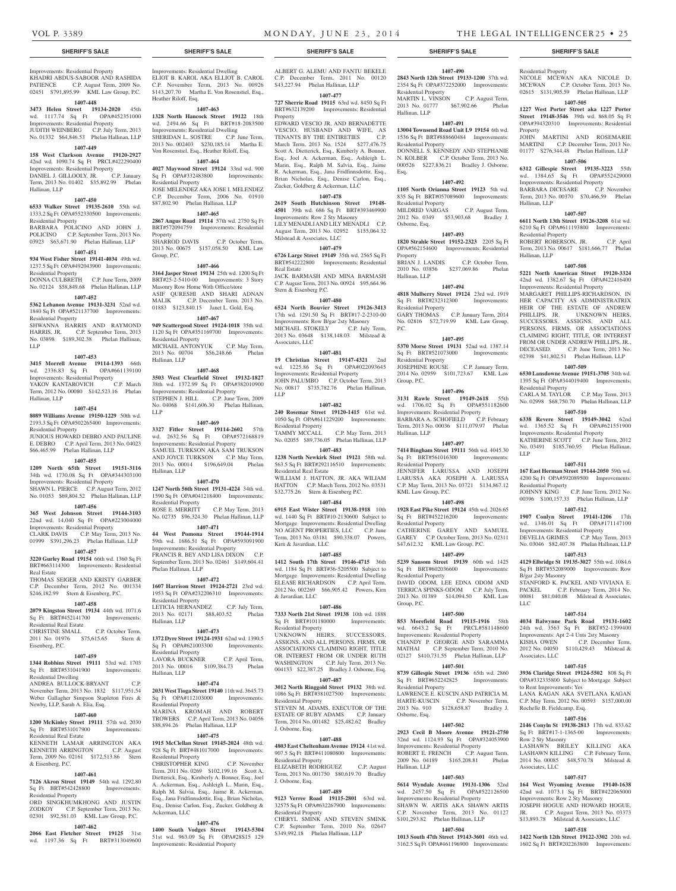BARBARA DICESARE

Hallinan, LLP

Residential Property

Residential Property

Residential Property

B/gar 2sty Masonry

Associates, LLC

to Rent Improvements: Yes

Rochelle B. Fieldcamp, Esq.

Row 2 Sty Masonry

Associates, LLC

LLC

LLP

Hallinan, LLP

Property

NICOLE MCEWAN AKA NICOLE D. MCEWAN C.P. October Term, 2013 No. 02615 \$131,905.59 Phelan Hallinan, LLP **1407-505 1227 West Porter Street aka 1227 Porter Street 19148-3546** 39th wd. 868.05 Sq Ft OPA#394320310 Improvements: Residential

JOHN MARTINI AND ROSEMARIE MARTINI C.P. December Term, 2013 No. 01177 \$276,344.48 Phelan Hallinan, LLP **1407-506 6312 Gillespie Street 19135-3223** 55th wd. 1384.65 Sq Ft OPA#552429000 Improvements: Residential Property

Term, 2013 No. 00370 \$70,466.59 Phelan

**1407-507 6611 North 13th Street 19126-3208** 61st wd. 6210 Sq Ft OPA#611193800 Improvements:

ROBERT ROBERSON, JR. C.P. April Term, 2013 No. 00617 \$181,666.77 Phelan

**1407-508 5221 North American Street 19120-3324**  42nd wd. 1382.67 Sq Ft OPA#422416400 Improvements: Residential Property MARGARET PHILLIPS-RICHARDSON IN HER CAPACITY AS ADMINISTRATRIX HEIR OF THE ESTATE OF ANDREW PHILLIPS, JR. UNKNOWN HEIRS, SUCCESSORS, ASSIGNS, AND ALL PERSONS, FIRMS, OR ASSOCIATIONS CLAIMING RIGHT, TITLE, OR INTEREST FROM OR UNDER ANDREW PHILLIPS, JR., DECEASED. C.P. June Term, 2013 No. 02398 \$41,802.51 Phelan Hallinan, LLP **1407-509 6530 Lansdowne Avenue 19151-3705** 34th wd. 1395 Sq Ft OPA#344019400 Improvements:

CARLA M. TAYLOR C.P. May Term, 2013 No. 02998 \$68,750.70 Phelan Hallinan, LLP **1407-510 6338 Revere Street 19149-3042** 62nd wd. 1365.52 Sq Ft OPA#621551900 Improvements: Residential Property KATHERINE SCOTT C.P. June Term, 2012 No. 03491 \$185,760.95 Phelan Hallinan,

**1407-511 167 East Herman Street 19144-2050** 59th wd. 4200 Sq Ft OPA#592089500 Improvements:

JOHNNY KING C.P. June Term, 2012 No. 00396 \$100,157.33 Phelan Hallinan, LLP **1407-512 1907 Conlyn Street 19141-1206** 17th wd. 1346.01 Sq Ft OPA#171147100 Improvements: Residential Property DEVELIA GRIMES C.P. May Term, 2013 No. 03046 \$82,407.38 Phelan Hallinan, LLP **1407-513 4129 Elbridge St 19135-3027** 55th wd. 1084.6 Sq Ft BRT#552089000 Improvements: Row

STANFORD K. PACKEL AND VIVIANA E.<br>PACKEL C.P. February Term, 2014 No.

00081 \$81,040.08 Milstead & Associates,

**1407-514 4034 Balwynne Park Road 19131-1602**  24th wd. 3563 Sq Ft BRT#52-1399400 Improvements: Apt 2-4 Unts 2sty Masonry KISHA OWEN C.P. December Term, 2012 No. 04050 \$110,429.43 Milstead &

**1407-515 3936 Claridge Street 19124-5502** 808 Sq Ft OPA#332335800 Subject to Mortgage Subject

LANA KAGAN AKA SVETLANA KAGAN C.P. May Term, 2012 No. 00593 \$157,000.00

**1407-516 2146 Conyln St 19138-2813** 17th wd. 833.62 Sq Ft BRT#17-1-1365-00 Improvements:

LASHAWN BRILEY KILLING AKA LASHAWN KILLING C.P. February Term, 2014 No. 00085 \$48,570.78 Milstead &

**1407-517 164 West Wyoming Avenue 19140-1638**  42nd wd. 1073.1 Sq Ft BRT#422065000

Improvements: Row 2 Sty Masonry JOSEPH HOGUE AND HOWARD HOGUE, JR. C.P. August Term, 2013 No. 03373 \$13,893.78 Milstead & Associates, LLC **1407-518 1422 North 12th Street 19122-3302** 20th wd. 1602 Sq Ft BRT#202263800 Improvements:

C.P. February Term, 2014 No.

**1407-490 2843 North 12th Street 19133-1200** 37th wd. 2354 Sq Ft OPA#372252000 Improvements:

MARTIN L. VINSON C.P. August Term, 2013 No. 01777 \$67,902.66 Phelan

**1407-491 13004 Townsend Road Unit L9 19154** 6th wd. 1536 Sq Ft BRT#888660484 Improvements:

DONNELL S. KENNEDY AND STEPHANIE N. KOLBER C.P. October Term, 2013 No. 000526 \$227,836.21 Bradley J. Osborne,

**1407-492 1105 North Orianna Street 19123** 5th wd. 835 Sq Ft BRT#057089600 Improvements:

MILDRED VARGAS C.P. August Term, 2012 No. 0349 \$53,903.68 Bradley J.

**1407-493 1820 Strahle Street 19152-2323** 2205 Sq Ft OPA#562154600 Improvements: Residential

2010 No. 03856 \$237,069.86 Phelan

**1407-494 4818 Mulberry Street 19124** 23rd wd. 1919 Sq Ft BRT#232312300 Improvements:

GARY THOMAS C.P. January Term, 2014 No. 02816 \$72,719.99 KML Law Group,

**1407-495 5370 Morse Street 19131** 52nd wd. 1387.14 Sq Ft BRT#521073000 Improvements:

JOSEPHINE ROUSE C.P. January Term, 2014 No. 02959 \$101,723.67 KML Law

**1407-496 3131 Rawle Street 19149-2618** 55th wd. 1706.02 Sq Ft OPA#551182600 Improvements: Residential Property BARBARA A. SCHOFIELD C.P. February Term, 2013 No. 00036 \$111,079.97 Phelan

**1407-497 7414 Bingham Street 19111** 56th wd. 4045.30 Sq Ft BRT#561016300 Improvements:

JENNIFER LARUSSA AND JOSEPH LARUSSA AKA JOSEPH A. LARUSSA C.P. May Term, 2013 No. 03721 \$134,867.12

**1407-498 1928 East Pike Street 19124** 45th wd. 2026.65 Sq Ft BRT#452216200 Improvements:

CATHERINE GAREY AND SAMUEL GAREY C.P. October Term, 2013 No. 02311 \$47,612.32 KML Law Group, P.C. **1407-499 5239 Sansom Street 19139** 60th wd. 1425 Sq Ft BRT#602036600 Improvements:

DAVID ODOM, LEE EDNA ODOM AND TERRICA SPINKS-ODOM C.P. July Term, 2013 No. 01389 \$14,094.50 KML Law

**1407-500 853 Morefield Road 19115-1916** 58th wd. 6643.2 Sq Ft PRCL#581148600 Improvements: Residential Property CHANDY P. GEORGE AND SARAMMA<br>MATHAI C.P. September Term. 2010 No.

02127 \$410,731.55 Phelan Hallinan, LLP **1407-501 8739 Gillespie Street 19136** 65th wd. 2860 Sq Ft BRT#652242825 Improvements:

LAWRENCE E. KUSCIN AND PATRICIA M. HARTE-KUSCIN C.P. November Term, 2013 No. 910 \$128,658.87 Bradley J.

**1407-502 2923 Cecil B Moore Avenue 19121-2750**  32nd wd. 1124.93 Sq Ft OPA#324053900

**1407-503 5614 Wyndale Avenue 19131-1306** 52nd wd. 2457.50 Sq Ft OPA#522126500 Improvements: Residential Property SHAWN W. ARTIS AKA SHAWN ARTIS C.P. November Term, 2013 No. 01127 \$101,293.82 Phelan Hallinan, LLP **1407-504 1013 South 47th Street 19143-3601** 46th wd. 3162.5 Sq Ft OPA#461196900 Improvements:

Improvements: Residential Property ROBERT E. FRENCH C.P. August Term, 2009 No. 04189 \$165,208.81 Phelan

C.P. September Term, 2010 No.

C.P. October Term,

Residential Property

Residential Property

Residential Property

Property<br>BRIAN J. LANDIS

Residential Property

Residential Property

Group, P.C.

Hallinan, LLP

Residential Property

KML Law Group, P.C.

Residential Property

Residential Property

Residential Property

Osborne, Esq.

Hallinan, LLP

Group, P.C.

P.C.

Osborne, Esq.

Hallinan, LLP

Hallinan, LLP

Esq.

Improvements: Residential Property KHADRI ABDUS-SABOOR AND RASHIDA PATIENCE C.P. August Term, 2009 No. 02451 \$791,895.99 KML Law Group, P.C.

## **1407-448**

**3473 Helen Street 19134-2020** 45th wd. 1117.74 Sq Ft OPA#452351000 Improvements: Residential Property

JUDITH WEINBERG C.P. July Term, 2013 No. 01332 \$64,846.53 Phelan Hallinan, LLP **1407-449**

## **158 West Clarkson Avenue 19120-2927**

42nd wd. 1090.74 Sq Ft PRCL#422290400 Improvements: Residential Property<br>DANIEL J. GILLOOLY, JR. C.P. January DANIEL J. GILLOOLY, JR. Term, 2013 No. 01402 \$35,892.99 Phelan Hallinan, LLP

#### **1407-450**

**6533 Walker Street 19135-2610** 55th wd. 1333.2 Sq Ft OPA#552330500 Improvements: Residential Property BARBARA POLICINO AND JOHN J.

POLICINO C.P. September Term, 2013 No. 03923 \$63,671.90 Phelan Hallinan, LLP **1407-451**

**934 West Fisher Street 19141-4034** 49th wd. 1237.5 Sq Ft OPA#492043900 Improvements: Residential Property

DONNA CULBRETH C.P. June Term, 2009 No. 02124 \$58,849.68 Phelan Hallinan, LLP

## **1407-452**

**5362 Lebanon Avenue 19131-3231** 52nd wd. 1840 Sq Ft OPA#521137700 Improvements: Residential Property SHWANNA HARRIS AND RAYMOND HARRIS, JR. C.P. September Term, 2013 No. 03898 \$189,302.38 Phelan Hallinan,

LLP

### **1407-453**

**3415 Morrell Avenue 19114-1393** 66th wd. 2336.83 Sq Ft OPA#661139100 Improvements: Residential Property YAKOV KANTAROVICH<sup>C.P.</sup> C.P. March Term, 2012 No. 00080 \$142,523.16 Phelan Hallinan, LLP

## **1407-454**

**8089 Williams Avenue 19150-1229** 50th wd. 2193.3 Sq Ft OPA#502265400 Improvements: Residential Property JUNIOUS HOWARD DEBRO AND PAULINE

E. DEBRO C.P. April Term, 2013 No. 04023 \$66,465.99 Phelan Hallinan, LLP

#### **1407-455**

**1209 North 65th Street 19151-3116**  34th wd. 1730.08 Sq Ft OPA#344303100

Improvements: Residential Property SHAWN L. PIERCE C.P. August Term, 2012

### No. 01053 \$69,804.52 Phelan Hallinan, LLP **1407-456**

**365 West Johnson Street 19144-3103**  22nd wd. 14,040 Sq Ft OPA#223004000 Improvements: Residential Property CLARK DAVIS C.P. May Term, 2013 No.

01999 \$391,296.23 Phelan Hallinan, LLP

## **1407-457**

**3220 Gurley Road 19154** 66th wd. 1360 Sq Ft BRT#663114300 Improvements: Residential

Real Estate THOMAS SEIGER AND KRISTY GARBER C.P. December Term, 2012 No. 001334 \$246,182.99 Stern & Eisenberg, P.C.

### **1407-458**

**2079 Kingston Street 19134** 44th wd. 1071.6 Sq Ft BRT#452141700 Improvements: Residential Real Estate

#### CHRISTINE SMALL C.P. October Term, 2011 No. 01976 \$75,615.65 Stern & Eisenberg, P.C.

#### **1407-459**

**1344 Robbins Street 19111** 53rd wd. 1703 Sq Ft BRT#531041900 Improvements: Residential Dwelling

ANDREA BULLOCK-BRYANT C.P. November Term, 2013 No. 1832 \$117,951.54 Weber Gallagher Simpson Stapleton Fires & Newby, LLP, Sarah A. Elia, Esq.

#### **1407-460**

**1200 McKinley Street 19111** 57th wd. 2030 Sq Ft BRT#531017900 Improvements: Residential Real Estate

KENNETH LAMAR ARRINGTON AKA KENNETH ARRINGTON Term, 2009 No. 02161 \$172,513.86 Stern & Eisenberg, P.C.

#### **1407-461**

### **7126 Akron Street 19149** 54th wd. 1292.80 Sq Ft BRT#542428800 Improvements:

Residential Property ORD SINGKHUMKHONG AND JUSTIN ZODKOY C.P. September Term, 2013 No. 02301 \$92,581.03 KML Law Group, P.C.

## **1407-462**

**2066 East Fletcher Street 19125** 31st wd. 1197.36 Sq Ft BRT#313049600

Improvements: Residential Dwelling ELIOT B. KAROL AKA ELLIOT B. CAROL C.P. November Term, 2013 No. 00926 \$143,207.70 Martha E. Von Rosenstiel, Esq.,

#### **1407-463**

Heather Riloff, Esq.

**1328 North Hancock Street 19122** 18th wd. 2494.66 Sq Ft BRT#18-2083500 Improvements: Residential Dwelling SHERIDAN L. SOSTRE C.P. June Term, 2013 No. 002403 \$230,185.14 Martha E. Von Rosenstiel, Esq., Heather Riloff, Esq.

#### **1407-464**

**4027 Maywood Street 19124** 33nd wd. 900 Sq Ft OPA#332483800 Improvements: Residential Property JOSE MELENDEZ AKA JOSE I. MELENDEZ C.P. December Term, 2006 No. 01910

\$87,802.90 Phelan Hallinan, LLP **1407-465**

## **2867 Angus Road 19114** 57th wd. 2750 Sq Ft

BRT#572094759 Improvements: Residential Property SHARROD DAVIS C.P. October Term, 2013 No. 00675 \$157,058.50 KML Law Group, P.C.

#### **1407-466**

**3164 Jasper Street 19134** 25th wd. 1200 Sq Ft BRT#25-2-5410-00 Improvements: 3 Story Masonry Row Home With Office/store ASIF QURESHI AND SHARI ADNAN MALIK C.P. December Term, 2013 No. 01883 \$123,840.15 Janet L. Gold, Esq.

#### **1407-467**

**949 Scattergood Street 19124-1018** 35th wd. 1120 Sq Ft OPA#351169700 Improvements: Residential Property MICHAEL ANTONYUK C.P. May Term, 2013 No. 00704 \$56,248.66 Phelan

Hallinan, LLP

**1407-468 3503 West Clearfield Street 19132-1827**  38th wd. 1372.99 Sq Ft OPA#382010900 Improvements: Residential Property STEPHEN J. HILL C.P. June Term, 2009 No. 04068 \$141,606.30 Phelan Hallinan, LLP

#### **1407-469**

**3327 Fitler Street 19114-2602** 57th wd. 2632.56 Sq Ft OPA#572168819 Improvements: Residential Property SAMUEL TURKSON AKA SAM TRUKSON AND JOYCE TURKSON C.P. May Term, 2013 No. 00014 \$196,649.04 Phelan Hallinan, LLP

### **1407-470**

**1247 North 56th Street 19131-4224** 34th wd. 1590 Sq Ft OPA#041218400 Improvements: Residential Property ROSE E. MERRITT C.P. May Term, 2013 No. 02735 \$96,324.30 Phelan Hallinan, LLP

#### **1407-471**

**44 West Pomona Street 19144-1914**  59th wd. 1686.51 Sq Ft OPA#593091900 Improvements: Residential Property FRANCIS R. BEY AND LISA DIXON C.P. September Term, 2013 No. 02461 \$149,604.41

Phelan Hallinan, LLP **1407-472**

**1607 Harrison Street 19124-2721** 23rd wd. 1953 Sq Ft OPA#232206310 Improvements: Residential Property LETICIA HERNANDEZ C.P. July Term, 2013 No. 02171 \$88,403.52 Phelan Hallinan, LLP

#### **1407-473**

**1372 Dyre Street 19124-1931** 62nd wd. 1390.5 Sq Ft OPA#621003300 Improvements: Residential Property LAVORA BUCKNER C.P. April Term,

2013 No. 00016 \$109,384.73 Phelan Hallinan, LLP

#### **1407-474**

**2031 West Tioga Street 19140** 11th wd. 3645.73 Sq Ft OPA#112103000 Improvements: Residential Property MARINA KROMAH AND ROBERT

TROWERS C.P. April Term, 2013 No. 04056 \$88,894.26 Phelan Hallinan, LLP **1407-475**

**1915 McClellan Street 19145-2024** 48th wd. 928 Sq Ft BRT#481017000 Improvements: Residential Property

CHRISTOPHER KING C.P. November Term, 2011 No. 0269 \$102,199.16 Scott A. Dietterick, Esq., Kimberly A. Bonner, Esq., Joel A. Ackerman, Esq., Ashleigh L. Marin, Esq., Ralph M. Salvia, Esq., Jaime R. Ackerman, Esq., Jana Fridfinnsdottir, Esq., Brian Nicholas, Esq., Denise Carlon, Esq., Zucker, Goldberg & Ackerman, LLC

#### **1407-476**

**1400 South Vodges Street 19143-5304**  51st wd. 963.09 Sq Ft OPA#28S15 129 Improvements: Residential Property

**SHERIFF'S SALE SHERIFF'S SALE SHERIFF'S SALE SHERIFF'S SALE SHERIFF'S SALE**

ALBERT G. ALEMU AND FANTU BEKELE C.P. December Term, 2011 No. 00120 \$43,227.94 Phelan Hallinan, LLP

### **1407-477**

**727 Sherrie Road 19115** 63rd wd. 8450 Sq Ft BRT#632139200 Improvements: Residential Property EDWARD VESCIO JR. AND BERNADETTE VESCIO, HUSBAND AND WIFE, AS TENANTS BY THE ENTIRETIES C.P. March Term, 2013 No. 1524 \$277,476.75 Scott A. Dietterick, Esq., Kimberly A. Bonner, Esq., Joel A. Ackerman, Esq., Ashleigh L. Marin, Esq., Ralph M. Salvia, Esq., Jaime R. Ackerman, Esq., Jana Fridfinnsdottir, Esq., Brian Nicholas, Esq., Denise Carlon, Esq., Zucker, Goldberg & Ackerman, LLC

#### **1407-478**

**2619 South Hutchinson Street 19148- 4501** 39th wd. 686 Sq Ft BRT#393469900 Improvements: Row 2 Sty Masonry LILY MENADLI AND LILY MENADLI C.P. August Term, 2013 No. 02952 \$155,064.32 Milstead & Associates, LLC

#### **1407-479**

**6726 Large Street 19149** 35th wd. 2565 Sq Ft BRT#542222800 Improvements: Residential Real Estate JACK BARMASH AND MINA BARMASH

C.P. August Term, 2013 No. 00924 \$95,664.96 Stern & Eisenberg P.C.

## **1407-480**

**6524 North Bouvier Street 19126-3413**  17th wd. 1291.50 Sq Ft BRT#17-2-2310-00 Improvements: Row B/gar 2sty Masonry MICHAEL STOKELY C.P. July Term, 2013 No. 03648 \$138,148.03 Milstead & Associates, LLC

#### **1407-481**

**19 Christian Street 19147-4321** 2nd wd. 1225.86 Sq Ft OPA#022093645 Improvements: Residential Property JOHN PALUMBO C.P. October Term, 2013 No. 00817 \$735,782.76 Phelan Hallinan, LLP

#### **1407-482**

**240 Rosemar Street 19120-1415** 61st wd. 1050 Sq Ft OPA#611229200 Improvements: Residential Property<br>TAMMY MCCALL C.P. May Term, 2013 No. 02055 \$89,736.05 Phelan Hallinan, LLP

**1407-483 1238 North Newkirk Steet 19121** 58th wd. 563.5 Sq Ft BRT#292116510 Improvements: Residential Real Estate WILLIAM J. HATTON, JR. AKA WILIAM HATTON C.P. March Term, 2012 No. 03531

### \$32,775.26 Stern & Eisenberg P.C. **1407-484**

**6915 East Wister Street 19138-1918** 10th wd. 1440 Sq Ft BRT#10-2130600 Subject to Mortgage Improvements: Residential Dwelling NO AGENT PROPERTIES, LLC C.P. June Term, 2013 No. 03181 \$90,338.07 Powers, Kirn & Javardian, LLC

#### **1407-485**

**1412 South 17th Street 19146-4715** 36th wd. 1184 Sq Ft BRT#36-5205500 Subject to Mortgage Improvements: Residential Dwelling ELEASE RICHARDSON C.P. April Term, 2012 No. 002269 \$66,905.42 Powers, Kirn & Javardian, LLC

**1407-486 7333 North 21st Street 19138** 10th wd. 1888 Sq Ft BRT#101180000 Improvements:

UNKNOWN HEIRS, SUCCESSORS, ASSIGNS, AND ALL PERSONS, FIRMS, OR ASSOCIATIONS CLAIMING RIGHT, TITLE OR INTEREST FROM OR UNDER RUTH WASHINGTON C.P. July Term, 2013 No. 004133 \$22,387.25 Bradley J. Osborne, Esq. **1407-487 3012 North Ringgold Street 19132** 38th wd. 1086 Sq Ft BRT#381027500 Improvements:

STEVEN M. ADAMS, EXECUTOR OF THE ESTATE OF RUBY ADAMS C.P. January Term, 2014 No. 001482 \$25,482.62 Bradley

**1407-488 4803 East Cheltenham Avenue 19124** 41st wd. 907.5 Sq Ft BRT#411080800 Improvements:

ELIZABETH RODRIGUEZ C.P. August Term, 2013 No. 001750 \$80,619.70 Bradley

**1407-489 9123 Verree Road 19115-2801** 63rd wd. 32575 Sq Ft OPA#632267900 Improvements:

CHERYL SMINK AND STEVEN SMINK C.P. September Term, 2010 No. 02647 \$349,992.18 Phelan Hallinan, LLP

Residential Property

Residential Property

J. Osborne, Esq.

Residential Property

Residential Property

J. Osborne, Esq.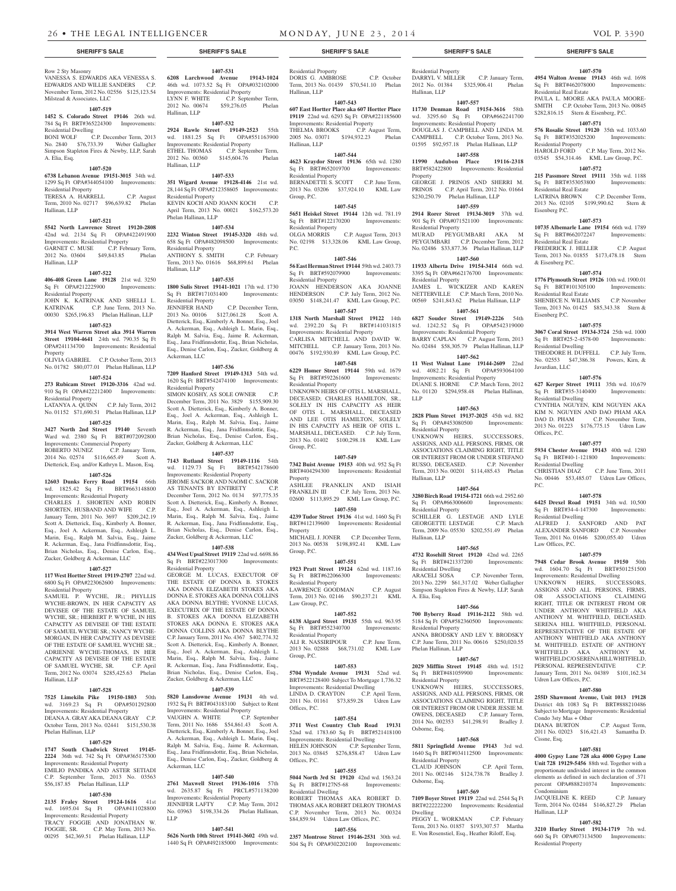## Row 2 Sty Masonry

VANESSA S. EDWARDS AKA VENESSA S. EDWARDS AND WILLIE SANDERS C.P. November Term, 2012 No. 02556 \$125,123.54 Milstead & Associates, LLC

## **1407-519**

**1452 S. Colorado Street 19146** 26th wd. 784 Sq Ft BRT#365224300 Improvements: Residential Dwelling BONI WOLF C.P. December Term, 2013

#### No. 2840 \$76,733.39 Weber Gallagher Simpson Stapleton Fires & Newby, LLP, Sarah

A. Elia, Esq. **1407-520 6738 Lebanon Avenue 19151-3015** 34th wd.

#### 1299 Sq Ft OPA#344054100 Improvements: Residential Property

TERESA A. HARRELL C.P. August Term, 2010 No. 02717 \$96,639.82 Phelan Hallinan, LLP

#### **1407-521**

**5542 North Lawrence Street 19120-2808**  42nd wd. 2134 Sq Ft OPA#422491900 Improvements: Residential Property GARNET C. MUSE C.P. February Term, 2012 No. 03604 \$49,843.85 Phelan

**1407-522**

Hallinan, LLP

#### **406-408 Green Lane 19128** 21st wd. 3250 Sq Ft OPA#212225900 Improvements: Residential Property JOHN K. KATRINAK AND SHELLI L. KATRINAK C.P. June Term, 2013 No.

00030 \$265,196.83 Phelan Hallinan, LLP **1407-523**

#### **3914 West Warren Street aka 3914 Warren Street 19104-4641** 24th wd. 790.35 Sq Ft OPA#241134700 Improvements: Residential Property

OLIVIA GABRIEL C.P. October Term, 2013 No. 01782 \$80,077.01 Phelan Hallinan, LLP

## **1407-524**

**273 Rubicam Street 19120-3316** 42nd wd. 910 Sq Ft OPA#422212400 Improvements: Residential Property

LATANYA A. QUINN C.P. July Term, 2012 No. 01152 \$71,690.51 Phelan Hallinan, LLP

#### **1407-525**

**3427 North 2nd Street 19140** Seventh Ward wd. 2380 Sq Ft BRT#072092800 Improvements: Commercial Property<br>
ROBERTO NUNEZ C.P. January Term, ROBERTO NUNEZ 2014 No. 02574 \$116,665.49 Scott A. Dietterick, Esq. and/or Kathryn L. Mason, Esq.

#### **1407-526**

**12603 Dunks Ferry Road 19154** 66th wd. 1825.42 Sq Ft BRT#663148800 Improvements: Residential Property CHARLES J. SHORTEN AND ROBIN SHORTEN, HUSBAND AND WIFE C.P. January Term, 2011 No. 3697 \$209,242.19 Scott A. Dietterick, Esq., Kimberly A. Bonner, Esq., Joel A. Ackerman, Esq., Ashleigh L. Marin, Esq., Ralph M. Salvia, Esq., Jaime R. Ackerman, Esq., Jana Fridfinnsdottir, Esq., Brian Nicholas, Esq., Denise Carlon, Esq., Zucker, Goldberg & Ackerman, LLC

#### **1407-527**

**117 West Hortter Street 19119-2707** 22nd wd. 6800 Sq Ft OPA#223062600 Improvements: Residential Property

SAMUEL P. WYCHE, JR.; PHYLLIS WYCHE-BROWN, IN HER CAPACITY AS DEVISEE OF THE ESTATE OF SAMUEL WYCHE, SR.; HERBERT P. WYCHE, IN HIS CAPACITY AS DEVISEE OF THE ESTATE OF SAMUEL WYCHE SR.; NANCY WYCHE-MORGAN, IN HER CAPACITY AS DEVISEE OF THE ESTATE OF SAMUEL WYCHE SR.; ADRIENNE WYCHE-THOMAS, IN HER CAPACITY AS DEVISEE OF THE ESTATE<br>OF SAMUEL WYCHE, SR. C.P. April OF SAMUEL WYCHE, SR. Term, 2012 No. 03074 \$285,425.63 Phelan Hallinan, LLP

#### **1407-528**

**7525 Limekiln Pike 19150-1803** 50th wd. 3169.23 Sq Ft OPA#501292800 Improvements: Residential Property DEANA A. GRAY AKA DEANA GRAY C.P. October Term, 2013 No. 02441 \$151,530.38 Phelan Hallinan, LLP

#### **1407-529**

**1747 South Chadwick Street 19145- 2224** 36th wd. 742 Sq Ft OPA#365175300 Improvements: Residential Property EMILIO PANDIKA AND ASTER SETIADI C.P. September Term, 2013 No. 03563 \$56,187.85 Phelan Hallinan, LLP

### **1407-530**

**2135 Fraley Street 19124-1616** 41st wd. 1695.04 Sq Ft OPA#411028800 Improvements: Residential Property TRACY FOGGIE AND JONATHAN W. FOGGIE, SR. C.P. May Term, 2013 No. 00295 \$42,369.51 Phelan Hallinan, LLP

## **SHERIFF'S SALE SHERIFF'S SALE SHERIFF'S SALE SHERIFF'S SALE SHERIFF'S SALE**

**1407-531**

2012 No. 00674 \$59,276.05 Phelan

**1407-532 2924 Rawle Street 19149-2523** 55th wd. 1881.25 Sq Ft OPA#551163900 Improvements: Residential Property ETHEL THOMAS C.P. September Term, 2012 No. 00360 \$145,604.76 Phelan

**1407-533 351 Wigard Avenue 19128-4146** 21st wd. 28,144 Sq Ft OPA#212358605 Improvements:

KEVIN KOCH AND JOANN KOCH C.P. April Term, 2013 No. 00021 \$162,573.20

**1407-534 2232 Winton Street 19145-3320** 48th wd. 658 Sq Ft OPA#482098500 Improvements:

ANTHONY S. SMITH C.P. February Term, 2013 No. 01616 \$68,899.61 Phelan

**1407-535 1800 Sulis Street 19141-1021** 17th wd. 1730 Sq Ft BRT#171031400 Improvements:

2013 No. 00106 \$127,061.28 Scott A. Dietterick, Esq., Kimberly A. Bonner, Esq., Joel A. Ackerman, Esq., Ashleigh L. Marin, Esq., Ralph M. Salvia, Esq., Jaime R. Ackerman, Esq., Jana Fridfinnsdottir, Esq., Brian Nicholas, Esq., Denise Carlon, Esq., Zucker, Goldberg &

**1407-536 7209 Hanford Street 19149-1313** 54th wd. 1620 Sq Ft BRT#542474100 Improvements:

 $SIMON KOSHY AS SOLE OWNER$ December Term, 2011 No. 3829 \$155,909.30 Scott A. Dietterick, Esq., Kimberly A. Bonner, Esq., Joel A. Ackerman, Esq., Ashleigh L. Marin, Esq., Ralph M. Salvia, Esq., Jaime R. Ackerman, Esq., Jana Fridfinnsdottir, Esq., Brian Nicholas, Esq., Denise Carlon, Esq., Zucker, Goldberg & Ackerman, LLC **1407-537 7143 Rutland Street 19149-1116** 54th wd. 1129.73 Sq Ft BRT#542178600 Improvements: Residential Property JEROME SACKOR AND NAOMI C. SACKOR AS TENANTS BY ENTIRETY C.P. December Term, 2012 No. 0134 \$97,775.35 Scott A. Dietterick, Esq., Kimberly A. Bonner, Esq., Joel A. Ackerman, Esq., Ashleigh L. Marin, Esq., Ralph M. Salvia, Esq., Jaime R. Ackerman, Esq., Jana Fridfinnsdottir, Esq., Brian Nicholas, Esq., Denise Carlon, Esq., Zucker, Goldberg & Ackerman, LLC **1407-538 434 West Upsal Street 19119** 22nd wd. 6698.86 Sq Ft BRT#223017300 Improvements:

C.P. December Term,

Hallinan, LLP

Hallinan, LLP

Residential Property

Phelan Hallinan, LLP

Residential Property

Residential Property<br>JENNIFER HAND

Ackerman, LLC

Residential Property

Residential Property

Ackerman, LLC

LLP

**1407-540 2761 Maxwell Street 19136-1016** 57th wd. 2635.87 Sq Ft PRCL#571138200 Improvements: Residential Property JENNIFER LAFTY C.P. May Term, 2012 No. 03963 \$198,334.26 Phelan Hallinan,

**1407-541 5626 North 10th Street 19141-3602** 49th wd. 1440 Sq Ft OPA#492185000 Improvements:

GEORGE M. LUCAS, EXECUTOR OF THE ESTATE OF DONNA B. STOKES AKA DONNA ELIZABETH STOKES AKA DONNA E. STOKES AKA DONNA COLLINS AKA DONNA BLYTHE; YVONNE LUCAS, EXECUTRIX OF THE ESTATE OF DONNA B. STOKES AKA DONNA ELIZABETH STOKES AKA DONNA E. STOKES AKA DONNA COLLINS AKA DONNA BLYTHE C.P. January Term, 2011 No. 4367 \$402,774.32 Scott A. Dietterick, Esq., Kimberly A. Bonner, Esq., Joel A. Ackerman, Esq., Ashleigh L. Marin, Esq., Ralph M. Salvia, Esq., Jaime R. Ackerman, Esq., Jana Fridfinnsdottir, Esq., Brian Nicholas, Esq., Denise Carlon, Esq., Zucker, Goldberg & Ackerman, LLC **1407-539 5820 Lansdowne Avenue 19131** 4th wd. 1932 Sq Ft BRT#043183100 Subject to Rent Improvements: Residential Property VAUGHN A. WHITE C.P. September Term, 2011 No. 1686 \$54,861.43 Scott A. Dietterick, Esq., Kimberly A. Bonner, Esq., Joel A. Ackerman, Esq., Ashleigh L. Marin, Esq., Ralph M. Salvia, Esq., Jaime R. Ackerman, Esq., Jana Fridfinnsdottir, Esq., Brian Nicholas, Esq., Denise Carlon, Esq., Zucker, Goldberg &

Hallinan, LLP

**6208 Larchwood Avenue 19143-1024**  46th wd. 1073.52 Sq Ft OPA#032102000 **Improvements: Residential Property<br>LYNN F. WHITE** C.P. Septem C.P. September Term, Residential Property DORIS G. AMBROSE C.P. October Term, 2013 No. 01439 \$70,541.10 Phelan Hallinan, LLP

#### **1407-543 607 East Hortter Place aka 607 Hortter Place 19119** 22nd wd. 6293 Sq Ft OPA#221185600

Improvements: Residential Property THELMA BROOKS C.P. August Term, 2005 No. 03071 \$194,932.23 Phelan Hallinan, LLP

## **1407-544**

**4623 Kraydor Street 19136** 65th wd. 1280 Sq Ft BRT#652019700 Improvements: Residential Property BERNADETTE S. SCOTT C.P. June Term, 2013 No. 03206 \$37,924.10 KML Law Group, P.C.

#### **1407-545**

**5651 Heiskel Street 19144** 12th wd. 781.19 Sq Ft BRT#122170200 Improvements: Residential Property<br>OLGA MORRIS C.P. August Term, 2013 No. 02198 \$13,328.06 KML Law Group, P.C.

#### **1407-546**

**56 East Herman Street 19144** 59th wd. 2403.73 Sq Ft BRT#592079900 Improvements: Residential Property JOANN HENDERSON AKA JOANNE HENDERSON C.P. July Term, 2012 No. 03050 \$148,241.47 KML Law Group, P.C.

## **1407-547**

**1318 North Marshall Street 19122** 14th wd. 2392.20 Sq Ft BRT#141031815 Improvements: Residential Property CARLISA MITCHELL AND DAVID W. MITCHELL C.P. January Term, 2013 No. 00476 \$192,930.89 KML Law Group, P.C.

## **1407-548**

**6229 Homer Street 19144** 59th wd. 1679 Sq Ft BRT#592261600 Improvements: Residential Property UNKNOWN HEIRS OF OTIS L. MARSHALL, DECEASED; CHARLES HAMILTON, SR., SOLELY IN HIS CAPACITY AS HEIR OF OTIS L. MARSHALL, DECEASED AND LEE OTIS HAMILTON, SOLELY IN HIS CAPACITY AS HEIR OF OTIS L. MARSHALL, DECEASED. C.P. July Term, 2013 No. 01402 \$100,298.18 KML Law Group, P.C.

#### **1407-549**

**7342 Buist Avenue 19153** 40th wd. 952 Sq Ft BRT#404294300 Improvements: Residential Property

ASHLEE FRANKLIN AND ISIAH FRANKLIN III C.P. July Term, 2013 No. 02600 \$113,895.29 KML Law Group, P.C.

## **1407-550**

**4239 Tudor Street 19136** 41st wd. 1460 Sq Ft BRT#412139600 Improvements: Residential Property

MICHAEL J. JONER C.P. December Term, 2013 No. 00538 \$198,892.41 KML Law Group, P.C.

#### **1407-551**

**1923 Pratt Street 19124** 62nd wd. 1187.16 Sq Ft BRT#622066300 Improvements: Residential Property LAWRENCE GOODMAN C.P. August

Term, 2013 No. 02146 \$90,237.21 KML Law Group, P.C.

## **1407-552**

**6138 Algard Street 19135** 55th wd. 963.95 Sq Ft BRT#552340700 Improvements: Residential Property

ALI R. NASSIRIPOUR C.P. June Term, 2013 No. 02888 \$68,731.02 KML Law Group, P.C.

## **1407-553**

**5704 Wyndale Avenue 19131** 52nd wd. BRT#522128400 Subject To Mortgage 1,736.32 Improvements: Residential Dwelling LINDA D. CRAYTON C.P. April Term, 2011 No. 01161 \$73,859.28 Udren Law Offices, P.C.

**1407-554 3711 West Country Club Road 19131**  52nd wd. 1783.60 Sq Ft BRT#521418100 Improvements: Residential Dwelling HELEN JOHNSON C.P. September Term, 2013 No. 03845 \$276,858.47 Udren Law Offices, P.C.

#### **1407-555**

**5044 North 3rd St 19120** 42nd wd. 1563.24<br>
Sq Ft BRT#127N5-68 Improvements: Sq Ft BRT#127N5-68 Residential Dwelling

ROBERT THOMAS AKA ROBERT D. THOMAS AKA ROBERT DELROY THOMAS C.P. November Term, 2013 No. 00324 \$84,859.94 Udren Law Offices, P.C.

#### **1407-556**

**2357 Montrose Street 19146-2531** 30th wd. 504 Sq Ft OPA#302202100 Improvements:

#### Residential Property DARRYL V. MILLER C.P. January Term, 2012 No. 01384 \$325,906.41 Phelan

**1407-570 4954 Walton Avenue 19143** 46th wd. 1698 Sq Ft BRT#462078000 Improvements:

PAULA L. MOORE AKA PAULA MOORE-SMITH C.P. October Term, 2013 No. 00845 \$282,816.15 Stern & Eisenberg, P.C. **1407-571 576 Rosalie Street 19120** 35th wd. 1033.60 Sq Ft BRT#352025200 Improvements:

HAROLD FORD C.P. May Term, 2012 No. 03545 \$54,314.46 KML Law Group, P.C. **1407-572 215 Passmore Street 19111** 35th wd. 1188

2013 No. 02105 \$199,990.62 Stern &

**1407-573 10735 Albemarle Lane 19154** 66th wd. 1789 Sq Ft BRT#662072247 Improvements:

FREDERICK J. HELLER C.P. August Term, 2013 No. 01855 \$173,478.18 Stern

**1407-574 1776 Plymouth Street 19126** 10th wd. 1900.01 Sq Ft BRT#101305100 Improvements:

SHENIECE N. WILLIAMS C.P. November Term, 2013 No. 01425 \$85,343.38 Stern &

**1407-575 3067 Coral Street 19134-3724** 25th wd. 1000 Sq Ft BRT#25-2-4578-00 Improvements:

THEODORE H. DUFFELL C.P. July Term, No. 02553 \$47,386.38 Powers, Kirn, &

**1407-576 627 Kerper Street 19111** 35th wd. 10,679 Sq Ft BRT#35-3140400 Improvements:

CYNTHIA NGUYEN, KIM NGUYEN AKA KIM N. NGUYEN AND DAO PHAM AKA<br>DAO D. PHAM C.P. November Term,

2013 No. 01223 \$176,775.15 Udren Law

**1407-577 5934 Chester Avenue 19143** 40th wd. 1280 Sq Ft BRT#40-1-121800 Improvements:

CHRISTIAN DIAZ C.P. June Term, 2011 No. 00446 \$53,485.07 Udren Law Offices,

**1407-578 6425 Drexel Road 19151** 34th wd. 10,500 Sq Ft BRT#34-4-147300 Improvements:

ALFRED J. SANFORD AND PAT ALEXANDER SANFORD C.P. November Term, 2011 No. 01646 \$200,055.40 Udren

**1407-579 7948 Cedar Brook Avenue 19150** 50th wd. 1604.70 Sq Ft BRT#501251500 Improvements: Residential Dwelling UNKNOWN HEIRS, SUCCESSORS, ASSIGNS AND ALL PERSONS, FIRMS, OR ASSOCIATIONS CLAIMING RIGHT, TITLE OR INTEREST FROM OR UNDER ANTHONY WHITFIELD AKA ANTHONY M. WHITFIELD, DECEASED. SERENA HILL WHITFIELD, PERSONAL REPRESENTATIVE OF THE ESTATE OF ANTHONY WHITFIELD AKA ANTHONY M. WHITFIELD. ESTATE OF ANTHONY WHITFIELD AKA ANTHONY M. WHITFIELD COSERENA HILL WHITFIELD,<br>PERSONAL REPRESENTATIVE C.P. PERSONAL REPRESENTATIVE January Term, 2011 No. 04389 \$101,162.34

C.P. November Term.

C.P. December Term,

Residential Real Estate

Residential Property

Eisenberg P.C.

Residential Real Estate

Residential Real Estate

Residential Dwelling

Residential Dwelling

Residential Dwelling

Residential Dwelling

Law Offices, P.C.

Udren Law Offices, P.C.

Condo 3sty Mas + Other

Cissne, Esq.

Condominium

Hallinan, LLP

Residential Property

**1407-580 255D Shawmont Avenue, Unit 1013 19128**  District 4th 1083 Sq Ft BRT#888210486 Subject to Mortgage Improvements: Residential

DIANA BURTON C.P. August Term, 2011 No. 02023 \$16,421.43 Samantha D.

**1407-581 4000 Gypsy Lane 728 aka 4000 Gypsy Lane Unit 728 19129-5456** 88th wd. Together with a proportionate undivided interest in the common elements as defined in such declaration of .371 percent OPA#888210374 Improvements:

JACQUELINE K. REED C.P. January Term, 2014 No. 02484 \$146,827.29 Phelan

**1407-582 3210 Hurley Street 19134-1719** 7th wd. 660 Sq Ft OPA#073134500 Improvements:

Offices, P.C.

P.C.

Javardian, LLC

& Eisenberg P.C.

Eisenberg P.C.

Sq Ft BRT#353053800 Residential Real Estate<br>LATRINA BROWN

Hallinan, LLP **1407-557**

#### **11730 Denman Road 19154-3616** 58th wd. 3295.60 Sq Ft OPA#662241700

Improvements: Residential Property DOUGLAS J. CAMPBELL AND LINDA M. CAMPBELL C.P. October Term, 2013 No. 01595 \$92,957.18 Phelan Hallinan, LLP

#### **1407-558 11990 Audubon Place 19116-2318**

BRT#582422800 Improvements: Residential Property GEORGE J. PRINOS AND SHERRI M.

PRINOS C.P. April Term, 2012 No. 01664 \$230,250.79 Phelan Hallinan, LLP **1407-559**

**2914 Rorer Street 19134-3019** 37th wd. 901 Sq Ft OPA#071521100 Improvements: Residential Property

MURAD PEYGUMBARI AKA PEYGUMBARI C.P. December Term, 2012 No. 02486 \$33,877.36 Phelan Hallinan, LLP

#### **1407-560 11933 Alberta Drive 19154-3414** 66th wd.

3395 Sq Ft OPA#662176700 Improvements: Residential Property JAMES L. WICKIZER AND KAREN NETTERVILLE C.P. March Term, 2010 No. 00569 \$241,843.62 Phelan Hallinan, LLP

#### **1407-561**

**6827 Souder Street 19149-2226** 54th wd. 1242.52 Sq Ft OPA#542319000 Improvements: Residential Property BARRY CAPLAN C.P. August Term, 2013 No. 02484 \$58,305.79 Phelan Hallinan, LLP

**1407-562 11 West Walnut Lane 19144-2609** 22nd wd. 4082.21 Sq Ft OPA#593064100 Improvements: Residential Property DUANE S. HORNE C.P. March Term, 2012 No. 01120 \$294,958.48 Phelan Hallinan, LLP

## **1407-563**

**2828 Plum Street 19137-2025** 45th wd. 882 Sq Ft OPA#453080500 Improvements: Residential Property UNKNOWN HEIRS, SUCCESSORS, ASSIGNS, AND ALL PERSONS, FIRMS, OR ASSOCIATIONS CLAIMING RIGHT, TITLE OR INTEREST FROM OR UNDER STEFANO RUSSO, DECEASED. C.P. November Term, 2013 No. 00201 \$114,485.43 Phelan Hallinan, LLP

## **1407-564**

**3280 Birch Road 19154-1721** 66th wd. 2952.60 Sq Ft OPA#663006600 Improvements: Residential Property SCHILLER G. LESTAGE AND LYLE<br>GEORGETTE LESTAGE C.P. March GEORGETTE LESTAGE Term, 2009 No. 05530 \$202,551.49 Phelan Hallinan, LLP

#### **1407-565**

**4732 Rosehill Street 19120** 42nd wd. 2265 Sq Ft BRT#421337200 Improvements: Residential Dwelling

ARACELI SOSA C.P. November Term, 2013 No. 2299 \$61,317.02 Weber Gallagher Simpson Stapleton Fires & Newby, LLP, Sarah A. Elia, Esq.

### **1407-566**

**700 Byberry Road 19116-2122** 58th wd. 5184 Sq Ft OPA#582360500 Improvements: Residential Property ANNA BRODSKY AND LEV Y. BRODSKY C.P. June Term, 2011 No. 00616 \$250,020.55 Phelan Hallinan, LLP

#### **1407-567**

**2029 Mifflin Street 19145** 48th wd. 1512<br>Sq Ft BRT#481059900 Improvements: Sq Ft BRT#481059900 Residential Property UNKNOWN HEIRS, SUCCESSORS, ASSIGNS, AND ALL PERSONS, FIRMS, OR ASSOCIATIONS CLAIMING RIGHT, TITLE OR INTEREST FROM OR UNDER JESSIE M.

OWENS, DECEASED C.P. January Term, 2014 No. 002353 \$41,298.91 Bradley J. Osborne, Esq.

#### **1407-568 5811 Springfield Avenue 19143** 3rd wd.

1640 Sq Ft BRT#034112500 Improvements: Residential Property<br>CLAUD JOHNSON C.P. April Term, 2011 No. 002146 \$124,738.78 Bradley J. Osborne, Esq.

#### **1407-569**

**7109 Boyer Street 19119** 22nd wd. 2544 Sq Ft BRT#222222200 Improvements: Residential Dwelling

PEGGY L. WORKMAN C.P. February Term, 2013 No. 01857 \$193,307.57 Martha E. Von Rosenstiel, Esq., Heather Riloff, Esq.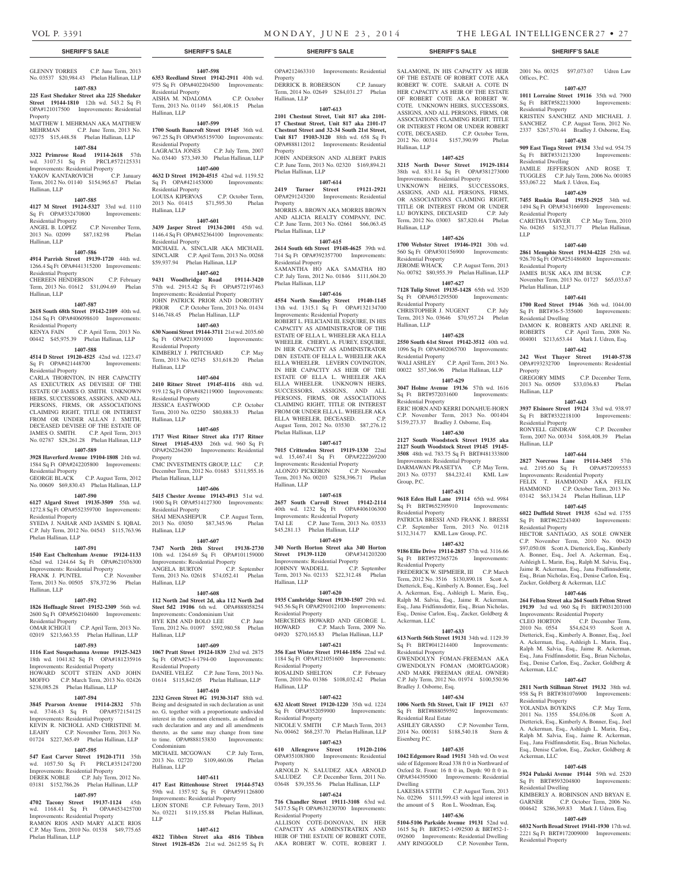Residential Dwelling

Residential Property

Residential Property

Phelan Hallinan, LLP

Residential Dwelling

Property

Hallinan, LLP

Hallinan, LLP

Residential Property

wd. 2195.60 Sq Ft Improvements: Residential Property FELIX T. HAMMOND AKA FELIX HAMMOND C.P. October Term, 2013 No. 03142 \$63,134.24 Phelan Hallinan, LLP **1407-645 6022 Duffield Street 19135** 62nd wd. 1755 Sq Ft BRT#622243400 Improvements:

Residential Property

Ackerman, LLC

Residential Property

Ackerman, LLC

Residential Dwelling

Residential Property

LLP

Offices, P.C.

2001 No. 00325 \$97,073.07 Udren Law

**1407-637 1011 Lorraine Street 19116** 35th wd. 7900 Sq Ft BRT#582213000 Improvements:

KRISTEN SANCHEZ AND MICHAEL J. SANCHEZ C.P. August Term, 2012 No. 2337 \$267,570.44 Bradley J. Osborne, Esq. **1407-638 909 East Tioga Street 19134** 33rd wd. 954.75 Sq Ft BRT#331213200 Improvements:

JAMILE JEFFERSON AND ROSE T. TUGGLES C.P. July Term, 2006 No. 001085

**1407-639 7455 Ruskin Road 19151-2925** 34th wd. 1494 Sq Ft OPA#343166900 Improvements:

CARETHA TARVER C.P. May Term, 2010 No. 04265 \$152,371.77 Phelan Hallinan,

**1407-640 2861 Memphis Street 19134-4225** 25th wd. 926.70 Sq Ft OPA#251486800 Improvements:

JAMES BUSK AKA JIM BUSK C.P. November Term, 2013 No. 01727 \$65,033.67

**1407-641 1700 Reed Street 19146** 36th wd. 1044.00 Sq Ft BRT#36-5-355600 Improvements:

DAMON K. ROBERTS AND ARLINE R. ROBERTS C.P. April Term, 2008 No. 004001 \$213,653.44 Mark J. Udren, Esq. **1407-642 242 West Thayer Street 19140-5738**  OPA#193232700 Improvements: Residential

GREGORY MIMS C.P. December Term, 2013 No. 00509 \$33,036.83 Phelan

**1407-643 3937 Elsinore Street 19124** 33rd wd. 938.97 Sq Ft BRT#332218100 Improvements:

RONYELL GINDRAW C.P. December Term, 2007 No. 00334 \$168,408.39 Phelan

**1407-644 2827 Norcross Lane 19114-3455** 57th

HECTOR SANTIAGO, AS SOLE OWNER C.P. November Term, 2010 No. 00420 \$97,050.08 Scott A. Dietterick, Esq., Kimberly A. Bonner, Esq., Joel A. Ackerman, Esq., Ashleigh L. Marin, Esq., Ralph M. Salvia, Esq., Jaime R. Ackerman, Esq., Jana Fridfinnsdottir, Esq., Brian Nicholas, Esq., Denise Carlon, Esq., Zucker, Goldberg & Ackerman, LLC **1407-646 264 Felton Street aka 264 South Felton Street 19139** 3rd wd. 960 Sq Ft BRT#031203100 Improvements: Residential Property CLEO HORTON C.P. December Term, 2010 No. 0554 \$54,624.93 Scott A. Dietterick, Esq., Kimberly A. Bonner, Esq., Joel A. Ackerman, Esq., Ashleigh L. Marin, Esq., Ralph M. Salvia, Esq., Jaime R. Ackerman, Esq., Jana Fridfinnsdottir, Esq., Brian Nicholas, Esq., Denise Carlon, Esq., Zucker, Goldberg &

**1407-647 2811 North Stillman Street 19132** 38th wd. 958 Sq Ft BRT#381076900 Improvements:

YOLANDA BOYKINS C.P. May Term, 2011 No. 1355 \$54,036.08 Scott A. Dietterick, Esq., Kimberly A. Bonner, Esq., Joel A. Ackerman, Esq., Ashleigh L. Marin, Esq., Ralph M. Salvia, Esq., Jaime R. Ackerman, Esq., Jana Fridfinnsdottir, Esq., Brian Nicholas, Esq., Denise Carlon, Esq., Zucker, Goldberg &

**1407-648 5924 Pulaski Avenue 19144** 59th wd. 2520 Sq Ft BRT#593204800 Improvements:

KIMBERLY A. ROBINSON AND BRYAN E. GARNER C.P. October Term, 2006 No. 004642 \$286,369.83 Mark J. Udren, Esq. **1407-649 6032 North Broad Street 19141-1930** 17th wd. 2221 Sq Ft BRT#172009000 Improvements:

\$53,067.22 Mark J. Udren, Esq.

SALAMONE, IN HIS CAPACITY AS HEIR OF THE ESTATE OF ROBERT COTE AKA ROBERT W. COTE. SARAH A. COTE IN HER CAPACITY AS HEIR OF THE ESTATE OF ROBERT COTE AKA ROBERT W. COTE. UNKNOWN HEIRS, SUCCESSORS ASSIGNS, AND ALL PERSONS, FIRMS, OR ASSOCIATIONS CLAIMING RIGHT, TITLE OR INTEREST FROM OR UNDER ROBERT COTE, DECEASED. C.P. October Term, 2012 No. 00314 \$157,390.99 Phelan

**1407-625 3215 North Dover Street 19129-1814**  38th wd. 831.14 Sq Ft OPA#381273000 Improvements: Residential Property UNKNOWN HEIRS, SUCCESSORS, ASSIGNS, AND ALL PERSONS, FIRMS, OR ASSOCIATIONS CLAIMING RIGHT TITLE OR INTEREST FROM OR UNDER<br>LU BOYKINS, DECEASED C.P. July

Term, 2012 No. 03003 \$87,820.44 Phelan

**1407-626 1700 Webster Street 19146-1921** 30th wd. 560 Sq Ft OPA#301156900 Improvements:

JEROME WHACK C.P. August Term, 2013 No. 00782 \$80,955.39 Phelan Hallinan, LLP **1407-627 7128 Tulip Street 19135-1428** 65th wd. 3520 Sq Ft OPA#651295500 Improvements:

CHRISTOPHER J. NUGENT C.P. July Term, 2013 No. 03646 \$70,957.24 Phelan

**1407-628 2550 South 61st Street 19142-3512** 40th wd. 1096 Sq Ft OPA#402065700 Improvements:

WALI ASHLEY C.P. April Term, 2013 No. 00022 \$57,366.96 Phelan Hallinan, LLP **1407-629 3047 Holme Avenue 19136** 57th wd. 1616 Sq Ft BRT#572031600 Improvements:

ERIC HORN AND KERRI DONAHUE-HORN C.P. November Term, 2013 No. 001404 \$159,273.37 Bradley J. Osborne, Esq. **1407-630 2127 South Woodstock Street 19135 aka 2127 South Woodstock Street 19145 19145- 3508** 48th wd. 783.75 Sq Ft BRT#481333800 Improvements: Residential Property DARMAWAN PRASETYA C.P. May Term, 2013 No. 03737 \$84,232.41 KML Law

**1407-631 9618 Eden Hall Lane 19114** 65th wd. 9984 Sq Ft BRT#652395910 Improvements:

PATRICIA BRESSI AND FRANK J. BRESSI C.P. September Term, 2013 No. 01218 \$132,314.77 KML Law Group, P.C. **1407-632 9186 Ellie Drive 19114-2857** 57th wd. 3116.66 Sq Ft BRT#572365726 Improvements:

FREDERICK W. SIPMEIER, III C.P. March Term, 2012 No. 3516 \$130,890.18 Scott A. Dietterick, Esq., Kimberly A. Bonner, Esq., Joel A. Ackerman, Esq., Ashleigh L. Marin, Esq., Ralph M. Salvia, Esq., Jaime R. Ackerman, Esq., Jana Fridfinnsdottir, Esq., Brian Nicholas, Esq., Denise Carlon, Esq., Zucker, Goldberg &

**1407-633 613 North 56th Street 19131** 34th wd. 1129.39 Sq Ft BRT#041214400 Improvements:

GWENDOLYN FOMAN-FREEMAN AKA GWENDOLYN FOMAN (MORTGAGOR) AND MARK FREEMAN (REAL OWNER) C.P. July Term, 2012 No. 01974 \$100,550.96

**1407-634 1006 North 5th Street, Unit 1F 19121** 637 Sq Ft BRT#888059592 Improvements:

ASHLEY GRASSO C.P. November Term, 2014 No. 000181 \$188,540.18 Stern &

**1407-635 1042 Edgemore Road 19151** 34th wd. On west side of Edgemore Road 338 ft 0 in Northward of Oxford St. Front: 16 ft 0 in, Depth: 90 ft 0 in. OPA#344395000 Improvements: Residential

LAKESHA STITH C.P. August Term, 2013 No. 02296 \$111,599.43 with legal interest in the amount of \$ Ron L. Woodman, Esq. **1407-636 5104-5106 Parkside Avenue 19131** 52nd wd. 1615 Sq Ft BRT#52-1-092500 & BRT#52-1- 092600 Improvements: Residential Dwelling AMY RINGGOLD C.P. November Term,

LU BOYKINS, DECEASED

Hallinan, LLP

Hallinan, LLP

Residential Property

Residential Property

Residential Property

Residential Property

Group, P.C.

Residential Property

Residential Property

Ackerman, LLC

Residential Property

Bradley J. Osborne, Esq.

Residential Real Estate

Eisenberg P.C.

Dwelling

Hallinan, LLP

### **SHERIFF'S SALE SHERIFF'S SALE SHERIFF'S SALE SHERIFF'S SALE SHERIFF'S SALE**

## GLENNY TORRES C.P. June Term, 2013 No. 03537 \$20,984.43 Phelan Hallinan, LLP

**1407-583 225 East Shedaker Street aka 225 Shedaker** 

**Street 19144-1810** 12th wd. 543.2 Sq Ft

#### OPA#121017500 Improvements: Residential Property

MATTHEW I. MEHRMAN AKA MATTHEW MEHRMAN C.P. June Term, 2013 No. 02375 \$15,448.58 Phelan Hallinan, LLP

#### **1407-584**

**3322 Primrose Road 19114-2618** 57th wd. 3107.51 Sq Ft PRCL#572125331 Improvements: Residential Property YAKOV KANTAROVICH C.P. January Term, 2012 No. 01140 \$154,965.67 Phelan Hallinan, LLP

#### **1407-585**

**4127 M Street 19124-5327** 33rd wd. 1110 Sq Ft OPA#332470800 Improvements: Residential Property ANGEL B. LOPEZ C.P. November Term,

2013 No. 02099 \$87,182.98 Phelan Hallinan, LLP

#### **1407-586**

**4914 Parrish Street 19139-1720** 44th wd. 1266.4 Sq Ft OPA#441315200 Improvements: Residential Property

CHEREEN HENDERSON C.P. February Term, 2013 No. 01612 \$31,094.69 Phelan Hallinan, LLP

## **1407-587**

**2618 South 68th Street 19142-2109** 40th wd. 1264 Sq Ft OPA#406098610 Improvements: Residential Property

KENYA FAIN C.P. April Term, 2013 No. 00442 \$45,975.39 Phelan Hallinan, LLP **1407-588**

#### **4514 D Street 19120-4525** 42nd wd. 1223.47 Sq Ft OPA#421448700 Improvements: Residential Property

CARLA THORNTON, IN HER CAPACITY AS EXECUTRIX AS DEVISEE OF THE ESTATE OF JAMES O. SMITH. UNKNOWN HEIRS, SUCCESSORS, ASSIGNS, AND ALL PERSONS, FIRMS, OR ASSOCIATIONS CLAIMING RIGHT, TITLE OR INTEREST FROM OR UNDER ALLAN J. SMITH, DECEASED DEVISEE OF THE ESTATE OF JAMES O. SMITH. C.P. April Term, 2013 No. 02787 \$28,261.28 Phelan Hallinan, LLP

## **1407-589**

**3928 Haverford Avenue 19104-1808** 24th wd. 1584 Sq Ft OPA#242205800 Improvements: Residential Property

#### GEORGE BLACK C.P. August Term, 2012 No. 00609 \$69,830.43 Phelan Hallinan, LLP

### **1407-590**

**6127 Algard Street 19135-3509** 55th wd. 1272.8 Sq Ft OPA#552359700 Improvements: Residential Property SYEDA J. NAHAR AND JASMIN S. IQBAL

C.P. July Term, 2012 No. 04543 \$115,763.96 Phelan Hallinan, LLP

### **1407-591**

**1540 East Cheltenham Avenue 19124-1133**  62nd wd. 1244.64 Sq Ft OPA#621076300

Improvements: Residential Property FRANK J. PUNTEL C.P. November Term, 2013 No. 00505 \$78,372.96 Phelan Hallinan, LLP

#### **1407-592**

**1826 Hoffnagle Street 19152-2309** 56th wd. 2600 Sq Ft OPA#562104600 Improvements: Residential Property

## OMAR ICHIGUI C.P. April Term, 2013 No. 02019 \$213,663.55 Phelan Hallinan, LLP

## **1407-593**

**1116 East Susquehanna Avenue 19125-3423**  18th wd. 1041.82 Sq Ft OPA#181235916 Improvements: Residential Property HOWARD SCOTT STEIN AND JOHN MOFFO C.P. March Term, 2013 No. 02426 \$238,085.28 Phelan Hallinan, LLP

## **1407-594**

**3845 Pearson Avenue 19114-2832** 57th wd. 3746.43 Sq Ft OPA#572154125 Improvements: Residential Property KEVIN R. NICHOLL AND CHRISTINE M. LEAHY C.P. November Term, 2013 No.

## 01724 \$227,365.49 Phelan Hallinan, LLP **1407-595**

**547 East Carver Street 19120-1711** 35th wd. 1057.50 Sq Ft PRCL#351247200 Improvements: Residential Property DEREK NOBLE C.P. July Term, 2012 No. 03181 \$152,786.26 Phelan Hallinan, LLP

## **1407-597**

**4702 Tacony Street 19137-1124** 45th

wd. 1168.41 Sq Ft OPA#453425700 Improvements: Residential Property RAMON RIOS AND MARY ALICE RIOS C.P. May Term, 2010 No. 01538 \$49,775.65 Phelan Hallinan, LLP

**1407-598 6353 Reedland Street 19142-2911** 40th wd.

975 Sq Ft OPA#402204500 Improvements: Residential Property AISHA M. NDALOMA C.P. October Term, 2013 No. 01149 \$61,408.15 Phelan Hallinan, LLP

#### **1407-599**

**1700 South Bancroft Street 19145** 36th wd. 967.25 Sq Ft OPA#365159700 Improvements: Residential Property LAGRACIA JONES C.P. July Term, 2007

# No. 03440 \$73,349.30 Phelan Hallinan, LLP

**1407-600 4632 D Street 19120-4515** 42nd wd. 1159.52 Sq Ft OPA#421453000 Improvements: Residential Property LOUISA KIPERVAS C.P. October Term,

2013 No. 01415 \$71,595.30 Phelan Hallinan, LLP **1407-601**

#### **3439 Jasper Street 19134-2001** 45th wd.

1146.4 Sq Ft OPA#452364100 Improvements: Residential Property MICHAEL A. SINCLAIR AKA MICHAEL SINCLAIR C.P. April Term, 2013 No. 00268 \$59,937.94 Phelan Hallinan, LLP

#### **1407-602**

**9431 Woodbridge Road 19114-3420**  57th wd. 2915.42 Sq Ft OPA#572197463 Improvements: Residential Property JOHN PATRICK PRIOR AND DOROTHY PRIOR C.P. October Term, 2013 No. 01434 \$146,748.45 Phelan Hallinan, LLP

#### **1407-603**

**630 Naomi Street 19144-3711** 21st wd. 2035.60 Sq Ft OPA#213091000 Improvements: Residential Property KIMBERLY J. PRITCHARD C.P. May Term, 2013 No. 02745 \$31,618.20 Phelan Hallinan, LLP

#### **1407-604**

**2410 Ritner Street 19145-4116** 48th wd. 919.12 Sq Ft OPA#482119000 Improvements: Residential Property JESSICA EASTWOOD C.P. October Term, 2010 No. 02250 \$80,888.33 Phelan Hallinan, LLP

#### **1407-605**

**1717 West Ritner Street aka 1717 Ritner Street 19145-4333** 26th wd. 960 Sq Ft OPA#262264200 Improvements: Residential Property CMC INVESTMENTS GROUP, LLC C.P. December Term, 2012 No. 01683 \$311,955.16 Phelan Hallinan, LLP

#### **1407-606**

**5415 Chester Avenue 19143-4913** 51st wd. 1900 Sq Ft OPA#514127300 Improvements: Residential Property<br>SHAI MENASHEPUR C.P. August Term, 2013 No. 03050 \$87,345.96 Phelan Hallinan, LLP

#### **1407-607**

**7347 North 20th Street 19138-2730**  10th wd. 1264.69 Sq Ft OPA#101159000 Improvements: Residential Property ANGELA BURTON C.P. September Term, 2013 No. 02618 \$74,052.41 Phelan Hallinan, LLP

#### **1407-608**

**112 North 2nd Street 2d, aka 112 North 2nd Steet 5d2 19106** 6th wd. OPA#888058254 Improvements: Condominium Unit HYE KIM AND BOLO LEE C.P. June Term, 2012 No. 01097 \$592,980.58 Phelan Hallinan, LLP

## **1407-609**

**1067 Pratt Street 19124-1839** 23rd wd. 2875 Sq Ft OPA#23-4-1794-00 Improvements: Residential Property DANIEL VELEZ C.P. June Term, 2013 No.

01614 \$115,842.05 Phelan Hallinan, LLP **1407-610**

**2232 Green Street #G 19130-3147** 88th wd. Being and designated in such declaration as unit no. G, together with a proportionate undivided interest in the common elements, as defined in such declaration and any and all amendments thereto, as the same may change from time to time. OPA#888153830 Improvements: Condominium MICHAEL MCGOWAN C.P. July Term,

2013 No. 02720 \$109,460.06 Phelan Hallinan, LLP

#### **1407-611**

**417 East Rittenhouse Street 19144-5743**  59th wd. 1357.92 Sq Ft OPA#591126800 Improvements: Residential Property LEON STONE C.P. February Term, 2013 No. 03221 \$119,155.88 Phelan Hallinan, LLP

#### **1407-612**

**4822 Tibben Street aka 4816 Tibben Street 19128-4526** 21st wd. 2612.95 Sq Ft OPA#212463310 Improvements: Residential

Property DERRICK B. ROBERSON C.P. January

Term, 2014 No. 02649 \$284,031.27 Phelan Hallinan, LLP **1407-613**

**2101 Chestnut Street, Unit 817 aka 2101- 17 Chestnut Street, Unit 817 aka 2101-17 Chestnut Street and 32-34 South 21st Street, Unit 817 19103-3120** 88th wd. 658 Sq Ft OPA#888112012 Improvements: Residential Property JOHN ANDERSON AND ALBERT PARIS

C.P. June Term, 2013 No. 02320 \$169,894.21 Phelan Hallinan, LLP **1407-614**

## **2419 Turner Street 19121-2921**

OPA#291243200 Improvements: Residential Property MORRIS A. BROWN AKA MORRIS BROWN AND ALICIA REALTY COMPANY, INC. C.P. June Term, 2013 No. 02661 \$66,063.45

#### **1407-615**

Phelan Hallinan, LLP

**2614 South 6th Street 19148-4625** 39th wd. 714 Sq Ft OPA#392357700 Improvements: Residential Property SAMANTHA HO AKA SAMATHA HO C.P. July Term, 2012 No. 01846 \$111,604.20 Phelan Hallinan, LLP

#### **1407-616**

**4554 North Smedley Street 19140-1145**  13th wd. 1315.1 Sq Ft OPA#132134700 Improvements: Residential Property ROBERT L. FELICIANI III, ESQUIRE, IN HIS CAPACITY AS ADMINISTRATOR OF THE ESTATE OF ELLA L. WHEELER AKA ELLA WHEELER. CHERYL A. FUREY, ESQUIRE, IN HER CAPACITY AS ADMINISTRATOR DBN ESTATE OF ELLA L. WHEELER AKA ELLA WHEELER. LEVERN COVINGTON, IN HER CAPACITY AS HEIR OF THE ESTATE OF ELLA L. WHEELER AKA ELLA WHEELER. UNKNOWN HEIRS, SUCCESSORS, ASSIGNS, AND ALL PERSONS, FIRMS, OR ASSOCIATIONS CLAIMING RIGHT, TITLE OR INTEREST FROM OR UNDER ELLA L. WHEELER AKA ELLA WHEELER, DECEASED. C.P. August Term, 2012 No. 03530 \$87,276.12 Phelan Hallinan, LLP

#### **1407-617**

**7015 Crittenden Street 19119-1330** 22nd wd. 15,467.41 Sq Ft OPA#222269200 Improvements: Residential Property<br>ALONZO PICKERON C.P. November ALONZO PICKERON Term, 2013 No. 00203 \$258,396.71 Phelan Hallinan, LLP

#### **1407-618**

**2657 South Carroll Street 19142-2114**  40th wd. 1232 Sq Ft OPA#406106300 Improvements: Residential Property TAI LE C.P. June Term, 2013 No. 03533 \$45,281.13 Phelan Hallinan, LLP

#### **1407-619**

**340 North Horton Street aka 340 Horton Street** 19139-1120 Improvements: Residential Property JOHNNY WADDELL C.P. September Term, 2013 No. 02133 \$22,312.48 Phelan Hallinan, LLP

#### **1407-620**

**1935 Cambridge Street 19130-1507** 29th wd. 945.56 Sq Ft OPA#291012100 Improvements: Residential Property MERCEDES HOWARD AND GEORGE L HOWARD C.P. March Term, 2009 No. 04920 \$270,165.83 Phelan Hallinan, LLP

## **1407-621**

**356 East Wister Street 19144-1856** 22nd wd. 1184 Sq Ft OPA#121051600 Improvements: Residential Property ROSALIND SHELTON C.P. February

Term, 2010 No. 01386 \$108,032.42 Phelan Hallinan, LLP **1407-622**

## **632 Alcott Street 19120-1220** 35th wd. 1224

Sq Ft OPA#352059900 Improvements: Residential Property NICOLE V. SMITH C.P. March Term, 2013

No. 00462 \$68,237.70 Phelan Hallinan, LLP **1407-623 610 Allengrove Street 19120-2106**  OPA#351083800 Improvements: Residential

ARNOLD N. SALUDEZ AKA ARNOLD SALUDEZ C.P. December Term, 2011 No. 03648 \$39,355.56 Phelan Hallinan, LLP **1407-624 716 Chandler Street 19111-3108** 63rd wd. 5437.5 Sq Ft OPA#631230700 Improvements:

ALLISON COTE-DONOVAN, IN HER CAPACITY AS ADMINSTRATRIX AND HEIR OF THE ESTATE OF ROBERT COTE, AKA ROBERT W. COTE, ROBERT J.

Property

Residential Property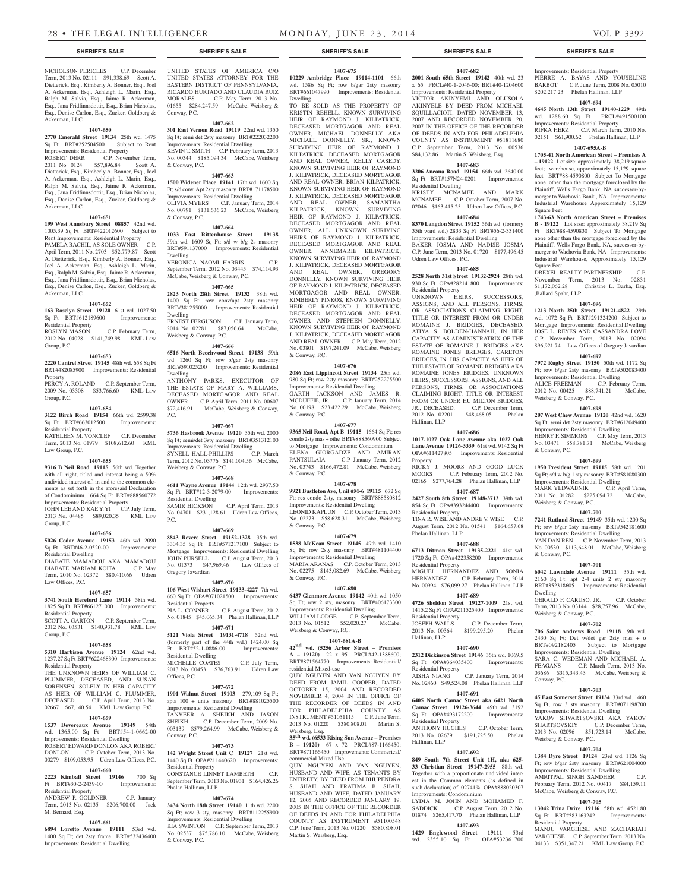#### **SHERIFF'S SALE SHERIFF'S SALE SHERIFF'S SALE SHERIFF'S SALE SHERIFF'S SALE**

#### NICHOLSON PERICLES C.P. December Term, 2013 No. 02111 \$91,338.69 Scott A. Dietterick, Esq., Kimberly A. Bonner, Esq., Joel A. Ackerman, Esq., Ashleigh L. Marin, Esq., Ralph M. Salvia, Esq., Jaime R. Ackerman, Esq., Jana Fridfinnsdottir, Esq., Brian Nicholas, Esq., Denise Carlon, Esq., Zucker, Goldberg & Ackerman, LLC

#### **1407-650**

**2770 Emerald Street 19134** 25th wd. 1475 Sq Ft BRT#252504500 Subject to Rent Improvements: Residential Property<br>
ROBERT DERR C.P. Novem

ROBERT DERR C.P. November Term,<br>2011 No. 0124 \$57.896.84 Scott A \$57,896.84 Scott A. Dietterick, Esq., Kimberly A. Bonner, Esq., Joel A. Ackerman, Esq., Ashleigh L. Marin, Esq., Ralph M. Salvia, Esq., Jaime R. Ackerman, Esq., Jana Fridfinnsdottir, Esq., Brian Nicholas, Esq., Denise Carlon, Esq., Zucker, Goldberg & Ackerman, LLC

#### **1407-651**

#### **199 West Annsbury Street 08857** 42nd wd. 1005.39 Sq Ft BRT#422012600 Subject to Rent Improvements: Residential Property<br>PAMELA RACHIL. AS SOLE OWNER C.P. PAMELA RACHIL, AS SOLE OWNER April Term, 2011 No. 2703 \$52,779.87 Scott A. Dietterick, Esq., Kimberly A. Bonner, Esq., Joel A. Ackerman, Esq., Ashleigh L. Marin, Esq., Ralph M. Salvia, Esq., Jaime R. Ackerman, Esq., Jana Fridfinnsdottir, Esq., Brian Nicholas, Esq., Denise Carlon, Esq., Zucker, Goldberg & Ackerman, LLC

## **1407-652**

**163 Roselyn Street 19120** 61st wd. 1027.50 Sq Ft BRT#612189600 Improvements: Residential Property<br>ROSLYN MASON

C.P. February Term, 2012 No. 04028 \$141,749.98 KML Law Group, P.C.

#### **1407-653**

**2220 Cantrel Street 19145** 48th wd. 658 Sq Ft BRT#482085900 Improvements: Residential Property PERCY A. ROLAND C.P. September Term, 2009 No. 03308 \$53,766.60 KML Law

Group, P.C.

## **1407-654**

**3122 Birch Road 19154** 66th wd. 2599.38 Sq Ft BRT#663012500 Improvements: Residential Property KATHLEEN M. VONCLEF C.P. December

Term, 2013 No. 01979 \$108,612.60 KML Law Group, P.C.

#### **1407-655**

**9316 B Neil Road 19115** 56th wd. Together with all right, titled and interest being a 50% undivided interest of, in and to the common elements as set forth in the aforesaid Declaration of Condominium. 1664 Sq Ft BRT#888560772 Improvements: Residential Property JOHN LEE AND KAE Y. YI C.P. July Term, 2013 No. 04485 \$89,020.35 KML Law Group, P.C.

#### **1407-656**

**5026 Cedar Avenue 19153** 46th wd. 2090 Sq Ft BRT#46-2-0520-00 Improvements: Residential Dwelling DIABATE MAMADOU AKA MAMADOU DIABATE MARIAM KOITA C.P. May Term, 2010 No. 02372 \$80,410.66 Udren Law Offices, P.C.

#### **1407-657**

**3741 South Hereford Lane 19114** 58th wd. 1825 Sq Ft BRT#661271000 Improvements: Residential Property SCOTT A. GARTON C.P. September Term, 2012 No. 03531 \$140,931.78 KML Law Group, P.C.

#### **1407-658**

**5310 Harbison Avenue 19124** 62nd wd. 1237.27 Sq Ft BRT#622468300 Improvements: Residential Property

THE UNKNOWN HEIRS OF WILLIAM C. PLUMMER, DECEASED, AND SUSAN SORENSEN, SOLELY IN HER CAPACITY AS HEIR OF WILLIAM C. PLUMMER, DECEASED. C.P. April Term, 2013 No. 02667 \$67,140.54 KML Law Group, P.C.

#### **1407-659**

**1537 Devereaux Avenue 19149** 54th wd. 1365.00 Sq Ft BRT#54-1-0662-00 Improvements: Residential Dwelling ROBERT EDWARD DONLON AKA ROBERT<br>DONLON C.P. October Term. 2013 No. C.P. October Term, 2013 No. 00279 \$109,053.95 Udren Law Offices, P.C.

## **1407-660**

**2223 Kimball Street 19146** 700 Sq Ft BRT#30-2-2439-00 Improvements: Residential Property ANDREW P. GOLDNER C.P. January

Term, 2013 No. 02135 \$206,700.00 Jack M. Bernard, Esq.

### **1407-661**

**6894 Loretto Avenue 19111** 53rd wd. 1400 Sq Ft; det 2sty frame BRT#532436400 Improvements: Residential Dwelling

UNITED STATES OF AMERICA C/O UNITED STATES ATTORNEY FOR THE EASTERN DISTRICT OF PENNSYLVANIA, RICARDO HURTADO AND CLAUDIA RUIZ<br>MORALES C.P. May Term, 2013 No. MORALES C.P. May Term, 2013 No. 01655 \$284,247.59 McCabe, Weisberg & Conway, P.C.

**1407-662**

**301 East Vernon Road 19119** 22nd wd. 1350 Sq Ft; semi det 2sty masonry BRT#222032200 Improvements: Residential Dwelling KEVIN T. SMITH C.P. February Term, 2013 No. 00344 \$185,094.34 McCabe, Weisberg & Conway, P.C.

## **1407-663**

**1500 Widener Place 19141** 17th wd. 1600 Sq Ft; s/d conv. Apt 2sty masonry BRT#171178500 Improvements: Residential Dwelling OLIVIA MYERS C.P. January Term, 2014 No. 00791 \$131,636.23 McCabe, Weisberg & Conway, P.C.

#### **1407-664**

**1033 East Rittenhouse Street 19138**  59th wd. 1609 Sq Ft; s/d w b/g 2s masonry BRT#591137000 Improvements: Residential Dwelling

VERONICA NAOMI HARRIS C.P. September Term, 2012 No. 03445 \$74,114.93 McCabe, Weisberg & Conway, P.C.

#### **1407-665 2823 North 28th Street 19132** 38th wd.

1400 Sq Ft; row conv/apt 2sty masonry BRT#381255000 Improvements: Residential Dwelling ERNEST FERGUSON C.P. January Term, 2014 No. 02281 \$87,056.64 McCabe, Weisberg & Conway, P.C.

## **1407-666**

**6516 North Beechwood Street 19138** 59th wd. 1260 Sq Ft; row b/gar 2sty masonry BRT#591025200 Improvements: Residential Dwelling ANTHONY PARKS, EXECUTOR OF THE ESTATE OF MARY A. WILLIAMS, DECEASED MORTGAGOR AND REAL OWNER C.P. April Term, 2011 No. 00607 \$72,416.91 McCabe, Weisberg & Conway, P.C.

#### **1407-667**

**5736 Hasbrook Avenue 19120** 35th wd. 2000 Sq Ft; semi/det 3sty masonry BRT#351312100 Improvements: Residential Dwelling<br>SYNELL HALL-PHILLIPS C.P. March SYNELL HALL-PHILLIPS Term, 2012 No. 03776 \$141,004.56 McCabe, Weisberg & Conway, P.C.

#### **1407-668**

**4611 Wayne Avenue 19144** 12th wd. 2937.50 Sq Ft BRT#12-3-2079-00 Improvements: Residential Dwelling SAMIR HICKSON C.P. April Term, 2013 No. 04701 \$231,128.61 Udren Law Offices, P.C.

#### **1407-669**

**8843 Revere Street 19152-1328** 35th wd. 3304.35 Sq Ft BRT#571217100 Subject to Mortgage Improvements: Residential Dwelling JOHN PURSELL C.P. August Term, 2013 No. 01373 \$47,969.46 Law Offices of Gregory Javardian

#### **1407-670**

**106 West Wishart Street 19133-4227** 7th wd. 660 Sq Ft OPA#071021500 Improvements: Residential Property PIA L. CONNER C.P. August Term, 2012 No. 01845 \$45,065.34 Phelan Hallinan, LLP

**1407-671 5121 Viola Street 19131-4718** 52nd wd.

(formerly part of the 44th wd.) 1424.00 Sq Ft BRT#52-1-0886-00 Improvements: Residential Dwelling MICHELLE COATES C.P. July Term, 2013 No. 00453 \$76,763.91 Udren Law Offices, P.C.

#### **1407-672**

**1901 Walnut Street 19103** 279,109 Sq Ft; apts 100 + units masonry BRT#881025500 Improvements: Residential Dwelling TANVEER A. SHEIKH AND JASON SHEIKH C.P. December Term, 2009 No. 003139 \$579,264.99 McCabe, Weisberg & Conway, P.C.

#### **1407-673**

**142 Wright Street Unit C 19127** 21st wd. 1440 Sq Ft OPA#211440620 Improvements: Residential Property CONSTANCE LINNET LAMBETH C.P. September Term, 2013 No. 01931 \$164,426.26 Phelan Hallinan, LLP

#### **1407-674**

& Conway, P.C.

**3434 North 18th Street 19140** 11th wd. 2200 Sq Ft; row 3 sty, masonry BRT#112255900 Improvements: Residential Dwelling KIA SWINTON C.P. September Term, 2013 No. 02537 \$75,786.10 McCabe, Weisberg

#### **1407-675**

**10229 Ambridge Place 19114-1101** 66th wd. 1586 Sq Ft; row b/gar 2sty masonry BRT#661047990 Improvements: Residential Dwelling TO BE SOLD AS THE PROPERTY OF

KRISTIN REHELL, KNOWN SURVIVING HEIR OF RAYMOND J. KILPATRICK, DECEASED MORTGAGOR AND REAL OWNER, MICHAEL DONNELLY AKA MICHAEL DONNELLY, SR., KNOWN SURVIVING HEIR OF RAYMOND J. KILPATRICK, DECEASED MORTGAGOR AND REAL OWNER, KELLY CASEDY, KNOWN SURVIVING HEIR OF RAYMOND J. KILPATRICK, DECEASED MORTGAGOR AND REAL OWNER, BRIAN KILPATRICK, KNOWN SURVIVING HEIR OF RAYMOND J. KILPATRICK, DECEASED MORTGAGOR AND REAL OWNER, SAMANTHA KILPATRICK, KNOWN SURVIVING HEIR OF RAYMOND J. KILPATRICK, DECEASED MORTGAGOR AND REAL OWNER, ALL UNKNOWN SURIVING HEIRS OF RAYMOND J. KILPATRICK, DECEASED MORTGAGOR AND REAL OWNER, ANNEMARIE KILPATRICK, KNOWN SURVIVING HEIR OF RAYMOND J. KILPATRICK, DECEASED MORTGAGOR AND REAL OWNER, GREGORY DONNELLY, KNOWN SURVIVING HEIR OF RAYMOND J. KILPATRICK, DECEASED MORTGAGOR AND REAL OWNER, KIMBERLY PINKOS, KNOWN SURVIVING HEIR OF RAYMOND J. KILPATRICK, DECEASED MORTGAGOR AND REAL OWNER AND STEPHEN DONNELLY, KNOWN SURVIVING HEIR OF RAYMOND J. KILPATRICK, DECEASED MORTGAGOR AND REAL OWNER C.P. May Term, 2012 No. 03801 \$197,241.09 McCabe, Weisberg & Conway, P.C.

#### **1407-676**

**2086 East Lippincott Street 19134** 25th wd. 980 Sq Ft; row 2sty masonry BRT#252275500 Improvements: Residential Dwelling GARTH JACKSON AND JAMES R. MCDUFFIE, JR. C.P. January Term, 2014 No. 00198 \$23,422.29 McCabe, Weisberg & Conway, P.C.

#### **1407-677**

**9365 Neil Road, Apt B 19115** 1664 Sq Ft; res condo 2sty mas + othe BRT#888560900 Subject to Mortgage Improvements: Condominium ELENA GIORGADZE AND AMIRAN PANTSULAIA C.P. January Term, 2012 No. 03743 \$166,472.81 McCabe, Weisberg & Conway, P.C.

### **1407-678**

**9921 Bustleton Ave, Unit #M-6 19115** 672 Sq Ft; res condo 2sty, masonry BRT#888580812 Improvements: Residential Dwelling LEONID KAPLUN C.P. October Term, 2013 No. 02273 \$58,628.31 McCabe, Weisberg & Conway, P.C.

#### **1407-679**

**1538 McKean Street 19145** 49th wd. 1410 Sq Ft; row 2sty masonry BRT#481104400 Improvements: Residential Dwelling MARIA ARANAS C.P. October Term, 2013 No. 02275 \$143,082.69 McCabe, Weisberg & Conway, P.C.

#### **1407-680**

**6437 Glenmore Avenue 19142** 40th wd. 1050 Sq Ft; row 2 sty, masonry BRT#406173300 Improvements: Residential Dwelling WILLIAM LODGE C.P. September Term, 2013 No. 01512 \$52,020.27 McCabe, Weisberg & Conway, P.C.

#### **1407-681A-B**

**42nd wd. (5256 Arbor Street – Premises A – 19120)** 22 x 95 PRCL#42-1388600; BRT#871564770 Improvements: Residential/ residential Mixed-use QUY NGUYEN AND VAN NGUYEN BY DEED FROM JAMIL COOPER, DATED OCTOBER 15, 2004 AND RECORDED

NOVEMBER 4, 2004 IN THE OFFICE OF THE RECORDER OF DEEDS IN AND FOR PHILADELPHIA COUNTY AS INSTRUMENT #51051115 C.P. June Term, 2013 No. 01220 \$380,808.01 Martin S. Weisberg, Esq.

**35th wd. (6533 Rising Sun Avenue – Premises B – 19120)** 67 x 72 PRCL#87-1166450; BRT#871166450 Improvements: Commerical/ commercial Mixed Use

QUY NGUYEN AND VAN NGUYEN, HUSBAND AND WIFE, AS TENANTS BY ENTIRETY, BY DEED FROM BHUPENDRA S. SHAH AND PRATIMA B. SHAH, HUSBAND AND WIFE, DATED JANUARY 12, 2005 AND RECORDED JANUARY 19, 2005 IN THE OFFICE OF THE RECORDER OF DEEDS IN AND FOR PHILADELPHIA COUNTY AS INSTRUMENT #51100548 C.P. June Term, 2013 No. 01220 \$380,808.01 Martin S. Weisberg, Esq.

#### **1407-682**

Improvements: Residential Property PIERRE A. BAYAS AND YOUSELINE BARBOT C.P. June Term, 2008 No. 05010 \$202,217.23 Phelan Hallinan, LLP **1407-694 4645 North 13th Street 19140-1229** 49th wd. 1288.60 Sq Ft PRCL#491500100 Improvements: Residential Property

Square Feet

Square Feet

,Ballard Spahr, LLP

Weisberg & Conway, P.C.

& Conway, P.C.

& Conway, P.C.

Weisberg & Conway, P.C.

Weisberg & Conway, P.C.

Residential Property

Dwelling

Conway, P.C.

RIFKA HERZ C.P. March Term, 2010 No. 02151 \$61,900.62 Phelan Hallinan, LLP **1407-695A-B 1705-41 North American Street – Premises A – 19122** Lot size: approximately 38,219 square feet; warehouse, approximately 15,129 square feet BRT#88-4590800 Subject To Mortgage none other than the mortgage foreclosed by the Plaintiff, Wells Fargo Bank, NA successor-bymerger to Wachovia Bank , NA Improvements: Industrial Warehouse Approximately 15,129

**1743-63 North American Street – Premises B - 19122** Lot size: approximately 38,219 Sq Ft BRT#88-4590830 Subject To Mortgage none other than the mortgage foreclosed by the Plaintiff, Wells Fargo Bank, NA, successor-bymerger to Wachovia Bank, NA Improvements: Industrial Warehouse, Approximately 15,129

DREXEL REALTY PARTNERSHIP C.P. November Term, 2013 No. 02831 \$1,172,062.28 Christine L. Barba, Esq.

**1407-696 1213 North 25th Street 19121-4822** 29th wd. 1072 Sq Ft BRT#291324200 Subject to Mortgage Improvements: Residential Dwelling JOSE L. REYES AND CASSANDRA LOVE C.P. November Term, 2013 No. 02094 \$96,921.74 Law Offices of Gregory Javardian **1407-697 7972 Rugby Street 19150** 50th wd. 1172 Sq Ft; row b/gar 2sty masonry BRT#502083400 Improvements: Residential Dwelling ALICE FREEMAN C.P. February Term, 2012 No. 00425 \$88,741.21 McCabe,

**1407-698 207 West Chew Avenue 19120** 42nd wd. 1620 Sq Ft; semi det 2sty masonry BRT#612049400 Improvements: Residential Dwelling HENRY F. SIMMONS C.P. May Term, 2013 No. 03471 \$58,781.71 McCabe, Weisberg

**1407-699 1950 President Street 19115** 58th wd. 1201 Sq Ft; s/d w b/g 1 sty masonry BRT#581080300 Improvements: Residential Dwelling MARK YEDWABNIK C.P. April Term,<br>2011 No. 01282 \$225.094.72 McCabe. 2011 No. 01282 \$225,094.72 Weisberg & Conway, P.C.

**1407-700 7241 Rutland Street 19149** 35th wd. 1200 Sq Ft; row b/gar 2sty masonry BRT#542181600 Improvements: Residential Dwelling YAN DAN REN C.P. November Term, 2013 No. 00530 \$113,648.01 McCabe, Weisberg

**1407-701 6042 Lawndale Avenue 19111** 35th wd. 2160 Sq Ft; apt 2-4 units 2 sty masonry BRT#352318605 Improvements: Residential

GERALD F. CARUSO, JR. C.P. October Term, 2013 No. 03144 \$28,757.96 McCabe,

**1407-702 706 Saint Andrews Road 19118** 9th wd. 2430 Sq Ft; Det w/det gar 2sty mas + o BRT#092182405 Subject to Mortgage Improvements: Residential Dwelling SARA C. WEDEMAN AND MICHAEL A. FEAGANS C.P. March Term, 2013 No. 03686 \$315,343.43 McCabe, Weisberg &

**1407-703 45 East Somerset Street 19134** 33rd wd. 1460 Sq Ft; row 3 sty masonry BRT#071198700 Improvements: Residential Dwelling YAKOV SHVARTSOVSKI AKA YAKOV<br>SHARTSOVSKIY C.P. December Term,

2013 No. 02096 \$51,723.14 McCabe,

**1407-704 1384 Dyre Street 19124** 23rd wd. 1126 Sq Ft; row b/gar 2sty masonry BRT#621004000 Improvements: Residential Dwelling AMRITPAL SINGH SANDHER C.P. February Term, 2012 No. 00417 \$84,159.11 McCabe, Weisberg & Conway, P.C. **1407-705 13042 Trina Drive 19116** 58th wd. 4521.80 Sq Ft BRT#583163242 Improvements:

MANJU VARGHESE AND ZACHARIAH VARGHESE C.P. September Term, 2013 No. 04133 \$351,347.21 KML Law Group, P.C.

C.P. December Term,

**2001 South 65th Street 19142** 40th wd. 23 x 65 PRCL#40-1-2046-00; BRT#40-1204600 Improvements: Residential Property VICTOR AKINYEMI AND OLUSOLA AKINYELE BY DEED FROM MICHAEL SOUILLACIOTI, DATED NOVEMBER 13, 2007 AND RECORDED NOVEMBER 20, 2007 IN THE OFFICE OF THE RECORDER OF DEEDS IN AND FOR PHILADELPHIA COUNTY AS INSTRUMENT #51811680 C.P. September Term, 2013 No. 00536 \$84,132.86 Martin S. Weisberg, Esq. **1407-683**

#### **3206 Ancona Road 19154** 66th wd. 2640.00 Sq Ft BRT#157N24-0201 Improvements:

Residential Dwelling KRISTY MCNAMEE AND MARK MCNAMEE C.P. October Term, 2007 No. 02046 \$163,415.25 Udren Law Offices, P.C.

#### **1407-684 8370 Langdon Street 19152** 56th wd. (formery 35th ward wd.) 2833 Sq Ft BRT#56-2-331400

Improvements: Residential Dwelling BAKER JOSMA AND NADISE JOSMA C.P. June Term, 2013 No. 01720 \$177,496.45

Udren Law Offices, P.C. **1407-685**

## **2528 North 31st Street 19132-2924** 28th wd. 930 Sq Ft OPA#282141800 Improvements:

Residential Property<br>UNKNOWN HE HEIRS, SUCCESSORS, ASSIGNS, AND ALL PERSONS, FIRMS, OR ASSOCIATIONS CLAIMING RIGHT, TITLE OR INTEREST FROM OR UNDER ROMAINE J. BRIDGES, DECEASED. ATIYA S. BOLDEN-HANNAH, IN HER CAPACITY AS ADMINISTRATRIX OF THE ESTATE OF ROMAINE J. BRIDGES AKA ROMAINE JONES BRIDGES. CARLTON BRIDGES, IN HIS CAPACITY AS HEIR OF THE ESTATE OF ROMAINE BRIDGES AKA ROMAINE JONES BRIDGES. UNKNOWN HEIRS, SUCCESSORS, ASSIGNS, AND ALL PERSONS, FIRMS, OR ASSOCIATIONS CLAIMING RIGHT, TITLE OR INTEREST FROM OR UNDER HU MILTON BRIDGES, JR., DECEASED. C.P. December Term,<br>2012 No. 02201 \$48.468.05 Phelan 2012 No. 02201 \$48,468.05 Hallinan, LLP

#### **1407-686**

**1017-1027 Oak Lane Avenue aka 1027 Oak Lane Avenue 19126-3339** 61st wd. 9142 Sq Ft OPA#611427805 Improvements: Residential Property RICKY J. MOORS AND GOOD LUCK

MOORS C.P. February Term, 2012 No. 02165 \$277,764.28 Phelan Hallinan, LLP **1407-687**

## **2427 South 8th Street 19148-3713** 39th wd.

854 Sq Ft OPA#393244400 Improvements: Residential Property

TINA R. WISE AND ANDRE V. WISE C.P. August Term, 2012 No. 01541 \$164,657.68 Phelan Hallinan, LLP

#### **1407-688**

**6713 Ditman Street 19135-2221** 41st wd. 1720 Sq Ft OPA#422358200 Improvements: Residential Property MIGUEL HERNANDEZ AND SONIA HERNANDEZ C.P. February Term, 2014 No. 00994 \$76,099.27 Phelan Hallinan, LLP

## **1407-689**

**4726 Sheldon Street 19127-1009** 21st wd. 1415.2 Sq Ft OPA#211525400 Improvements: Residential Property<br>JOSEPH WALLS C.P. December Term, 2013 No. 00364 \$199,295.20 Phelan Hallinan, LLP

**1407-690 2312 Dickinson Street 19146** 36th wd. 1069.5<br>Sq. Ft. QPA#364035400 Improvements:

No. 02460 \$49,524.08 Phelan Hallinan, LLP **1407-691 6405 North Camac Street aka 6421 North Camac Street 19126-3644** 49th wd. 3192<br>
Sq Ft OPA#493172200 Improvements:

ANTHONY HUGHES C.P. October Term, 2013 No. 02679 \$191,725.50 Phelan

**1407-692 849 South 7th Street Unit 1H, aka 625- 33 Christian Street 19147-2955** 88th wd. Together with a proportionate undivided interest in the Common elements (as defined in such declaration) of .02741% OPA#888020307

LYDIA M. JOHN AND MOHAMED F. SADDICK C.P. August Term, 2012 No. 01874 \$265,417.70 Phelan Hallinan, LLP **1407-693 1429 Englewood Street 19111** 53rd wd. 2355.10 Sq Ft OPA#532361700

C.P. January Term, 2014

Sq Ft OPA#364035400 Residential Property<br>AISHA NIANG

Sq Ft OPA#493172200 Residential Property

Improvements: Condominium

Hallinan, LLP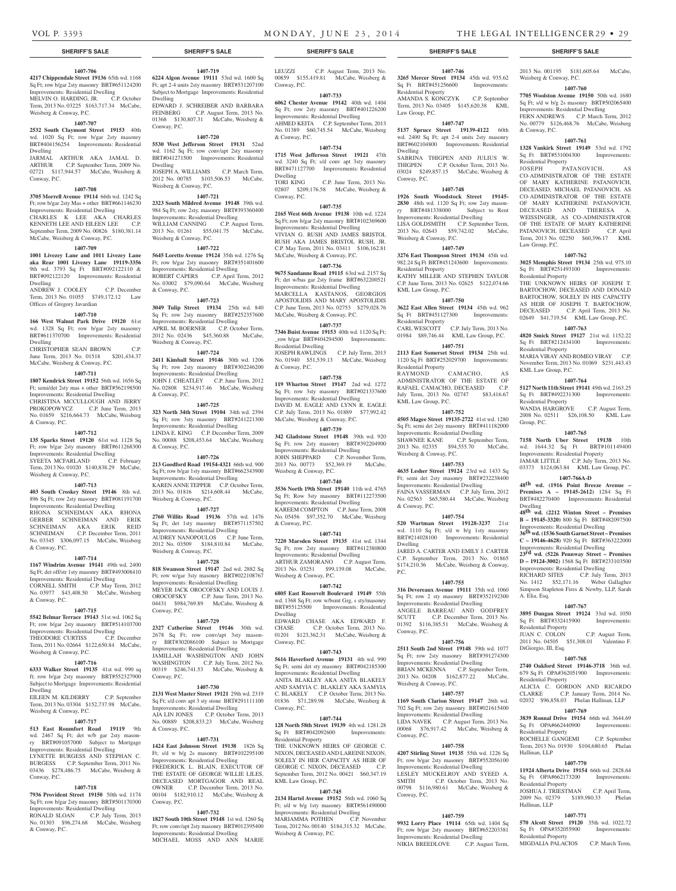Weisberg & Conway, P.C.

& Conway, P.C.

Residential Property<br>JOSEPH PA

Law Group, P.C.

Residential Property

Residential Property

KML Law Group, P.C.

Residential Property

Group, P.C.

Dwelling

No.  $1412$  \$52,171.16

A. Elia, Esq.

Residential Property<br>JUAN C. COLON

DiGiorgio, III, Esq.

Residential Property

Residential Property

Sq Ft OPA#662173200 Residential Property

Hallinan, LLP

Hallinan, LLP

Residential Property

2013 No. 001195 \$181,605.64 McCabe,

**1407-760 7705 Woolston Avenue 19150** 50th wd. 1680 Sq Ft; s/d w b/g 2s masonry BRT#502065400 Improvements: Residential Dwelling FERN ANDREWS C.P. March Term, 2012 No. 00779 \$126,468.76 McCabe, Weisberg

**1407-761 1328 Vankirk Street 19149** 53rd wd. 1792 Sq Ft BRT#531004300 Improvements:

JOSEPH PATANOVICH, AS CO-ADMINISTRATOR OF THE ESTATE OF MARY KATHERINE PATANOVICH, DECEASED, MICHAEL PATANOVICH, AS CO-ADMINISTRATOR OF THE ESTATE OF MARY KATHERINE PATANOVICH, DECEASED AND THERESA WEISSINGER, AS CO-ADMINISTRATOR OF THE ESTATE OF MARY KATHERINE PATANOVICH, DECEASED C.P. April Term, 2013 No. 02250 \$60,396.17 KML

**1407-762 3025 Memphis Street 19134** 25th wd. 975.10 Sq Ft BRT#251493100 Improvements:

THE UNKNOWN HEIRS OF JOSEPH T. BARTOCHOW, DECEASED AND DONALD BARTOCHOW, SOLELY IN HIS CAPACITY AS HEIR OF JOSEPH T. BARTOCHOW, DECEASED C.P. April Term, 2013 No. 02649 \$41,719.54 KML Law Group, P.C. **1407-763 4820 Smick Street 19127** 21st wd. 1152.22 Sq Ft BRT#212434100 Improvements:

MARIA VIRAY AND ROMEO VIRAY C.P. November Term, 2013 No. 01069 \$231,443.43

**1407-764 5127 North 11th Street 19141** 49th wd. 2163.25 Sq Ft BRT#492231300 Improvements:

WANDA HARGROVE C.P. August Term, 2008 No. 02511 \$26,108.50 KML Law

**1407-765 7158 North Uber Street 19138** 10th wd. 1644.32 Sq Ft BRT#101149400 Improvements: Residential Property JAMAR LITTLE C.P. July Term, 2013 No. 03373 \$124,063.84 KML Law Group, P.C. **1407-766A-D 48th wd. (1916 Point Breeze Avenue – Premises A – 19145-2612)** 1284 Sq Ft BRT#482270400 Improvements: Residential

**48th wd. (2212 Winton Street – Premises B – 19145-3320)** 800 Sq Ft BRT#482097500 Improvements: Residential Dwelling **36th wd. (1536 South Garnet Street – Premises C – 19146-4628)** 920 Sq Ft BRT#363222000 Improvements: Residential Dwelling **23rd wd. (5226 Pennway Street – Premises D – 19124-3002)** 1568 Sq Ft BRT#233103500 Improvements: Residential Dwelling RICHARD SITES C.P. July Term, 2013<br>No. 1412 \$52,171.16 Weber Gallagher

Simpson Stapleton Fires & Newby, LLP, Sarah

**1407-767 3895 Dungan Street 19124** 33rd wd. 1050 Sq Ft BRT#332415900 Improvements:

2011 No. 04505 \$51,308.01 Valentino F.

**1407-768 2740 Oakford Street 19146-3718** 36th wd. 679 Sq Ft OPA#362051900 Improvements:

ALICIA C. GORDON AND RICARDO<br>CLARKE C.P. January Term. 2014 No.

ROCHELLE GANGEMI C.P. September Term, 2013 No. 01930 \$104,680.65 Phelan

**1407-770 11924 Alberta Drive 19154** 66th wd. 2828.64<br>Sq Ft OPA#662173200 Improvements:

JOSHUA J. TRIESTMAN C.P. April Term, 2009 No. 02379 \$189,980.33 Phelan

**1407-771 570 Alcott Street 19120** 35th wd. 1022.72 Sq Ft OPA#352055900 Improvements:

MIGDALIA PALACIOS C.P. March Term,

02032 \$96,858.03 Phelan Hallinan, LLP **1407-769 3839 Ronnal Drive 19154** 66th wd. 3644.69 Sq Ft OPA#662440900 Improvements:

C.P. January Term, 2014 No.

C.P. August Term,

## **SHERIFF'S SALE SHERIFF'S SALE SHERIFF'S SALE SHERIFF'S SALE SHERIFF'S SALE**

#### **1407-706**

**4217 Chippendale Street 19136** 65th wd. 1168 Sq Ft; row b/gar 2sty masonry BRT#651124200 Improvements: Residential Dwelling MELVIN O. HARDING, JR. C.P. October Term, 2013 No. 03225 \$163,717.34 McCabe,

Weisberg & Conway, P.C.

**1407-707 2532 South Claymont Street 19153** 40th wd. 1020 Sq Ft; row b/gar 2sty masonry BRT#404156254 Improvements: Residential Dwelling

JARMAL ARTHUR AKA JAMAL D. ARTHUR C.P. September Term, 2009 No. 02721 \$117,944.57 McCabe, Weisberg & Conway, P.C.

#### **1407-708**

**3705 Morrell Avenue 19114** 66th wd. 1242 Sq Ft; row b/gar 2sty Mas + other BRT#661146230 Improvements: Residential Dwelling CHARLES K LEE AKA CHARLES KENNETH LEE AND EILEEN LEE C.P. September Term, 2009 No. 00826 \$180,381.14 McCabe, Weisberg & Conway, P.C.

### **1407-709**

**1001 Livezey Lane and 1011 Livezey Lane aka Rear 1001 Livezey Lane 19119-3356**  9th wd. 3793 Sq Ft BRT#092122110 & BRT#092122120 Improvements: Residential

Dwelling ANDREW J. COOLEY C.P. December Term, 2013 No. 01055 \$749,172.12 Law Offices of Gregory Javardian

#### **1407-710**

**166 West Walnut Park Drive 19120** 61st wd. 1328 Sq Ft; row b/gar 2sty masonry BRT#611370700 Improvements: Residential

Dwelling CHRISTOPHER SEAN BROWN June Term, 2013 No. 01518 \$201,434.37

McCabe, Weisberg & Conway, P.C.

## **1407-711**

**1807 Kendrick Street 19152** 56th wd. 1656 Sq Ft; semi/det 2sty mas + other BRT#562198500 Improvements: Residential Dwelling CHRISTINA MCCULLOUGH AND JERRY PROKOPOWYCZ C.P. June Term, 2013 No. 01659 \$216,664.73 McCabe, Weisberg & Conway, P.C.

#### **1407-712**

**135 Sparks Street 19120** 61st wd. 1128 Sq Ft; row b/gar 2sty masonry BRT#611268300 Improvements: Residential Dwelling<br>SYEETA MCFARLAND C.P. February SYEETA MCFARLAND Term, 2013 No. 01020 \$140,838.29 McCabe,

## Weisberg & Conway, P.C.

**1407-713 403 South Croskey Street 19146** 8th wd. 896 Sq Ft; row 2sty masonry BRT#081191700 Improvements: Residential Dwelling RHONA SCHNEIMAN AKA RHONA GERBER SCHNEIMAN AND ERIK

SCHNEIMAN AKA ERIK REID SCHNEIMAN C.P. December Term, 2011 No. 03345 \$306,097.15 McCabe, Weisberg & Conway, P.C.

#### **1407-714**

**1167 Windrim Avenue 19141** 49th wd. 2400 Sq Ft; det off/str 1sty masonry BRT#493008410 Improvements: Residential Dwelling CORNELL SMITH C.P. May Term, 2012 No. 03977 \$43,408.50 McCabe, Weisberg & Conway, P.C.

#### **1407-715**

**5542 Belmar Terrace 19143** 51st wd. 1062 Sq Ft; row b/gar 2sty masonry BRT#514103700 Improvements: Residential Dwelling THEODORE CURTISS C.P. December Term, 2011 No. 02664 \$122,650.84 McCabe, Weisberg & Conway, P.C.

#### **1407-716**

**6333 Walker Street 19135** 41st wd. 990 sq ft; row b/gar 2sty masonry BRT#552327900 Subject to Mortgage Improvements: Residential Dwelling EILEEN M. KILDERRY C.P. September Term, 2013 No. 03304 \$152,737.98 McCabe,

#### **1407-717**

Weisberg & Conway, P.C.

**513 East Roumfort Road 19119** 9th wd. 2467 Sq Ft; det w/b gar 2sty mason-<br>ry BRT#091057000 Subject to Mortgage Subject to Mortgage Improvements: Residential Dwelling LYNETTE BURGESS AND STEPHAN C. BURGESS C.P. September Term, 2011 No. 03436 \$278,486.75 McCabe, Weisberg & Conway, P.C.

#### **1407-718**

**7936 Provident Street 19150** 50th wd. 1174 Sq Ft; row b/gar 2sty masonry BRT#501170300 Improvements: Residential Dwelling RONALD SLOAN C.P. July Term, 2013 No. 01303 \$96,274.68 McCabe, Weisberg & Conway, P.C.

## **1407-719**

**6224 Algon Avenue 19111** 53rd wd. 1600 Sq Ft; apt 2-4 units 2sty masonry BRT#531207100 Subject to Mortgage Improvements: Residential Dwelling EDWARD J. SCHREIBER AND BARBARA FEINBERG C.P. August Term, 2013 No.

01368 \$130,807.31 McCabe, Weisberg & Conway, P.C. **1407-720**

## **5530 West Jefferson Street 19131** 52nd

wd. 1162 Sq Ft; row conv/apt 2sty masonry BRT#041271500 Improvements: Residential Dwelling JOSEPH A. WILLIAMS C.P. March Term, 2012 No. 00785 \$103,506.53 McCabe, Weisberg & Conway, P.C.

#### **1407-721**

**2323 South Mildred Avenue 19148** 39th wd. 984 Sq Ft; row 2sty, masonry BRT#393360400 Improvements: Residential Dwelling WILLIAM CANNING C.P. August Term, 2013 No. 01261 \$55,041.75 McCabe, Weisberg & Conway, P.C.

## **1407-722**

**5645 Loretto Avenue 19124** 35th wd. 1276 Sq Ft; row b/gar 2sty masonry BRT#351401600 Improvements: Residential Dwelling ROBERT CAPERS C.P. April Term, 2012 No. 03002 \$79,090.64 McCabe, Weisberg & Conway, P.C.

#### **1407-723**

**3049 Tulip Street 19134** 25th wd. 840 Sq Ft; row 2sty masonry BRT#252357600 Improvements: Residential Dwelling APRIL M. BOERNER C.P. October Term, 2012 No. 02436 \$45,360.88 McCabe, Weisberg & Conway, P.C.

#### **1407-724**

**2411 Kimball Street 19146** 30th wd. 1206 Sq Ft; row 2sty masonry BRT#302246200 Improvements: Residential Dwelling JOHN J. CHEATLEY C.P. June Term, 2012 No. 02808 \$234,917.46 McCabe, Weisberg & Conway, P.C.

#### **1407-725**

**323 North 34th Street 19104** 34th wd. 2394 Sq Ft; row 3sty masonry BRT#241221300 Improvements: Residential Dwelling LINDA E. KING C.P. December Term, 2009 No. 00088 \$208,453.64 McCabe, Weisberg & Conway, P.C.

#### **1407-726**

**213 Goodford Road 19154-4321** 66th wd. 900 Sq Ft; row b/gar 1sty masonry BRT#662343900 Improvements: Residential Dwelling KAREN ANNE TEPPER C.P. October Term, 2013 No. 01816 \$214,608.44 McCabe, Weisberg & Conway, P.C.

## **1407-727**

**2760 Willits Road 19136** 57th wd. 1476 Sq Ft; det 1sty masonry BRT#571157502 Improvements: Residential Dwelling AUDREY NANOPOULOS C.P. June Term, 2012 No. 03509 \$184,810.84 McCabe, Weisberg & Conway, P.C.

#### **1407-728**

**818 Swanson Street 19147** 2nd wd. 2882 Sq Ft; row w/gar 3sty masonry BRT#022108767 Improvements: Residential Dwelling MEYER JACK OROCOFSKY AND LOUIS J. OROCOFSKY C.P. June Term, 2013 No. 04431 \$984,769.89 McCabe, Weisberg & Conway, P.C.

#### **1407-729**

**2327 Catherine Street 19146** 30th wd. 2678 Sq Ft; row conv/apt 3sty masonry BRT#302086100 Subject to Mortgage Improvements: Residential Dwelling JAMILLAH WASHINGTON AND JOHN WASHINGTON C.P. July Term, 2012 No. 00319 \$246,741.53 McCabe, Weisberg & Conway, P.C.

#### **1407-730**

**2131 West Master Street 19121** 29th wd. 2319 Sq Ft; s/d conv apt 3 sty stone BRT#291111100 Improvements: Residential Dwelling AJA LIN JONES C.P. October Term, 2013 No. 00889 \$208,833.23 McCabe, Weisberg & Conway, P.C.

#### **1407-731**

**1424 East Johnson Street 19138** 1826 Sq Ft; s/d w b/g 2s masonry BRT#102295100 Improvements: Residential Dwelling FREDERICK L. BLAIN, EXECUTOR OF THE ESTATE OF GEORGE WILLIE LILES, DECEASED MORTGAGOR AND REAL<br>OWNER C.P. December Term, 2013 No. C.P. December Term, 2013 No. 00104 \$182,910.12 McCabe, Weisberg & Conway, P.C.

#### **1407-732**

**1827 South 10th Street 19148** 1st wd. 1260 Sq Ft; row conv/apt 2sty masonry BRT#012395400 Improvements: Residential Dwelling MICHAEL MOSS AND ANN MARIE

LEUZZI C.P. August Term, 2013 No. 00859 \$155,419.81 McCabe, Weisberg & Conway, P.C.

### **1407-733**

**6062 Chester Avenue 19142** 40th wd. 1404 Sq Ft; row 2sty masonry BRT#401226200 Improvements: Residential Dwelling AHMED KEITA C.P. September Term, 2013 No. 01389 \$60,745.54 McCabe, Weisberg & Conway, P.C.

#### **1407-734**

Conway, P.C.

**1715 West Jefferson Street 19121** 47th wd. 3240 Sq Ft; s/d conv apt 3sty masonry BRT#471127700 Improvements: Residential Dwelling TORI KING C.P. June Term, 2013 No.

# 02807 \$209,176.58 McCabe, Weisberg &

**1407-735 2165 West 66th Avenue 19138** 10th wd. 1224 Sq Ft; row b/gar 2sty masonry BRT#102369600 Improvements: Residential Dwelling VIVIAN G. RUSH AND JAMES BRISTOL RUSH AKA JAMES BRISTOL RUSH, JR. C.P. May Term, 2011 No. 03411 \$106,162.81 McCabe, Weisberg & Conway, P.C.

## **1407-736**

**9675 Sandanne Road 19115** 63rd wd. 2157 Sq Ft; det w/bas gar 2sty frame BRT#632200521 Improvements: Residential Dwelling MARCELLA KASTANOS, GEORGIOS APOSTOLIDIS AND MARY APOSTOLIDIS C.P. June Term, 2013 No. 02753 \$279,028.76 McCabe, Weisberg & Conway, P.C.

#### **1407-737**

**7346 Buist Avenue 19153** 40th wd. 1120 Sq Ft; \_row b/gar BRT#404294500 Improvements: Residential Dwelling JOSEPH RAWLINGS C.P. July Term, 2013 No. 01940 \$51,539.13 McCabe, Weisberg

& Conway, P.C. **1407-738**

**119 Wharton Street 19147** 2nd wd. 1272 Sq Ft; row 3sty masonry BRT#021337600 Improvements: Residential Dwelling DAVID M. EAGLE AND LYNN R. EAGLE C.P. July Term, 2013 No. 01889 \$77,992.42 McCabe, Weisberg & Conway, P.C.

#### **1407-739**

**342 Gladstone Street 19148** 39th wd. 920 Sq Ft; row 2sty masonry BRT#392204900 Improvements: Residential Dwelling JOHN SHEPPARD C.P. November Term, 2013 No. 00773 \$52,369.19 McCabe, Weisberg & Conway, P.C.

## **1407-740**

**3536 North 19th Street 19140** 11th wd. 4765 Sq Ft; Row 3sty masonry BRT#112273500 Improvements: Residential Dwelling KAREEM COMPTON C.P. June Term, 2008 No. 05456 \$97,352.70 McCabe, Weisberg & Conway, P.C.

#### **1407-741**

**7220 Marsden Street 19135** 41st wd. 1344 Sq Ft; row 2sty masonry BRT#412380800 Improvements: Residential Dwelling ARTHUR ZAMORANO C.P. August Term, 2013 No. 03251 \$99,139.08 McCabe, Weisberg & Conway, P.C.

#### **1407-742**

**6805 East Roosevelt Boulevard 19149** 55th wd. 1368 Sq Ft; row w/bsmt Grg, s sty/masonry BRT#55125500 Improvements: Residential Dwelling EDWARD CHASE AKA EDWARD F.

CHASE C.P. October Term, 2013 No. 01201 \$123,362.31 McCabe, Weisberg & Conway, P.C.

#### **1407-743**

**5616 Haverford Avenue 19131** 4th wd. 990 Sq Ft; semi det sty masonry BRT#042185300 Improvements: Residential Dwelling ANITA BLAKLEY AKA ANITA BLAKELY AND SAMYIA C. BLAKLEY AKA SAMYIA C. BLAKELY C.P. October Term, 2013 No. 01836 \$71,289.98 McCabe, Weisberg & Conway, P.C.

#### **1407-744**

**128 North 58th Street 19139** 4th wd. 1281.28 Sq Ft BRT#042092600 Improvements: Residential Property THE UNKNOWN HEIRS OF GEORGE C. NIXON, DECEASED AND LAREINE NIXON,

SOLELY IN HER CAPACITY AS HEIR OF GEORGE C. NIXON, DECEASED September Term, 2012 No. 00421 \$60,347.19 KML Law Group, P.C.

#### **1407-745**

**2134 Hartel Avenue 19152** 56th wd. 1060 Sq Ft; s/d w b/g 1sty masonry BRT#561490000 Improvements: Residential Dwelling MARIAMMA POTHEN C.P. November Term, 2012 No. 00140 \$184,315.32 McCabe, Weisberg & Conway, P.C.

# **1407-746**

**3265 Mercer Street 19134** 45th wd. 935.62 Sq Ft BRT#451256600 Improvements: Residential Property AMANDA S. KONCZYK C.P. September Term, 2013 No. 03405 \$145,620.38 KML Law Group, P.C.

#### **1407-747**

**5137 Spruce Street 19139-4122** 60th wd. 2400 Sq Ft; apt 2-4 units 2sty masonry BRT#602104800 Improvements: Residential Dwelling SABRINA THIGPEN AND JULIUS W. THIGPEN C.P. October Term, 2013 No. 03024 \$249,857.15 McCabe, Weisberg & Conway, P.C.

#### **1407-748**

**1926 South Woodstock Street 19145- 2830 48th wd. 1120 Sq Ft; row 2sty mason-<br>ry BRT#481338000 Subject to Rent** ry BRT#481338000 Improvements: Residential Dwelling LISA GOLDSMITH C.P. September Term, 2013 No. 02643 \$59,742.02 McCabe, Weisberg & Conway, P.C.

**3276 East Thompson Street 19134** 45th wd. 982.24 Sq Ft BRT#451243600 Improvements:

KATHY MILLER AND STEPHEN TAYLOR C.P. June Term, 2013 No. 02625 \$122,074.66

**1407-750 3622 East Allen Street 19134** 45th wd. 962 Sq Ft BRT#451127300 Improvements:

CARL WESCOTT C.P. July Term, 2013 No. 01984 \$89,746.44 KML Law Group, P.C. **1407-751 2113 East Somerset Street 19134** 25th wd. 1120 Sq Ft BRT#252029700 Improvements:

**1407-752 4505 Magee Street 19135-2722** 41st wd. 1280 Sq Ft; semi det 2sty masonry BRT#411182000 Improvements: Residential Dwelling SHAWNEE KANE C.P. September Term, 2013 No. 02335 \$94,555.70 McCabe,

**1407-753 4635 Lesher Street 19124** 23rd wd. 1433 Sq Ft; semi det 2sty masonry BRT#232238400 Improvements: Residential Dwelling FAINA VASSERMAN C.P. July Term, 2012 No. 02563 \$65,580.44 McCabe, Weisberg

**1407-754 520 Wartman Street 19128-3237** 21st wd. 1110 Sq Ft; s/d w b/g 1sty masonry BRT#214028100 Improvements: Residential

JARED A. CARTER AND EMILY J. CARTER C.P. September Term, 2013 No. 01865 \$174,210.36 McCabe, Weisberg & Conway,

**1407-755 316 Devereaux Avenue 19111** 35th wd. 1060 Sq Ft; row 2 sty masonry BRT#352192300 Improvements: Residential Dwelling ANGELE BARREAU AND GODFREY SCUTT C.P. December Term, 2013 No. 01392 \$116,385.51 McCabe, Weisberg &

**1407-756 2511 South 2nd Street 19148** 39th wd. 1077 Sq Ft; row 2sty masonry BRT#391274300 Improvements: Residential Dwelling BRIAN MCKENNA C.P. September Term 2013 No. 04208 \$162,877.22 McCabe,

**1407-757 1169 South Clarion Street 19147** 26th wd. 702 Sq Ft; row 2sty masonry BRT#021615400 Improvements: Residential Dwelling LIDA NAVEK C.P. August Term, 2013 No. 00068 \$76,917.42 McCabe, Weisberg &

**1407-758 4207 Stirling Street 19135** 55th wd. 1226 Sq Ft; row b/gar 2sty masonry BRT#552056100 Improvements: Residential Dwelling LESLEY MUCKELROY AND SYEED A. SMITH C.P. October Term, 2013 No. 00798 \$116,980.61 McCabe, Weisberg &

**1407-759 9932 Lorry Place 19114** 65th wd. 1404 Sq Ft; row b/gar 2sty masonry BRT#652203381 Improvements: Residential Dwelling NIKIA BREEDLOVE C.P. August Term,

 $CAMACHO$ , ADMINISTRATOR OF THE ESTATE OF RAFAEL CAMACHO, DECEASED C.P. July Term, 2013 No. 02747 \$83,416.67

#### **1407-749**

Residential Property

KML Law Group, P.C.

Residential Property

Residential Property<br>RAYMOND

KML Law Group, P.C.

Weisberg & Conway, P.C.

& Conway, P.C.

Dwelling

Conway, P.C.

Conway, P.C.

Conway, P.C.

Weisberg & Conway, P.C.

P.C.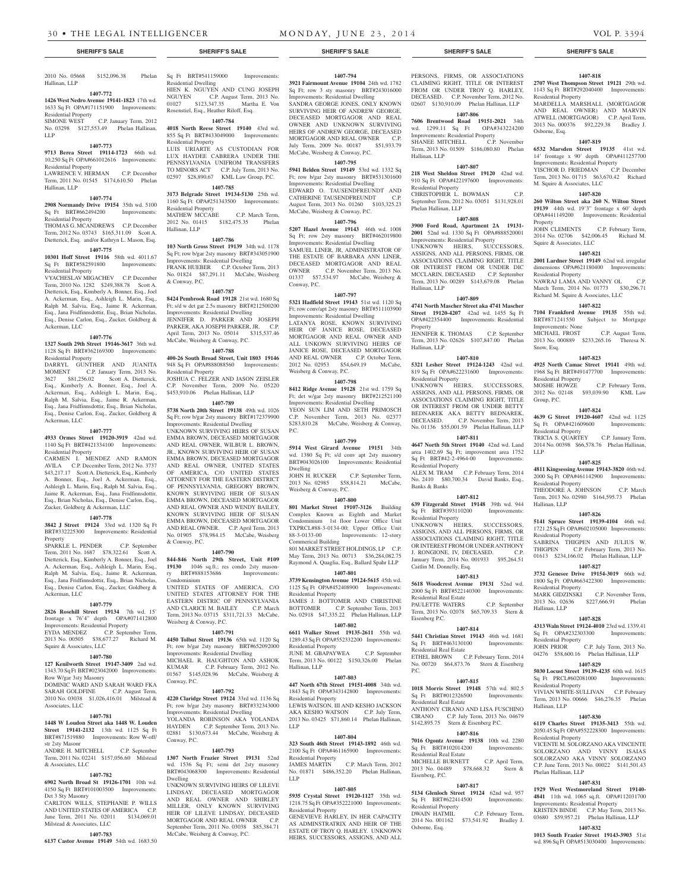C.P. January Term, 2012

2010 No. 05668 \$152,096.38 Phelan

**1407-772 1426 West Nedro Avenue 19141-1823** 17th wd. 1633 Sq Ft OPA#171151900 Improvements:

No. 03298 \$127,553.49 Phelan Hallinan,

**1407-773 9713 Berea Street 19114-1723** 66th wd. 10,250 Sq Ft OPA#661012616 Improvements:

LAWRENCE V. HERMAN C.P. December Term, 2011 No. 01545 \$174,610.50 Phelan

**1407-774 2908 Normandy Drive 19154** 35th wd. 5100 Sq Ft BRT#662494200 Improvements:

THOMAS G. MCANDREWS C.P. December Term, 2012 No. 03743 \$165,311.09 Scott A. Dietterick, Esq. and/or Kathryn L. Mason, Esq. **1407-775 10301 Hoff Street 19116** 58th wd. 4011.67 Sq Ft BRT#582591800 Improvements:

VYACHESLAV MIGACHEV C.P. December Term, 2010 No. 1282 \$249,388.78 Scott A. Dietterick, Esq., Kimberly A. Bonner, Esq., Joel A. Ackerman, Esq., Ashleigh L. Marin, Esq., Ralph M. Salvia, Esq., Jaime R. Ackerman, Esq., Jana Fridfinnsdottir, Esq., Brian Nicholas, Esq., Denise Carlon, Esq., Zucker, Goldberg &

**1407-776 1327 South 29th Street 19146-3617** 36th wd. 1128 Sq Ft BRT#362169300 Improvements:

DARRYL GUNTHER AND JUANITA MOMENT C.P. January Term, 2013 No. 3627 \$81,256.02 Scott A. Dietterick, Esq., Kimberly A. Bonner, Esq., Joel A. Ackerman, Esq., Ashleigh L. Marin, Esq., Ralph M. Salvia, Esq., Jaime R. Ackerman, Esq., Jana Fridfinnsdottir, Esq., Brian Nicholas, Esq., Denise Carlon, Esq., Zucker, Goldberg &

**1407-777 4933 Ormes Street 19120-3919** 42nd wd. 1140 Sq Ft BRT#421334100 Improvements:

CARMEN I. MENDEZ AND RAMON AVILA C.P. December Term, 2012 No. 3737 \$43,217.17 Scott A. Dietterick, Esq., Kimberly A. Bonner, Esq., Joel A. Ackerman, Esq., Ashleigh L. Marin, Esq., Ralph M. Salvia, Esq., Jaime R. Ackerman, Esq., Jana Fridfinnsdottir, Esq., Brian Nicholas, Esq., Denise Carlon, Esq., Zucker, Goldberg & Ackerman, LLC **1407-778 3842 J Street 19124** 33rd wd. 1320 Sq Ft BRT#332225300 Improvements: Residential

SPARKLE L. PENDER C.P. September Term, 2011 No. 1687 \$78,322.61 Scott A. Dietterick, Esq., Kimberly A. Bonner, Esq., Joel A. Ackerman, Esq., Ashleigh L. Marin, Esq., Ralph M. Salvia, Esq., Jaime R. Ackerman, Esq., Jana Fridfinnsdottir, Esq., Brian Nicholas, Esq., Denise Carlon, Esq., Zucker, Goldberg &

**1407-779 2826 Rosehill Street 19134** 7th wd. 15' frontage x 76'4" depth OPA#071412800 Improvements: Residential Property EYDA MENDEZ C.P. September Term, 2013 No. 00505 \$38,677.27 Richard M.

**1407-780 127 Kenilworth Street 19147-3409** 2nd wd. 1343.70 Sq Ft BRT#023042000 Improvements:

DOMINIC WARD AND SARAH WARD FKA SARAH GOLDFINE C.P. August Term, 2010 No. 03038 \$1,026,416.01 Milstead &

**1407-781 1448 W Loudon Street aka 1448 W. Louden Street 19141-2132** 13th wd. 1125 Sq Ft BRT#871519880 Improvements: Row W-off/

ANDRE H. MITCHELL C.P. September Term, 2011 No. 02241 \$157,056.60 Milstead

**1407-782 6902 North Broad St 19126-1701** 10th wd. 4150 Sq Ft BRT#101003500 Improvements:

CARLTON WILLS, STEPHANIE P. WILLS AND UNITED STATES OF AMERICA C.P. June Term, 2011 No. 02011 \$134,069.01

**1407-783 6137 Castor Avenue 19149** 54th wd. 1683.50

Hallinan, LLP

LLP

Residential Property<br>SIMONE WEST

Residential Property

Residential Property

Residential Property

Ackerman, LLC

Residential Property

Ackerman, LLC

Residential Property

Property

Ackerman, LLC

Squire & Associates, LLC

Row W/gar 3sty Masonry

Associates, LLC

str 2sty Masonr

& Associates, LLC

Det 3 Sty Masonry

Milstead & Associates, LLC

Hallinan, LLP

**1407-794 3921 Fairmount Avenue 19104** 24th wd. 1782

SHANEE MITCHELL

Hallinan, LLP

Residential Property

Phelan Hallinan, LLP

PERSONS, FIRMS, OR ASSOCIATIONS CLAIMING RIGHT, TITLE OR INTEREST FROM OR UNDER TROY O. HARLEY, DECEASED. C.P. November Term, 2012 No. 02607 \$130,910.09 Phelan Hallinan, LLP **1407-806 7606 Brentwood Road 19151-2021** 34th wd. 1299.11 Sq Ft OPA#343224200 Multiple 1222.11 Multiple 1222.11 Multiple 1232.11 Multiple 121<br>SHANEE MITCHELL C.P. November

Term, 2013 No. 01509 \$186,080.80 Phelan

**1407-807 218 West Sheldon Street 19120** 42nd wd. 910 Sq Ft OPA#422197600 Improvements:

CHRISTOPHER L. BOWMAN C.P. September Term, 2012 No. 03051 \$131,928.01

**1407-808 3900 Ford Road, Apartment 2A 19131- 2001** 52nd wd. 1330 Sq Ft OPA#888520001 Improvements: Residential Property UNKNOWN HEIRS, SUCCESSORS, ASSIGNS, AND ALL PERSONS, FIRMS, OR ASSOCIATIONS CLAIMING RIGHT, TITLE OR INTEREST FROM OR UNDER DIC MCCLARIN, DECEASED C.P. September Term, 2013 No. 00289 \$143,679.08 Phelan

**1407-809 4741 North Mascher Street aka 4741 Mascher Street 19120-4207** 42nd wd. 1455 Sq Ft OPA#422354400 Improvements: Residential

JENNIFER K. THOMAS C.P. September Term, 2013 No. 02626 \$107,847.00 Phelan

**1407-810 5321 Lesher Street 19124-1243** 42nd wd.

BEDNAREK AKA BETTY BEDNAREK,<br>DECEASED. C.P. November Term, 2013

No. 01136 \$55,001.59 Phelan Hallinan, LLP **1407-811 4647 North 5th Street 19140** 42nd wd. Land area 1402.69 Sq Ft; improvement area 1752 Sq Ft BRT#42-2-4964-00 Improvements:

ALEX M. TRAM C.P. February Term, 2014 No. 2410 \$80,700.34 David Banks, Esq.,

**1407-812 639 Fitzgerald Street 19148** 39th wd. 944 Sq Ft BRT#393110200 Improvements:

UNKNOWN HEIRS, SUCCESSORS, ASSIGNS, AND ALL PERSONS, FIRMS, OR ASSOCIATIONS CLAIMING RIGHT, TITLE OR INTEREST FROM OR UNDER ANTHONY<br>J. RONGIONE. IV. DECEASED. C.P. J. RONGIONE, IV, DECEASED. January Term, 2014 No. 001933 \$95,264.51

**1407-813 5618 Woodcrest Avenue 19131** 52nd wd. 2000 Sq Ft BRT#522140300 Improvements:

PAULETTE WATERS C.P. September Term, 2013 No. 02078 \$65,709.33 Stern &

**1407-814 5441 Christian Street 19143** 46th wd. 1681<br>Sq Ft BRT#463130100 Improvements:

ETHEL BROWN C.P. February Term, 2014 No. 00720 \$64,873.76 Stern & Eisenberg

**1407-815 1018 Morris Street 19148** 57th wd. 802.5 Sq Ft BRT#012326500 Improvements:

ANTHONY CIRANO AND LISA FUSCHINO CIRANO C.P. July Term, 2013 No. 04679 \$142,895.75 Stern & Eisenberg P.C. **1407-816 7016 Ogontz Avenue 19138** 10th wd. 2280 Sq Ft BRT#102014200 Improvements:

MICHELLE BURNETT C.P. April Term, 2013 No. 04489 \$78,668.32 Stern &

**1407-817 5134 Glenloch Street 19124** 62nd wd. 957 Sq Ft BRT#622414500 Improvements:

2014 No. 001162 \$73,541.92 Bradley J.

C.P. February Term,

C.P. November Term, 2013

#### **SHERIFF'S SALE SHERIFF'S SALE SHERIFF'S SALE SHERIFF'S SALE SHERIFF'S SALE**

**1407-818 2707 West Thompson Street 19121** 29th wd. 1143 Sq Ft BRT#292040400 Improvements:

#### Residential Property MARDELLA MARSHALL (MORTGAGOR AND REAL OWNER) AND MARVIN ATWELL (MORTGAGOR) C.P. April Term, 2013 No. 000376 \$92,229.38 Bradley J. Osborne, Esq.

#### **1407-819**

**6532 Marsden Street 19135** 41st wd. 14' frontage x 90' depth OPA#411257700

Improvements: Residential Property YISCHOR D. FRIEDMAN C.P. December Term, 2013 No. 01715 \$63,670.42 Richard M. Squire & Associates, LLC

#### **1407-820**

**260 Wilton Street aka 260 N. Wilton Street 19139** 44th wd. 19'3" frontage x 60' depth OPA#441149200 Improvements: Residential Property

JOHN CLEMENTS C.P. February Term, 2014 No. 02706 \$42,006.45 Richard M. Squire & Associates, LLC

## **1407-821**

**2001 Lardner Street 19149** 62nd wd. irregular dimensions OPA#621180400 Improvements: Residential Property

NAWRAJ LAMA AND VANNY OL C.P. March Term, 2014 No. 01773 \$30,296.71 Richard M. Squire & Associates, LLC

#### **1407-822**

**7104 Frankford Avenue 19135** 55th wd. BRT#871241550 Subject to Mortgage Improvements: None C.P. August Term, 2013 No. 000889 \$233,265.16 Theresa N.

Snow, Esq. **1407-823**

**4925 North Camac Street 19141** 49th wd. 1968 Sq Ft BRT#491477700 Improvements: Residential Property C.P. February Term,

2012 No. 02148 \$93,039.90 KML Law Group, P.C.

#### **1407-824**

**4639 G Street 19120-4607** 42nd wd. 1125 Sq Ft OPA#421609600 Improvements: Residential Property TRICIA S. QUARTEY C.P. January Term, 2014 No. 00398 \$66,578.76 Phelan Hallinan,

#### **1407-825**

LLP

**4811 Kingsessing Avenue 19143-3820** 46th wd. 2000 Sq Ft OPA#461142900 Improvements: Residential Property

THEODORE A. JOHNSON C.P. March Term, 2013 No. 02980 \$164,595.73 Phelan Hallinan, LLP

#### **1407-826**

**5141 Spruce Street 19139-4104** 46th wd. 1721.25 Sq Ft OPA#602105000 Improvements: Residential Property SABRINA THIGPEN AND JULIUS W.

THIGPEN C.P. February Term, 2013 No. 01613 \$234,166.02 Phelan Hallinan, LLP **1407-827**

**3732 Genesee Drive 19154-3019** 66th wd. 1800 Sq Ft OPA#663422300 Improvements: Residential Property<br>MARK GIDZINSKI

C.P. November Term, 2013 No. 02636 \$227,666.91 Phelan Hallinan, LLP

## **1407-828**

**4313 Waln Street 19124-4010** 23rd wd. 1339.41 Sq Ft OPA#232303300 Improvements: Residential Property JOHN PRIOR C.P. July Term, 2013 No. 04276 \$58,600.16 Phelan Hallinan, LLP

## **1407-829**

**5030 Locust Street 19139-4235** 60th wd. 1615 Sq Ft PRCL#602081000 Improvements: Residential Property

VIVIAN WHITE-SULLIVAN C.P. February Term, 2013 No. 00666 \$46,276.35 Phelan Hallinan, LLP

#### **1407-830**

**6119 Charles Street 19135-3413** 55th wd. 2050.45 Sq Ft OPA#552228300 Improvements: Residential Property

VICENTE M. SOLORZANO AKA VINCENTE SOLORZANO AND VINNY ISAIAS SOLORZANO AKA VINNY SOLORZANO C.P. June Term, 2013 No. 00022 \$141,501.43 Phelan Hallinan, LLP

## **1407-831**

**1929 West Westmoreland Street 19140- 4841** 11th wd. 1065 sq.ft. OPA#112031700 Improvements: Residential Property KRISTEN BINDE C.P. May Term, 2013 No. 03680 \$59,957.21 Phelan Hallinan, LLP

#### **1407-832**

**1013 South Frazier Street 19143-3903** 51st wd. 896 Sq Ft OPA#513030400 Improvements:

Sq Ft BRT#541159000 Improvements: Residential Dwelling HIEN K. NGUYEN AND CUNG JOSEPH NGUYEN C.P. August Term, 2013 No.<br>01027 \$123,347.35 Martha E. Von 01027 \$123,347.35 Rosenstiel, Esq., Heather Riloff, Esq. **1407-784**

#### **4018 North Reese Street 19140** 43rd wd. 855 Sq Ft BRT#433049000 Improvements: Residential Property

LUIS URIARTE AS CUSTODIAN FOR LUX HAYDEE CABRERA UNDER THE PENNSYLVANIA UNIFROM TRANSFERS TO MINORS ACT C.P. July Term, 2013 No. 02597 \$28,890.67 KML Law Group, P.C. **1407-785**

**3173 Belgrade Street 19134-5130** 25th wd. 1160 Sq Ft OPA#251343500 Improvements: Residential Property MATHEW MCCABE C.P. March Term, 2012 No. 01415 \$182,475.35 Phelan Hallinan, LLP

#### **1407-786**

**103 North Gross Street 19139** 34th wd. 1178 Sq Ft; row b/gar 2sty masonry BRT#343051900 Improvements: Residential Dwelling FRANK HUEBER C.P. October Term, 2013 No. 01824 \$87,291.11 McCabe, Weisberg & Conway, P.C.

#### **1407-787**

**8424 Pembrook Road 19128** 21st wd. 1680 Sq Ft; s/d w det gar 2.5s masonry BRT#212500200 Improvements: Residential Dwelling JENNIFER D. PARKER AND JOSEPH PARKER, AKA JOSEPH PARKER, JR. C.P. April Term, 2013 No. 05014 \$315,537.46 McCabe, Weisberg & Conway, P.C.

#### **1407-788**

**400-26 South Broad Street, Unit 1803 19146**  948 Sq Ft OPA#888088560 Improvements: Residential Property JOSHUA C. FELZER AND JASON ZEISLER

C.P. November Term, 2009 No. 05220 \$453,910.06 Phelan Hallinan, LLP **1407-789**

**5738 North 20th Street 19138** 49th wd. 1026

Sq Ft; row b/gar 2sty masonry BRT#172379900 Improvements: Residential Dwelling UNKNOWN SURVIVING HEIRS OF SUSAN EMMA BROWN, DECEASED MORTGAGOR AND REAL OWNER, WILBUR L. BROWN, JR., KNOWN SURVIVING HEIR OF SUSAN EMMA BROWN, DECEASED MORTGAGOR AND REAL OWNER, UNITED STATES OF AMERICA, C/O UNITED STATES ATTORNEY FOR THE EASTERN DISTRICT OF PENNSYLVANIA, GREGORY BROWN, KNOWN SURVIVING HEIR OF SUSAN EMMA BROWN, DECEASED MORTGAGOR AND REAL OWNER AND WENDY BAILEY, KNOWN SURVIVING HEIR OF SUSAN EMMA BROWN, DECEASED MORTGAGOR AND REAL OWNER. C.P. April Term, 2013 No. 01905 \$78,984.15 McCabe, Weisberg & Conway, P.C.

#### **1407-790**

**844-846 North 29th Street, Unit #109 19130 1046** sq.ft.; res condo 2sty mason-<br>ry **BRT#888153686 Improvements:** ry BRT#888153686 Condominium

UNITED STATES OF AMERICA, C/O UNITED STATES ATTORNEY FOR THE EASTERN DISTRIC OF PENNSYLVANIA AND CLARICE M. BAILEY C.P. March Term, 2013 No. 03715 \$311,721.33 McCabe, Weisberg & Conway, P.C.

#### **1407-791**

**4450 Tolbut Street 19136** 65th wd. 1120 Sq Ft; row b/gar 2sty masonry BRT#652092000 Improvements: Residential Dwelling MICHAEL R. HAUGHTON AND ASHOK KUMAR C.P. February Term, 2012 No. 01567 \$145,028.96 McCabe, Weisberg & Conway, P.C.

#### **1407-792**

**4220 Claridge Street 19124** 33rd wd. 1136 Sq Ft; row b/gar 2sty masonry BRT#332343000 Improvements: Residential Dwelling YOLANDA ROBINSON AKA YOLANDA HAYDEN C.P. September Term, 2013 No. 02881 \$130,673.44 McCabe, Weisberg & Conway, P.C.

#### **1407-793**

**1307 North Frazier Street 19131** 52nd wd. 1536 Sq Ft; semi det 2sty masonry BRT#043068300 Improvements: Residential Dwelling

UNKNOWN SURVIVING HEIRS OF LILEVE LINDSAY, DECEASED MORTGAGOR AND REAL OWNER AND SHIRLEY MILLER, ONLY KNOWN SURVIVING HEIR OF LILEVE LINDSAY, DECEASED MORTGAGOR AND REAL OWNER C.P. September Term, 2011 No. 03038 \$85,384.71 McCabe, Weisberg & Conway, P.C.

Sq Ft; row 3 sty masonry BRT#243016000 Improvements: Residential Dwelling

SANDRA GEORGE JONES, ONLY KNOWN SURVIVING HEIR OF ANDREW GEORGE DECEASED MORTGAGOR AND REAL OWNER AND UNKNOWN SURVIVING HEIRS OF ANDREW GEORGE, DECEASED MORTGAGOR AND REAL OWNER C.P. July Term, 2009 No. 00187 \$51,933.79 McCabe, Weisberg & Conway, P.C.

#### **1407-795**

**5941 Belden Street 19149** 53rd wd. 1332 Sq Ft; row b/gar 2sty masonry BRT#531301600 Improvements: Residential Dwelling EDWARD O. TAUSENDFREUNDT AND CATHERINE TAUSENDFREUNDT C.P. August Term, 2013 No. 01260 \$103,325.23 McCabe, Weisberg & Conway, P.C.

#### **1407-796**

**5207 Hazel Avenue 19143** 46th wd. 1008 Sq Ft; row 2sty masonry BRT#462019800 Improvements: Residential Dwelling SAMUEL LINER, JR, ADMINISTRATOR OF THE ESTATE OF BARBARA ANN LINER, DECEASED MORTGAGOR AND REAL OWNER C.P. November Term, 2013 No. 01337 \$57,534.97 McCabe, Weisberg &

## Conway, P.C. **1407-797**

**5321 Hadfield Street 19143** 51st wd. 1120 Sq Ft; row conv/apt 2sty masonry BRT#511103900 Improvements: Residential Dwelling LATANYA ROSE, KNOWN SURVIVING HEIR OF JANICE ROSE, DECEASED MORTGAGOR AND REAL OWNER AND ALL UNKOWN SURVIVING HEIRS OF JANICE ROSE, DECEASED MORTGAGOR AND REAL OWNER C.P. October Term, 2012 No. 02953 \$54,649.19 McCabe, Weisberg & Conway, P.C.

#### **1407-798**

**8412 Ridge Avenue 19128** 21st wd. 1759 Sq Ft; det w/gar 2sty masonry BRT#212521100 Improvements: Residential Dwelling YEON SUN LIM AND SETH PRIMOSCH

C.P. November Term, 2013 No. 02377 \$283,810.28 McCabe, Weisberg & Conway, P.C.

### **1407-799**

**5914 West Girard Avenue 19151** 34th wd. 1380 Sq Ft; s/d conv apt 2sty masonry BRT#043026100 Improvements: Residential Dwelling<br>JOHN H. RUCKER C.P. September Term,

2013 No. 02985 \$58,814.21 McCabe, Weisberg & Conway, P.C. **1407-800**

**801 Market Street 19107-3126** Building Complex Known as Eighth and Market Condominium 1st floor Lower Office Unit TXPRCL#88-3-0134-00; Upper Office Unit Improvements: 12-story Commerical Building 801 MARKET STREET HOLDINGS, LP C.P.

May Term, 2013 No. 00713 \$36,284,082.75 Raymond A. Quaglia, Esq., Ballard Spahr LLP

**1407-801 3739 Kensington Avenue 19124-5615** 45th wd. 1125 Sq Ft OPA#452408900 Improvements: Residential Property JAMES J. BOTTOMER AND CHRISTINE

BOTTOMER C.P. September Term, 2013 No. 02918 \$47,335.22 Phelan Hallinan, LLP **1407-802**

**6611 Walker Street 19135-2611** 55th wd. 1289.43 Sq Ft OPA#552332200 Improvements: Residential Property

JUNE M. GBAPAYWEA C.P. September Term, 2013 No. 00122 \$150,326.00 Phelan Hallinan, LLP

## **1407-803**

**447 North 67th Street 19151-4008** 34th wd. 1843 Sq Ft OPA#343142800 Improvements: Residential Property

LEWIS WATSON, III AND KESHO JACKSON AKA KESHO WATSON C.P. July Term, 2013 No. 03425 \$71,860.14 Phelan Hallinan, LLP

#### **1407-804**

**323 South 46th Street 19143-1892** 46th wd. 2100 Sq Ft OPA#461165900 Improvements: Residential Property

JAMES MARTIN C.P. March Term, 2012 No. 01871 \$486,352.20 Phelan Hallinan, LLP

## **1407-805**

**5935 Crystal Street 19120-1127** 35th wd. 1218.75 Sq Ft OPA#352221000 Improvements: Residential Property

GENEVIEVE HARLEY, IN HER CAPACITY AS ADMINSTRATRIX AND HEIR OF THE ESTATE OF TROY Q. HARLEY. UNKNOWN HEIRS, SUCCESSORS, ASSIGNS, AND ALL

819 Sq Ft OPA#622231600 Improvements: Residential Property UNKNOWN HEIRS, SUCCESSORS, ASSIGNS, AND ALL PERSONS, FIRMS, OR ASSOCIATIONS CLAIMING RIGHT, TITLE OR INTEREST FROM OR UNDER BETTY

Residential Property

Residential Property

Caitlin M. Donnelly, Esq.

Residential Real Estate

Sq Ft BRT#463130100 Residential Real Estate

Residential Real Estate

Residential Real Estate

Eisenberg, P.C.

Residential Property<br>
NWAIN HATMIL

Osborne, Esq.

Eisenberg P.C.

P.C.

Banks & Banks

Hallinan, LLP

Hallinan, LLP

Property